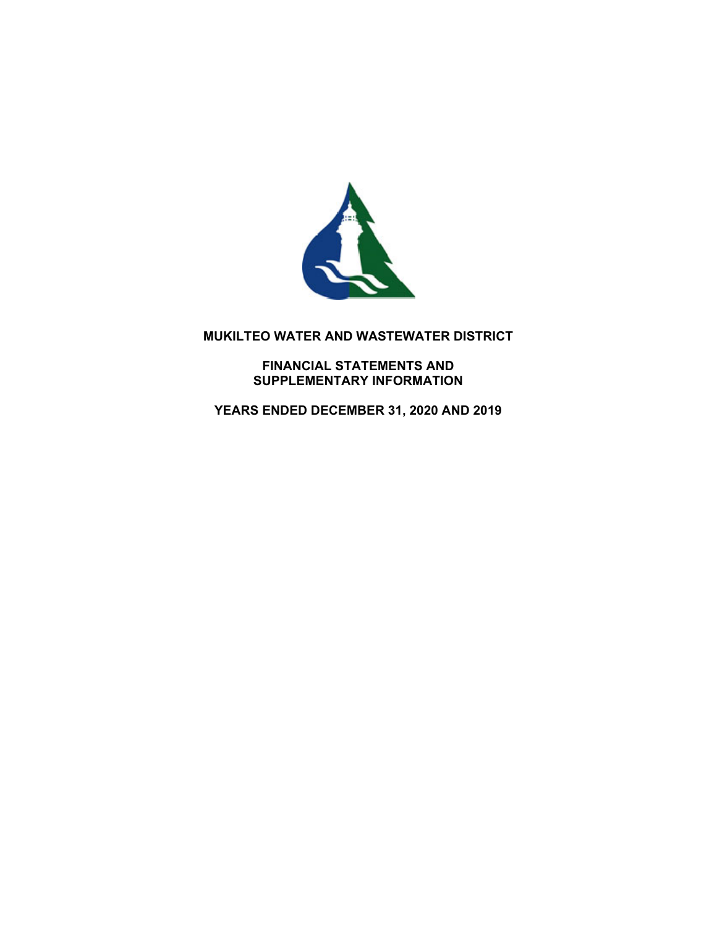

# **MUKILTEO WATER AND WASTEWATER DISTRICT**

**FINANCIAL STATEMENTS AND SUPPLEMENTARY INFORMATION** 

**YEARS ENDED DECEMBER 31, 2020 AND 2019**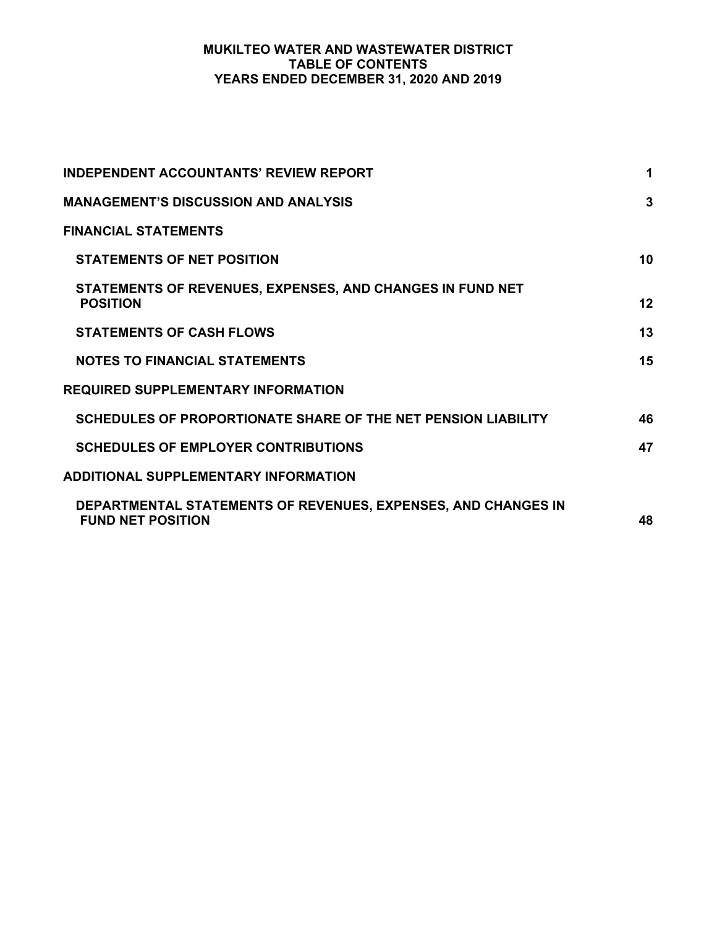# **MUKILTEO WATER AND WASTEWATER DISTRICT TABLE OF CONTENTS YEARS ENDED DECEMBER 31, 2020 AND 2019**

| <b>INDEPENDENT ACCOUNTANTS' REVIEW REPORT</b>                                             | $\mathbf 1$ |
|-------------------------------------------------------------------------------------------|-------------|
| <b>MANAGEMENT'S DISCUSSION AND ANALYSIS</b>                                               | 3           |
| <b>FINANCIAL STATEMENTS</b>                                                               |             |
| <b>STATEMENTS OF NET POSITION</b>                                                         | 10          |
| STATEMENTS OF REVENUES, EXPENSES, AND CHANGES IN FUND NET<br><b>POSITION</b>              | 12          |
| <b>STATEMENTS OF CASH FLOWS</b>                                                           | 13          |
| <b>NOTES TO FINANCIAL STATEMENTS</b>                                                      | 15          |
| <b>REQUIRED SUPPLEMENTARY INFORMATION</b>                                                 |             |
| SCHEDULES OF PROPORTIONATE SHARE OF THE NET PENSION LIABILITY                             | 46          |
| <b>SCHEDULES OF EMPLOYER CONTRIBUTIONS</b>                                                | 47          |
| <b>ADDITIONAL SUPPLEMENTARY INFORMATION</b>                                               |             |
| DEPARTMENTAL STATEMENTS OF REVENUES, EXPENSES, AND CHANGES IN<br><b>FUND NET POSITION</b> | 48          |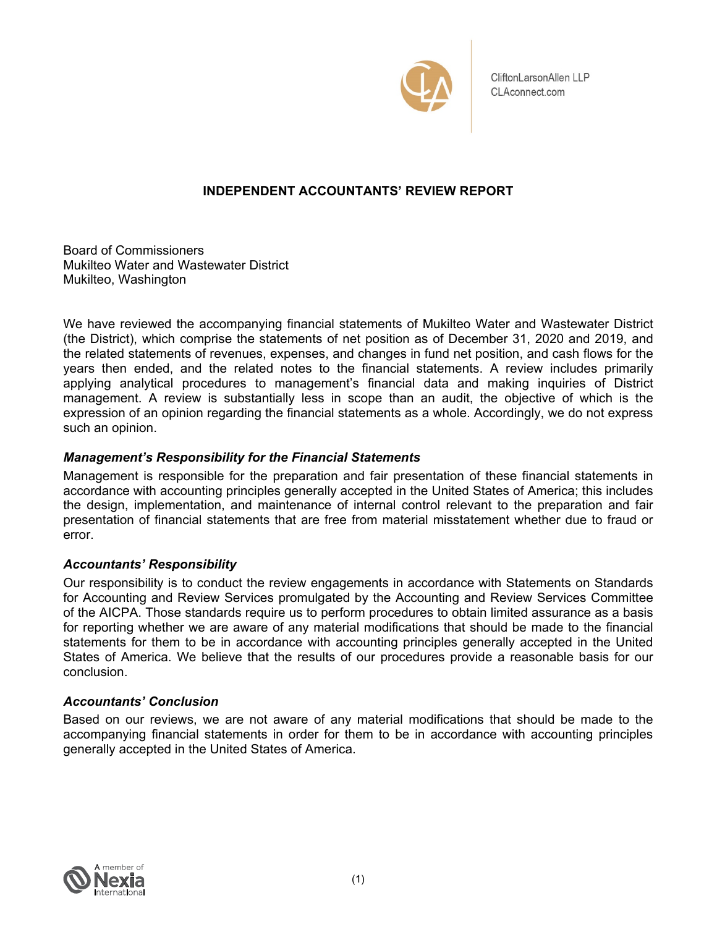

CliftonLarsonAllen LLP CLAconnect.com

# **INDEPENDENT ACCOUNTANTS' REVIEW REPORT**

Board of Commissioners Mukilteo Water and Wastewater District Mukilteo, Washington

We have reviewed the accompanying financial statements of Mukilteo Water and Wastewater District (the District), which comprise the statements of net position as of December 31, 2020 and 2019, and the related statements of revenues, expenses, and changes in fund net position, and cash flows for the years then ended, and the related notes to the financial statements. A review includes primarily applying analytical procedures to management's financial data and making inquiries of District management. A review is substantially less in scope than an audit, the objective of which is the expression of an opinion regarding the financial statements as a whole. Accordingly, we do not express such an opinion.

# *Management's Responsibility for the Financial Statements*

Management is responsible for the preparation and fair presentation of these financial statements in accordance with accounting principles generally accepted in the United States of America; this includes the design, implementation, and maintenance of internal control relevant to the preparation and fair presentation of financial statements that are free from material misstatement whether due to fraud or error.

# *Accountants' Responsibility*

Our responsibility is to conduct the review engagements in accordance with Statements on Standards for Accounting and Review Services promulgated by the Accounting and Review Services Committee of the AICPA. Those standards require us to perform procedures to obtain limited assurance as a basis for reporting whether we are aware of any material modifications that should be made to the financial statements for them to be in accordance with accounting principles generally accepted in the United States of America. We believe that the results of our procedures provide a reasonable basis for our conclusion.

# *Accountants' Conclusion*

Based on our reviews, we are not aware of any material modifications that should be made to the accompanying financial statements in order for them to be in accordance with accounting principles generally accepted in the United States of America.

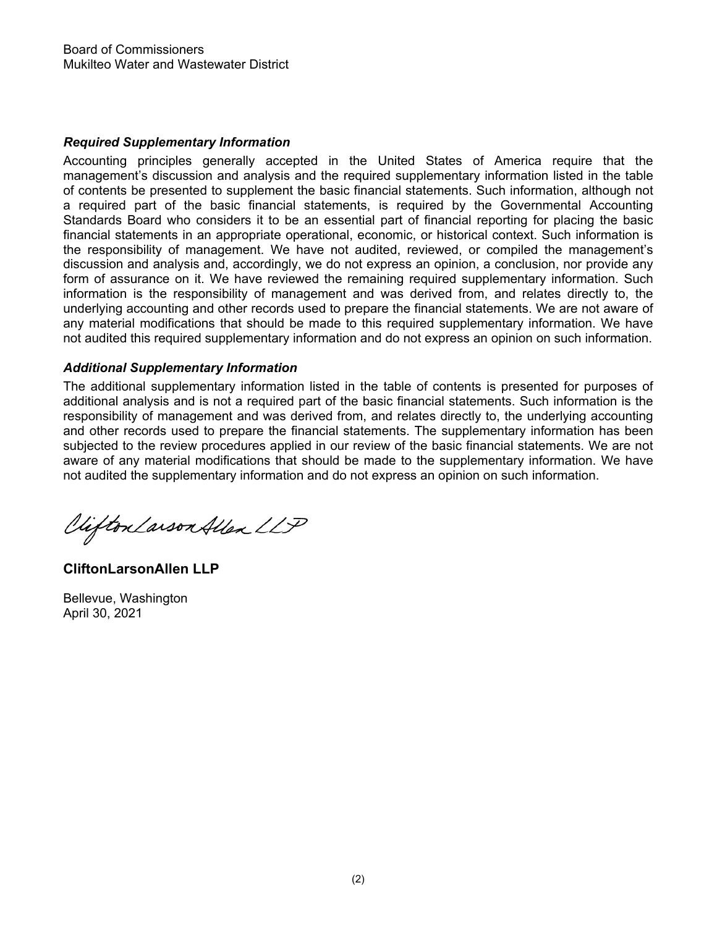# *Required Supplementary Information*

Accounting principles generally accepted in the United States of America require that the management's discussion and analysis and the required supplementary information listed in the table of contents be presented to supplement the basic financial statements. Such information, although not a required part of the basic financial statements, is required by the Governmental Accounting Standards Board who considers it to be an essential part of financial reporting for placing the basic financial statements in an appropriate operational, economic, or historical context. Such information is the responsibility of management. We have not audited, reviewed, or compiled the management's discussion and analysis and, accordingly, we do not express an opinion, a conclusion, nor provide any form of assurance on it. We have reviewed the remaining required supplementary information. Such information is the responsibility of management and was derived from, and relates directly to, the underlying accounting and other records used to prepare the financial statements. We are not aware of any material modifications that should be made to this required supplementary information. We have not audited this required supplementary information and do not express an opinion on such information.

# *Additional Supplementary Information*

The additional supplementary information listed in the table of contents is presented for purposes of additional analysis and is not a required part of the basic financial statements. Such information is the responsibility of management and was derived from, and relates directly to, the underlying accounting and other records used to prepare the financial statements. The supplementary information has been subjected to the review procedures applied in our review of the basic financial statements. We are not aware of any material modifications that should be made to the supplementary information. We have not audited the supplementary information and do not express an opinion on such information.

Viifton Larson Allen LLP

**CliftonLarsonAllen LLP** 

Bellevue, Washington April 30, 2021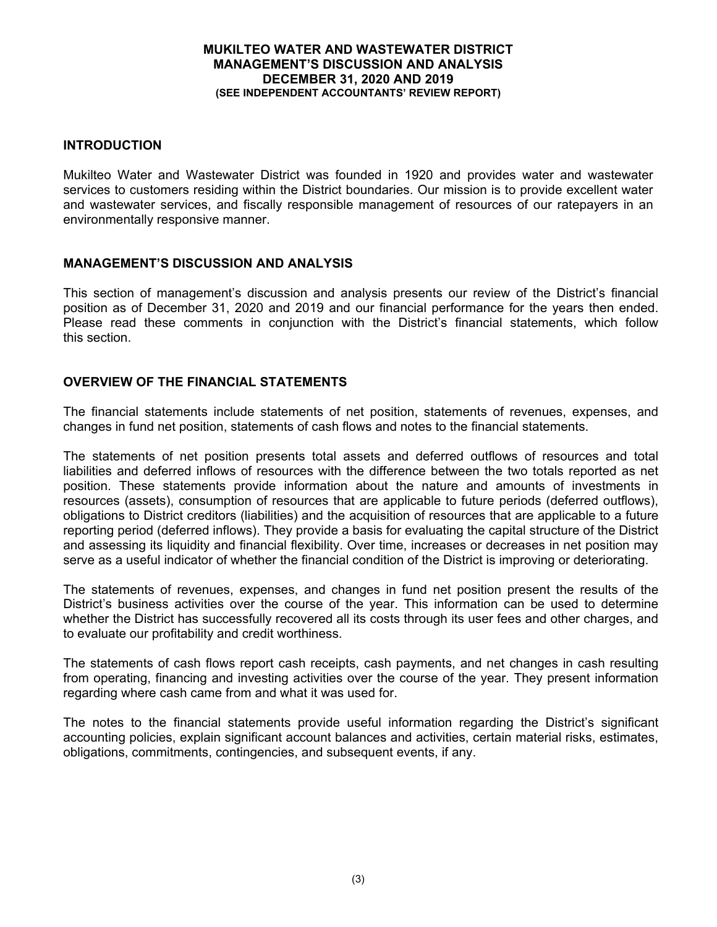### **INTRODUCTION**

Mukilteo Water and Wastewater District was founded in 1920 and provides water and wastewater services to customers residing within the District boundaries. Our mission is to provide excellent water and wastewater services, and fiscally responsible management of resources of our ratepayers in an environmentally responsive manner.

# **MANAGEMENT'S DISCUSSION AND ANALYSIS**

This section of management's discussion and analysis presents our review of the District's financial position as of December 31, 2020 and 2019 and our financial performance for the years then ended. Please read these comments in conjunction with the District's financial statements, which follow this section.

# **OVERVIEW OF THE FINANCIAL STATEMENTS**

The financial statements include statements of net position, statements of revenues, expenses, and changes in fund net position, statements of cash flows and notes to the financial statements.

The statements of net position presents total assets and deferred outflows of resources and total liabilities and deferred inflows of resources with the difference between the two totals reported as net position. These statements provide information about the nature and amounts of investments in resources (assets), consumption of resources that are applicable to future periods (deferred outflows), obligations to District creditors (liabilities) and the acquisition of resources that are applicable to a future reporting period (deferred inflows). They provide a basis for evaluating the capital structure of the District and assessing its liquidity and financial flexibility. Over time, increases or decreases in net position may serve as a useful indicator of whether the financial condition of the District is improving or deteriorating.

The statements of revenues, expenses, and changes in fund net position present the results of the District's business activities over the course of the year. This information can be used to determine whether the District has successfully recovered all its costs through its user fees and other charges, and to evaluate our profitability and credit worthiness.

The statements of cash flows report cash receipts, cash payments, and net changes in cash resulting from operating, financing and investing activities over the course of the year. They present information regarding where cash came from and what it was used for.

The notes to the financial statements provide useful information regarding the District's significant accounting policies, explain significant account balances and activities, certain material risks, estimates, obligations, commitments, contingencies, and subsequent events, if any.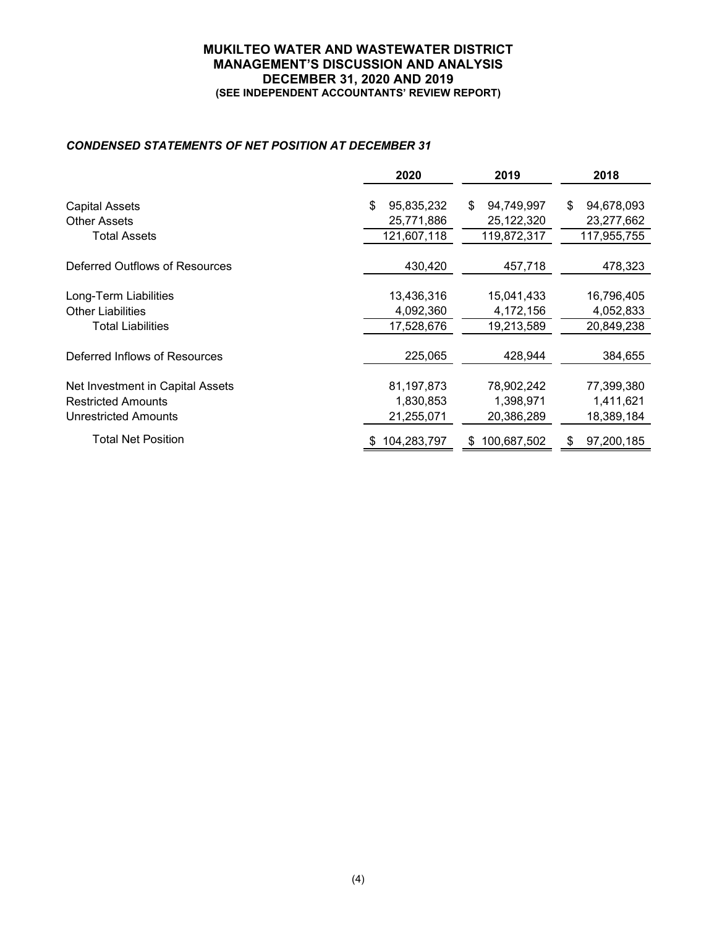### *CONDENSED STATEMENTS OF NET POSITION AT DECEMBER 31*

|                                  | 2020             | 2019             | 2018             |
|----------------------------------|------------------|------------------|------------------|
|                                  |                  |                  |                  |
| <b>Capital Assets</b>            | 95,835,232<br>\$ | 94,749,997<br>\$ | 94,678,093<br>\$ |
| <b>Other Assets</b>              | 25,771,886       | 25,122,320       | 23,277,662       |
| <b>Total Assets</b>              | 121,607,118      | 119,872,317      | 117,955,755      |
|                                  |                  |                  |                  |
| Deferred Outflows of Resources   | 430,420          | 457,718          | 478,323          |
|                                  |                  |                  |                  |
| Long-Term Liabilities            | 13,436,316       | 15,041,433       | 16,796,405       |
| <b>Other Liabilities</b>         | 4,092,360        | 4,172,156        | 4,052,833        |
| Total Liabilities                | 17,528,676       | 19,213,589       | 20,849,238       |
|                                  |                  |                  |                  |
| Deferred Inflows of Resources    | 225,065          | 428,944          | 384,655          |
|                                  |                  |                  |                  |
| Net Investment in Capital Assets | 81, 197, 873     | 78,902,242       | 77,399,380       |
| <b>Restricted Amounts</b>        | 1,830,853        | 1,398,971        | 1,411,621        |
| <b>Unrestricted Amounts</b>      | 21,255,071       | 20,386,289       | 18,389,184       |
|                                  |                  |                  |                  |
| Total Net Position               | 104,283,797      | 100,687,502<br>S | 97,200,185<br>S  |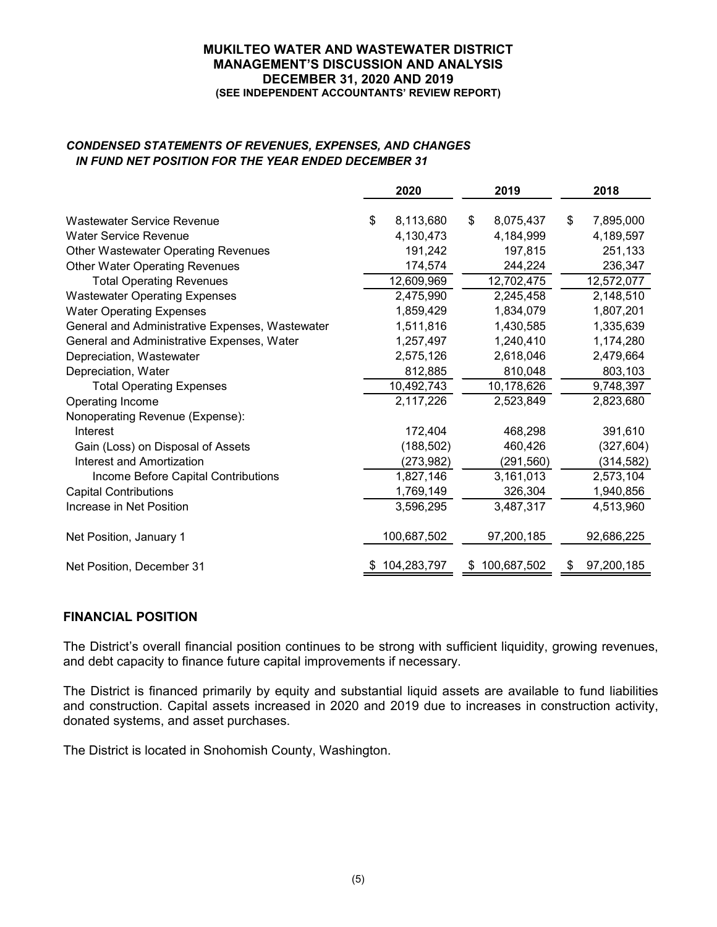# *CONDENSED STATEMENTS OF REVENUES, EXPENSES, AND CHANGES IN FUND NET POSITION FOR THE YEAR ENDED DECEMBER 31*

|                                                 | 2020            | 2019            | 2018             |
|-------------------------------------------------|-----------------|-----------------|------------------|
| Wastewater Service Revenue                      | \$<br>8,113,680 | \$<br>8,075,437 | \$<br>7,895,000  |
| <b>Water Service Revenue</b>                    | 4,130,473       | 4,184,999       | 4,189,597        |
| <b>Other Wastewater Operating Revenues</b>      | 191,242         | 197,815         | 251,133          |
| <b>Other Water Operating Revenues</b>           | 174,574         | 244,224         | 236,347          |
| <b>Total Operating Revenues</b>                 | 12,609,969      | 12,702,475      | 12,572,077       |
| <b>Wastewater Operating Expenses</b>            | 2,475,990       | 2,245,458       | 2,148,510        |
| <b>Water Operating Expenses</b>                 | 1,859,429       | 1,834,079       | 1,807,201        |
| General and Administrative Expenses, Wastewater | 1,511,816       | 1,430,585       | 1,335,639        |
| General and Administrative Expenses, Water      | 1,257,497       | 1,240,410       | 1,174,280        |
| Depreciation, Wastewater                        | 2,575,126       | 2,618,046       | 2,479,664        |
| Depreciation, Water                             | 812,885         | 810,048         | 803,103          |
| <b>Total Operating Expenses</b>                 | 10,492,743      | 10,178,626      | 9,748,397        |
| Operating Income                                | 2,117,226       | 2,523,849       | 2,823,680        |
| Nonoperating Revenue (Expense):                 |                 |                 |                  |
| Interest                                        | 172,404         | 468,298         | 391,610          |
| Gain (Loss) on Disposal of Assets               | (188, 502)      | 460,426         | (327, 604)       |
| Interest and Amortization                       | (273, 982)      | (291, 560)      | (314, 582)       |
| Income Before Capital Contributions             | 1,827,146       | 3,161,013       | 2,573,104        |
| <b>Capital Contributions</b>                    | 1,769,149       | 326,304         | 1,940,856        |
| Increase in Net Position                        | 3,596,295       | 3,487,317       | 4,513,960        |
| Net Position, January 1                         | 100,687,502     | 97,200,185      | 92,686,225       |
| Net Position, December 31                       | \$104,283,797   | \$100,687,502   | \$<br>97,200,185 |

# **FINANCIAL POSITION**

The District's overall financial position continues to be strong with sufficient liquidity, growing revenues, and debt capacity to finance future capital improvements if necessary.

The District is financed primarily by equity and substantial liquid assets are available to fund liabilities and construction. Capital assets increased in 2020 and 2019 due to increases in construction activity, donated systems, and asset purchases.

The District is located in Snohomish County, Washington.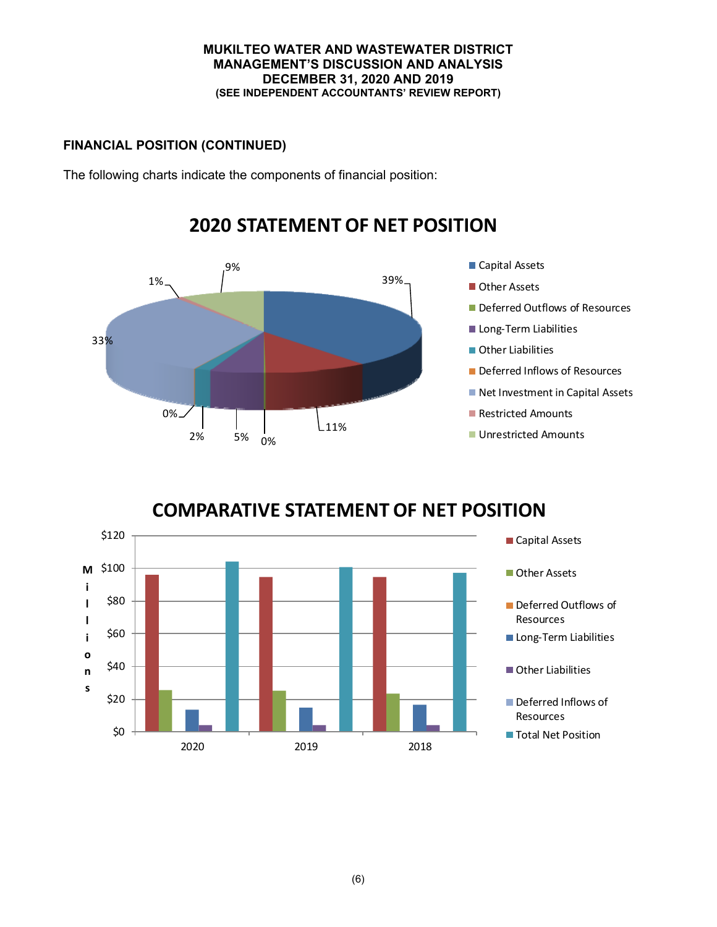# **FINANCIAL POSITION (CONTINUED)**

The following charts indicate the components of financial position:



# **2020 STATEMENT OF NET POSITION**

# **COMPARATIVE STATEMENT OF NET POSITION**

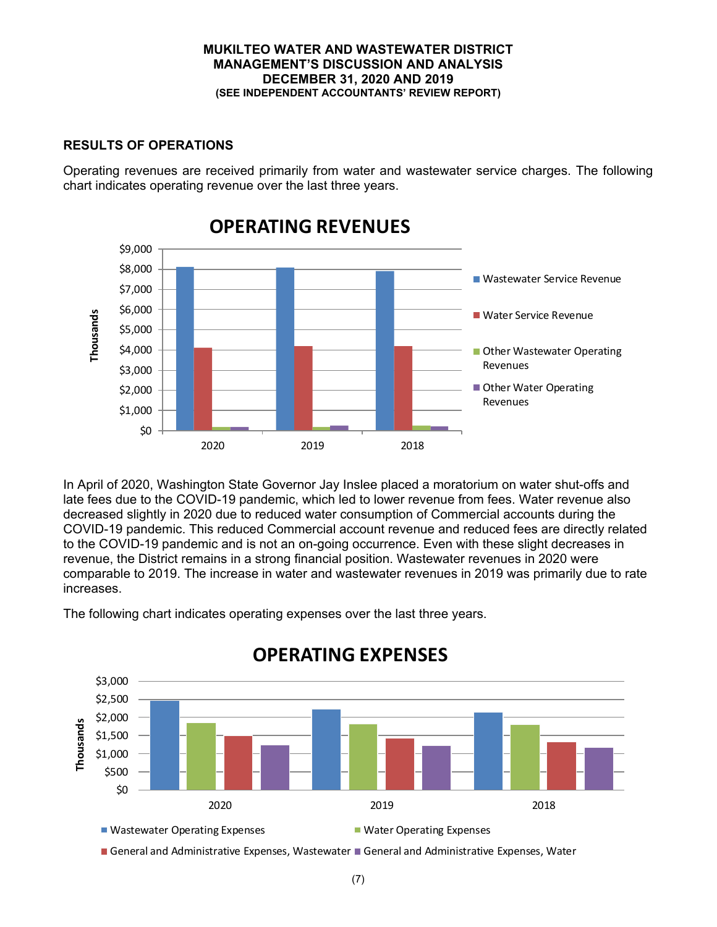# **RESULTS OF OPERATIONS**

Operating revenues are received primarily from water and wastewater service charges. The following chart indicates operating revenue over the last three years.



In April of 2020, Washington State Governor Jay Inslee placed a moratorium on water shut-offs and late fees due to the COVID-19 pandemic, which led to lower revenue from fees. Water revenue also decreased slightly in 2020 due to reduced water consumption of Commercial accounts during the COVID-19 pandemic. This reduced Commercial account revenue and reduced fees are directly related to the COVID-19 pandemic and is not an on-going occurrence. Even with these slight decreases in revenue, the District remains in a strong financial position. Wastewater revenues in 2020 were comparable to 2019. The increase in water and wastewater revenues in 2019 was primarily due to rate increases.



The following chart indicates operating expenses over the last three years.

General and Administrative Expenses, Wastewater General and Administrative Expenses, Water

# **OPERATING EXPENSES**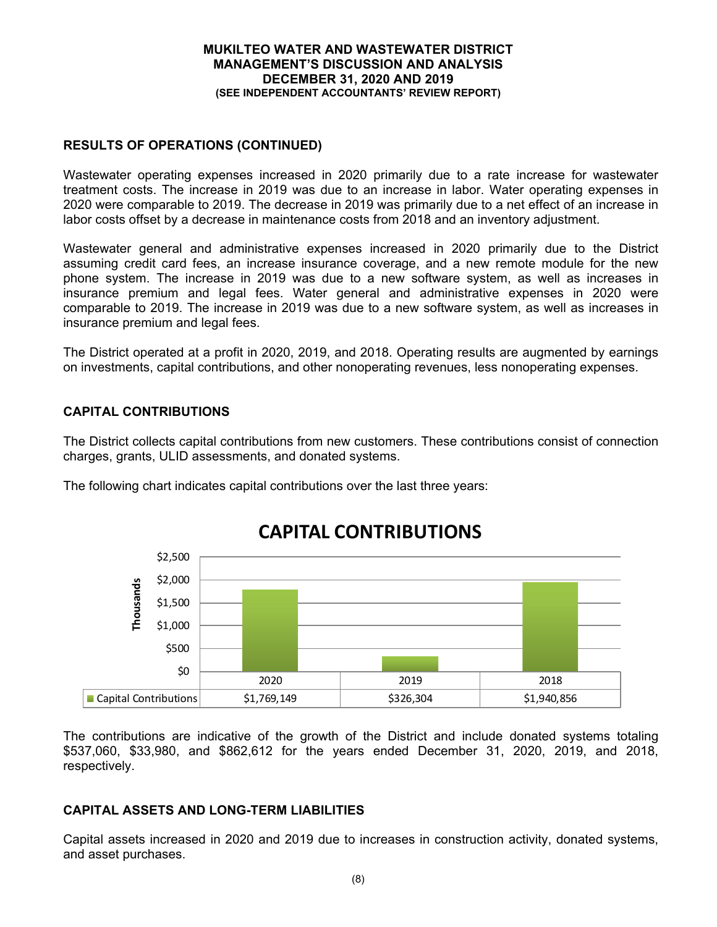# **RESULTS OF OPERATIONS (CONTINUED)**

Wastewater operating expenses increased in 2020 primarily due to a rate increase for wastewater treatment costs. The increase in 2019 was due to an increase in labor. Water operating expenses in 2020 were comparable to 2019. The decrease in 2019 was primarily due to a net effect of an increase in labor costs offset by a decrease in maintenance costs from 2018 and an inventory adjustment.

Wastewater general and administrative expenses increased in 2020 primarily due to the District assuming credit card fees, an increase insurance coverage, and a new remote module for the new phone system. The increase in 2019 was due to a new software system, as well as increases in insurance premium and legal fees. Water general and administrative expenses in 2020 were comparable to 2019. The increase in 2019 was due to a new software system, as well as increases in insurance premium and legal fees.

The District operated at a profit in 2020, 2019, and 2018. Operating results are augmented by earnings on investments, capital contributions, and other nonoperating revenues, less nonoperating expenses.

# **CAPITAL CONTRIBUTIONS**

The District collects capital contributions from new customers. These contributions consist of connection charges, grants, ULID assessments, and donated systems.

The following chart indicates capital contributions over the last three years:



# **CAPITAL CONTRIBUTIONS**

The contributions are indicative of the growth of the District and include donated systems totaling \$537,060, \$33,980, and \$862,612 for the years ended December 31, 2020, 2019, and 2018, respectively.

### **CAPITAL ASSETS AND LONG-TERM LIABILITIES**

Capital assets increased in 2020 and 2019 due to increases in construction activity, donated systems, and asset purchases.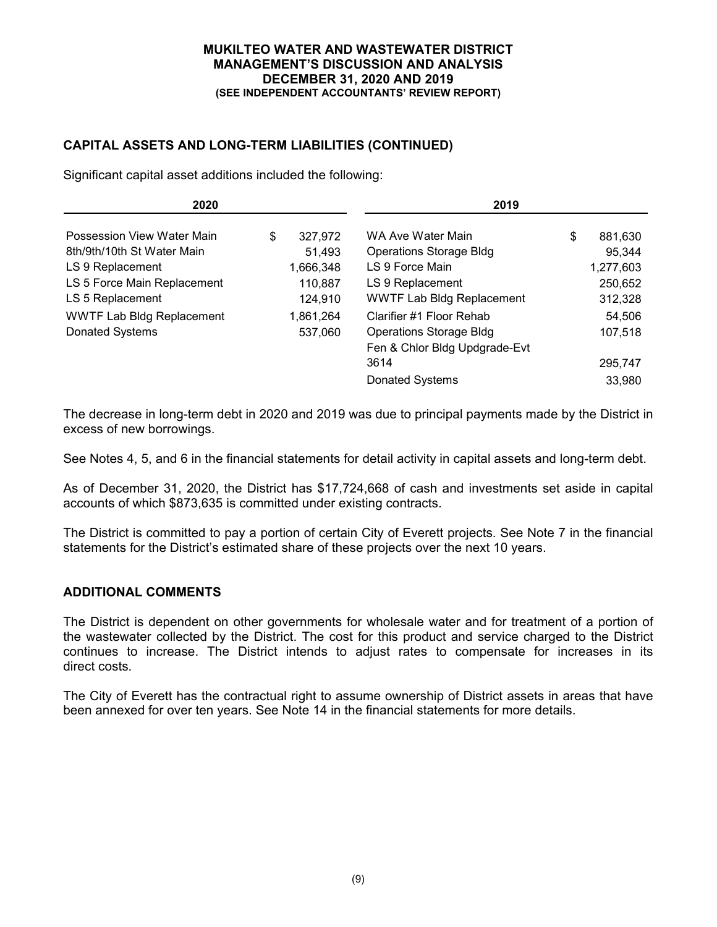# **CAPITAL ASSETS AND LONG-TERM LIABILITIES (CONTINUED)**

Significant capital asset additions included the following:

| 2020                             |               | 2019                             |    |           |  |  |  |  |
|----------------------------------|---------------|----------------------------------|----|-----------|--|--|--|--|
| Possession View Water Main       | \$<br>327,972 | WA Ave Water Main                | \$ | 881,630   |  |  |  |  |
| 8th/9th/10th St Water Main       | 51,493        | <b>Operations Storage Bldg</b>   |    | 95,344    |  |  |  |  |
| LS 9 Replacement                 | 1,666,348     | LS 9 Force Main                  |    | 1,277,603 |  |  |  |  |
| LS 5 Force Main Replacement      | 110,887       | LS 9 Replacement                 |    | 250,652   |  |  |  |  |
| LS 5 Replacement                 | 124,910       | <b>WWTF Lab Bldg Replacement</b> |    | 312,328   |  |  |  |  |
| <b>WWTF Lab Bldg Replacement</b> | 1,861,264     | Clarifier #1 Floor Rehab         |    | 54,506    |  |  |  |  |
| Donated Systems                  | 537,060       | <b>Operations Storage Bldg</b>   |    | 107,518   |  |  |  |  |
|                                  |               | Fen & Chlor Bldg Updgrade-Evt    |    |           |  |  |  |  |
|                                  |               | 3614                             |    | 295,747   |  |  |  |  |
|                                  |               | Donated Systems                  |    | 33,980    |  |  |  |  |

The decrease in long-term debt in 2020 and 2019 was due to principal payments made by the District in excess of new borrowings.

See Notes 4, 5, and 6 in the financial statements for detail activity in capital assets and long-term debt.

As of December 31, 2020, the District has \$17,724,668 of cash and investments set aside in capital accounts of which \$873,635 is committed under existing contracts.

The District is committed to pay a portion of certain City of Everett projects. See Note 7 in the financial statements for the District's estimated share of these projects over the next 10 years.

# **ADDITIONAL COMMENTS**

The District is dependent on other governments for wholesale water and for treatment of a portion of the wastewater collected by the District. The cost for this product and service charged to the District continues to increase. The District intends to adjust rates to compensate for increases in its direct costs.

The City of Everett has the contractual right to assume ownership of District assets in areas that have been annexed for over ten years. See Note 14 in the financial statements for more details.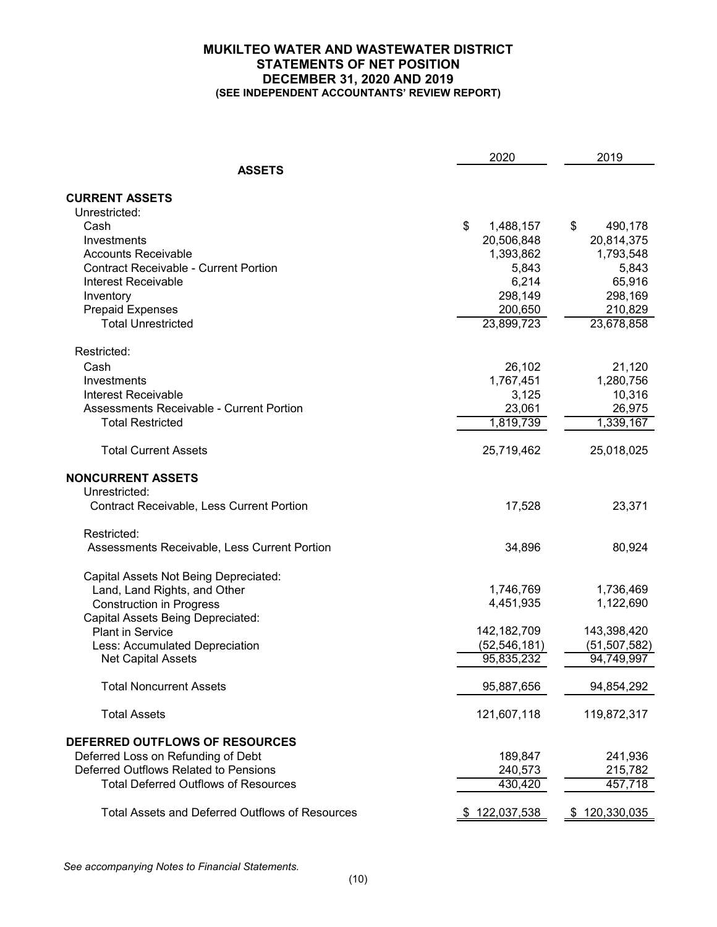### **MUKILTEO WATER AND WASTEWATER DISTRICT STATEMENTS OF NET POSITION DECEMBER 31, 2020 AND 2019 (SEE INDEPENDENT ACCOUNTANTS' REVIEW REPORT)**

|                                                        | 2020            | 2019           |
|--------------------------------------------------------|-----------------|----------------|
| <b>ASSETS</b>                                          |                 |                |
| <b>CURRENT ASSETS</b>                                  |                 |                |
| Unrestricted:                                          |                 |                |
| Cash                                                   | \$<br>1,488,157 | \$<br>490,178  |
| Investments                                            | 20,506,848      | 20,814,375     |
| <b>Accounts Receivable</b>                             | 1,393,862       | 1,793,548      |
| <b>Contract Receivable - Current Portion</b>           | 5,843           | 5,843          |
| Interest Receivable                                    | 6,214           | 65,916         |
| Inventory                                              | 298,149         | 298,169        |
| <b>Prepaid Expenses</b>                                | 200,650         | 210,829        |
| <b>Total Unrestricted</b>                              | 23,899,723      | 23,678,858     |
| Restricted:                                            |                 |                |
| Cash                                                   | 26,102          | 21,120         |
| Investments                                            | 1,767,451       | 1,280,756      |
| Interest Receivable                                    | 3,125           | 10,316         |
| <b>Assessments Receivable - Current Portion</b>        | 23,061          | 26,975         |
| <b>Total Restricted</b>                                | 1,819,739       | 1,339,167      |
|                                                        |                 |                |
| <b>Total Current Assets</b>                            | 25,719,462      | 25,018,025     |
| <b>NONCURRENT ASSETS</b>                               |                 |                |
| Unrestricted:                                          |                 |                |
| <b>Contract Receivable, Less Current Portion</b>       | 17,528          | 23,371         |
| Restricted:                                            |                 |                |
| Assessments Receivable, Less Current Portion           | 34,896          | 80,924         |
| Capital Assets Not Being Depreciated:                  |                 |                |
| Land, Land Rights, and Other                           | 1,746,769       | 1,736,469      |
| <b>Construction in Progress</b>                        | 4,451,935       | 1,122,690      |
| Capital Assets Being Depreciated:                      |                 |                |
| <b>Plant in Service</b>                                | 142, 182, 709   | 143,398,420    |
| Less: Accumulated Depreciation                         | (52, 546, 181)  | (51, 507, 582) |
| <b>Net Capital Assets</b>                              | 95,835,232      | 94,749,997     |
| <b>Total Noncurrent Assets</b>                         | 95,887,656      | 94,854,292     |
| <b>Total Assets</b>                                    | 121,607,118     | 119,872,317    |
| DEFERRED OUTFLOWS OF RESOURCES                         |                 |                |
| Deferred Loss on Refunding of Debt                     | 189,847         | 241,936        |
| Deferred Outflows Related to Pensions                  | 240,573         | 215,782        |
| <b>Total Deferred Outflows of Resources</b>            | 430,420         | 457,718        |
| <b>Total Assets and Deferred Outflows of Resources</b> | \$122,037,538   | \$120,330,035  |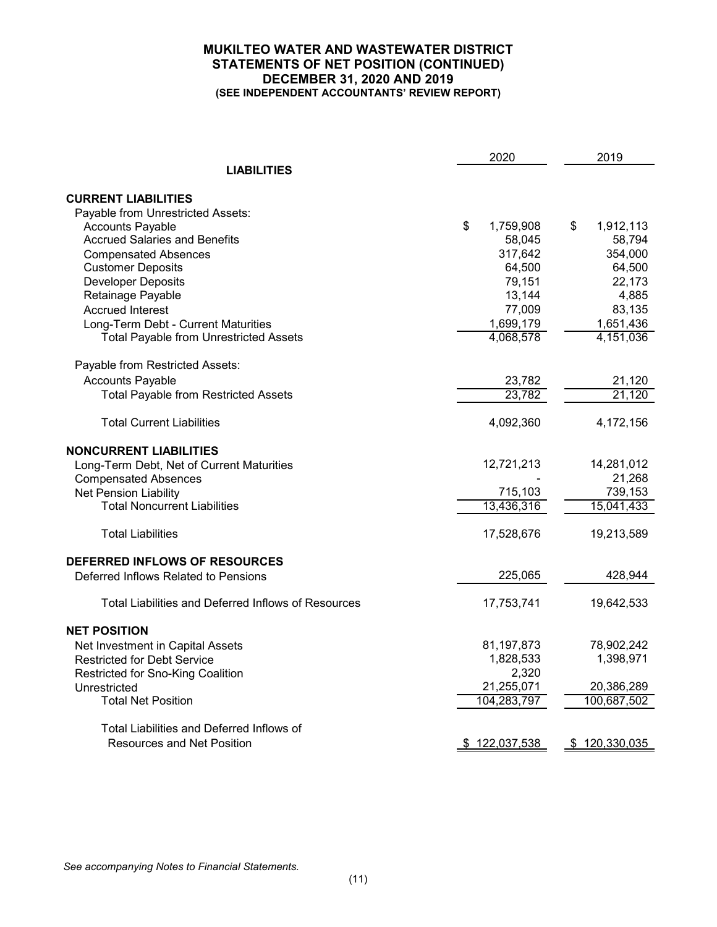### **MUKILTEO WATER AND WASTEWATER DISTRICT STATEMENTS OF NET POSITION (CONTINUED) DECEMBER 31, 2020 AND 2019 (SEE INDEPENDENT ACCOUNTANTS' REVIEW REPORT)**

|                                                     | 2020            | 2019            |
|-----------------------------------------------------|-----------------|-----------------|
| <b>LIABILITIES</b>                                  |                 |                 |
| <b>CURRENT LIABILITIES</b>                          |                 |                 |
| Payable from Unrestricted Assets:                   |                 |                 |
| <b>Accounts Payable</b>                             | \$<br>1,759,908 | \$<br>1,912,113 |
| <b>Accrued Salaries and Benefits</b>                | 58,045          | 58,794          |
| <b>Compensated Absences</b>                         | 317,642         | 354,000         |
| <b>Customer Deposits</b>                            | 64,500          | 64,500          |
| <b>Developer Deposits</b>                           | 79,151          | 22,173          |
| Retainage Payable                                   | 13,144          | 4,885           |
| <b>Accrued Interest</b>                             | 77,009          | 83,135          |
| Long-Term Debt - Current Maturities                 | 1,699,179       | 1,651,436       |
| <b>Total Payable from Unrestricted Assets</b>       | 4,068,578       | 4,151,036       |
| Payable from Restricted Assets:                     |                 |                 |
| <b>Accounts Payable</b>                             | 23,782          | 21,120          |
| <b>Total Payable from Restricted Assets</b>         | 23,782          | 21,120          |
| <b>Total Current Liabilities</b>                    | 4,092,360       | 4,172,156       |
| <b>NONCURRENT LIABILITIES</b>                       |                 |                 |
| Long-Term Debt, Net of Current Maturities           | 12,721,213      | 14,281,012      |
| <b>Compensated Absences</b>                         |                 | 21,268          |
| Net Pension Liability                               | 715,103         | 739,153         |
| <b>Total Noncurrent Liabilities</b>                 | 13,436,316      | 15,041,433      |
| <b>Total Liabilities</b>                            | 17,528,676      | 19,213,589      |
| DEFERRED INFLOWS OF RESOURCES                       |                 |                 |
| Deferred Inflows Related to Pensions                | 225,065         | 428,944         |
| Total Liabilities and Deferred Inflows of Resources | 17,753,741      | 19,642,533      |
| <b>NET POSITION</b>                                 |                 |                 |
| Net Investment in Capital Assets                    | 81, 197, 873    | 78,902,242      |
| <b>Restricted for Debt Service</b>                  | 1,828,533       | 1,398,971       |
| Restricted for Sno-King Coalition                   | 2,320           |                 |
| Unrestricted                                        | 21,255,071      | 20,386,289      |
| <b>Total Net Position</b>                           | 104,283,797     | 100,687,502     |
| Total Liabilities and Deferred Inflows of           |                 |                 |
| <b>Resources and Net Position</b>                   | \$122,037,538   | \$120,330,035   |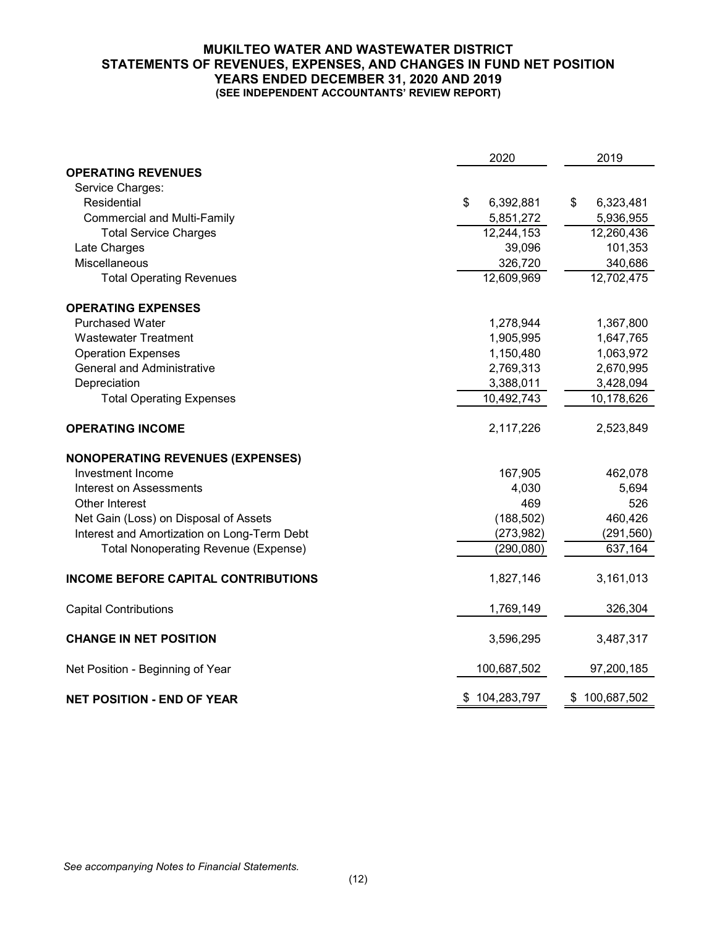### **MUKILTEO WATER AND WASTEWATER DISTRICT STATEMENTS OF REVENUES, EXPENSES, AND CHANGES IN FUND NET POSITION YEARS ENDED DECEMBER 31, 2020 AND 2019 (SEE INDEPENDENT ACCOUNTANTS' REVIEW REPORT)**

|                                             | 2020            | 2019              |
|---------------------------------------------|-----------------|-------------------|
| <b>OPERATING REVENUES</b>                   |                 |                   |
| Service Charges:                            |                 |                   |
| Residential                                 | \$<br>6,392,881 | \$<br>6,323,481   |
| <b>Commercial and Multi-Family</b>          | 5,851,272       | 5,936,955         |
| <b>Total Service Charges</b>                | 12,244,153      | 12,260,436        |
| Late Charges                                | 39,096          | 101,353           |
| Miscellaneous                               | 326,720         | 340,686           |
| <b>Total Operating Revenues</b>             | 12,609,969      | 12,702,475        |
| <b>OPERATING EXPENSES</b>                   |                 |                   |
| <b>Purchased Water</b>                      | 1,278,944       | 1,367,800         |
| <b>Wastewater Treatment</b>                 | 1,905,995       | 1,647,765         |
| <b>Operation Expenses</b>                   | 1,150,480       | 1,063,972         |
| <b>General and Administrative</b>           | 2,769,313       | 2,670,995         |
| Depreciation                                | 3,388,011       | 3,428,094         |
| <b>Total Operating Expenses</b>             | 10,492,743      | 10,178,626        |
| <b>OPERATING INCOME</b>                     | 2,117,226       | 2,523,849         |
| <b>NONOPERATING REVENUES (EXPENSES)</b>     |                 |                   |
| Investment Income                           | 167,905         | 462,078           |
| <b>Interest on Assessments</b>              | 4,030           | 5,694             |
| Other Interest                              | 469             | 526               |
| Net Gain (Loss) on Disposal of Assets       | (188, 502)      | 460,426           |
| Interest and Amortization on Long-Term Debt | (273, 982)      | (291, 560)        |
| <b>Total Nonoperating Revenue (Expense)</b> | (290, 080)      | 637,164           |
| <b>INCOME BEFORE CAPITAL CONTRIBUTIONS</b>  | 1,827,146       | 3,161,013         |
| <b>Capital Contributions</b>                | 1,769,149       | 326,304           |
| <b>CHANGE IN NET POSITION</b>               | 3,596,295       | 3,487,317         |
| Net Position - Beginning of Year            | 100,687,502     | 97,200,185        |
| <b>NET POSITION - END OF YEAR</b>           | \$104,283,797   | 100,687,502<br>\$ |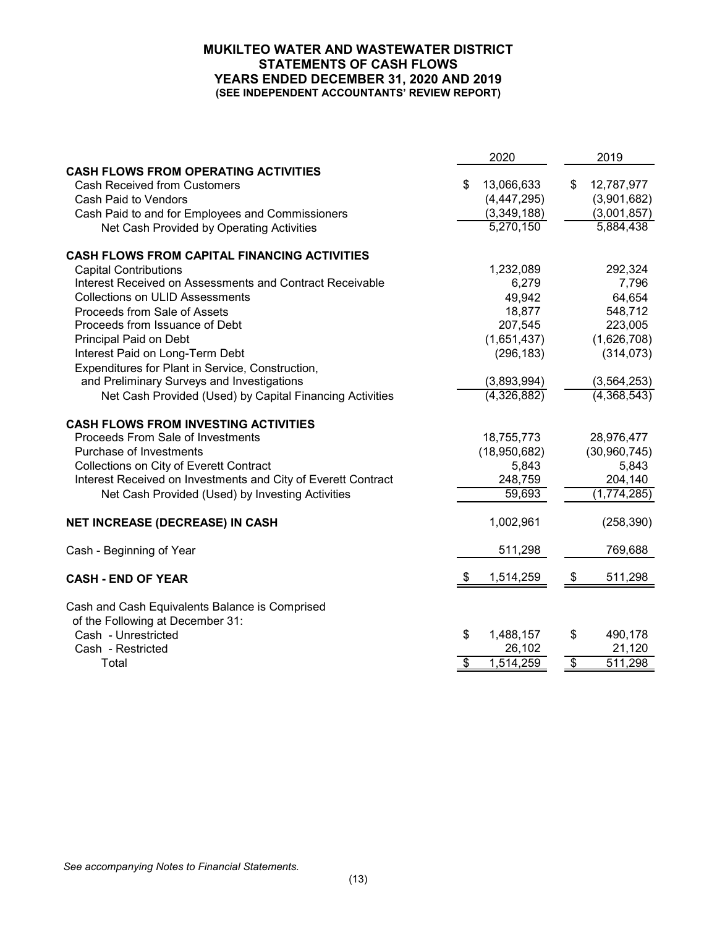### **MUKILTEO WATER AND WASTEWATER DISTRICT STATEMENTS OF CASH FLOWS YEARS ENDED DECEMBER 31, 2020 AND 2019 (SEE INDEPENDENT ACCOUNTANTS' REVIEW REPORT)**

| <b>CASH FLOWS FROM OPERATING ACTIVITIES</b><br>13,066,633<br>\$<br>\$<br>12,787,977<br><b>Cash Received from Customers</b><br>(4,447,295)<br>(3,901,682)<br>Cash Paid to Vendors<br>(3,001,857)<br>(3,349,188)<br>Cash Paid to and for Employees and Commissioners<br>5,270,150<br>5,884,438<br>Net Cash Provided by Operating Activities<br><b>CASH FLOWS FROM CAPITAL FINANCING ACTIVITIES</b><br>1,232,089<br>292,324<br><b>Capital Contributions</b><br>7,796<br>Interest Received on Assessments and Contract Receivable<br>6,279<br><b>Collections on ULID Assessments</b><br>49,942<br>64,654<br>18,877<br>548,712<br>Proceeds from Sale of Assets<br>207,545<br>223,005<br>Proceeds from Issuance of Debt<br>(1,651,437)<br>(1,626,708)<br>Principal Paid on Debt<br>(296, 183)<br>(314, 073)<br>Interest Paid on Long-Term Debt<br>Expenditures for Plant in Service, Construction, |
|----------------------------------------------------------------------------------------------------------------------------------------------------------------------------------------------------------------------------------------------------------------------------------------------------------------------------------------------------------------------------------------------------------------------------------------------------------------------------------------------------------------------------------------------------------------------------------------------------------------------------------------------------------------------------------------------------------------------------------------------------------------------------------------------------------------------------------------------------------------------------------------------|
|                                                                                                                                                                                                                                                                                                                                                                                                                                                                                                                                                                                                                                                                                                                                                                                                                                                                                              |
|                                                                                                                                                                                                                                                                                                                                                                                                                                                                                                                                                                                                                                                                                                                                                                                                                                                                                              |
|                                                                                                                                                                                                                                                                                                                                                                                                                                                                                                                                                                                                                                                                                                                                                                                                                                                                                              |
|                                                                                                                                                                                                                                                                                                                                                                                                                                                                                                                                                                                                                                                                                                                                                                                                                                                                                              |
|                                                                                                                                                                                                                                                                                                                                                                                                                                                                                                                                                                                                                                                                                                                                                                                                                                                                                              |
|                                                                                                                                                                                                                                                                                                                                                                                                                                                                                                                                                                                                                                                                                                                                                                                                                                                                                              |
|                                                                                                                                                                                                                                                                                                                                                                                                                                                                                                                                                                                                                                                                                                                                                                                                                                                                                              |
|                                                                                                                                                                                                                                                                                                                                                                                                                                                                                                                                                                                                                                                                                                                                                                                                                                                                                              |
|                                                                                                                                                                                                                                                                                                                                                                                                                                                                                                                                                                                                                                                                                                                                                                                                                                                                                              |
|                                                                                                                                                                                                                                                                                                                                                                                                                                                                                                                                                                                                                                                                                                                                                                                                                                                                                              |
|                                                                                                                                                                                                                                                                                                                                                                                                                                                                                                                                                                                                                                                                                                                                                                                                                                                                                              |
|                                                                                                                                                                                                                                                                                                                                                                                                                                                                                                                                                                                                                                                                                                                                                                                                                                                                                              |
|                                                                                                                                                                                                                                                                                                                                                                                                                                                                                                                                                                                                                                                                                                                                                                                                                                                                                              |
|                                                                                                                                                                                                                                                                                                                                                                                                                                                                                                                                                                                                                                                                                                                                                                                                                                                                                              |
| and Preliminary Surveys and Investigations<br>(3,893,994)<br>(3, 564, 253)                                                                                                                                                                                                                                                                                                                                                                                                                                                                                                                                                                                                                                                                                                                                                                                                                   |
| (4,326,882)<br>(4,368,543)<br>Net Cash Provided (Used) by Capital Financing Activities                                                                                                                                                                                                                                                                                                                                                                                                                                                                                                                                                                                                                                                                                                                                                                                                       |
| <b>CASH FLOWS FROM INVESTING ACTIVITIES</b>                                                                                                                                                                                                                                                                                                                                                                                                                                                                                                                                                                                                                                                                                                                                                                                                                                                  |
| Proceeds From Sale of Investments<br>18,755,773<br>28,976,477                                                                                                                                                                                                                                                                                                                                                                                                                                                                                                                                                                                                                                                                                                                                                                                                                                |
| Purchase of Investments<br>(18,950,682)<br>(30, 960, 745)                                                                                                                                                                                                                                                                                                                                                                                                                                                                                                                                                                                                                                                                                                                                                                                                                                    |
| Collections on City of Everett Contract<br>5,843<br>5,843                                                                                                                                                                                                                                                                                                                                                                                                                                                                                                                                                                                                                                                                                                                                                                                                                                    |
| Interest Received on Investments and City of Everett Contract<br>204,140<br>248,759                                                                                                                                                                                                                                                                                                                                                                                                                                                                                                                                                                                                                                                                                                                                                                                                          |
| 59,693<br>(1,774,285)<br>Net Cash Provided (Used) by Investing Activities                                                                                                                                                                                                                                                                                                                                                                                                                                                                                                                                                                                                                                                                                                                                                                                                                    |
| 1,002,961<br>(258, 390)<br><b>NET INCREASE (DECREASE) IN CASH</b>                                                                                                                                                                                                                                                                                                                                                                                                                                                                                                                                                                                                                                                                                                                                                                                                                            |
| 511,298<br>769,688<br>Cash - Beginning of Year                                                                                                                                                                                                                                                                                                                                                                                                                                                                                                                                                                                                                                                                                                                                                                                                                                               |
| 1,514,259<br>511,298<br>\$<br>S<br><b>CASH - END OF YEAR</b>                                                                                                                                                                                                                                                                                                                                                                                                                                                                                                                                                                                                                                                                                                                                                                                                                                 |
| Cash and Cash Equivalents Balance is Comprised                                                                                                                                                                                                                                                                                                                                                                                                                                                                                                                                                                                                                                                                                                                                                                                                                                               |
| of the Following at December 31:                                                                                                                                                                                                                                                                                                                                                                                                                                                                                                                                                                                                                                                                                                                                                                                                                                                             |
| \$<br>Cash - Unrestricted<br>1,488,157<br>\$<br>490,178                                                                                                                                                                                                                                                                                                                                                                                                                                                                                                                                                                                                                                                                                                                                                                                                                                      |
| 21,120<br>Cash - Restricted<br>26,102                                                                                                                                                                                                                                                                                                                                                                                                                                                                                                                                                                                                                                                                                                                                                                                                                                                        |
| 1,514,259<br>\$<br>Total<br>511,298<br>\$                                                                                                                                                                                                                                                                                                                                                                                                                                                                                                                                                                                                                                                                                                                                                                                                                                                    |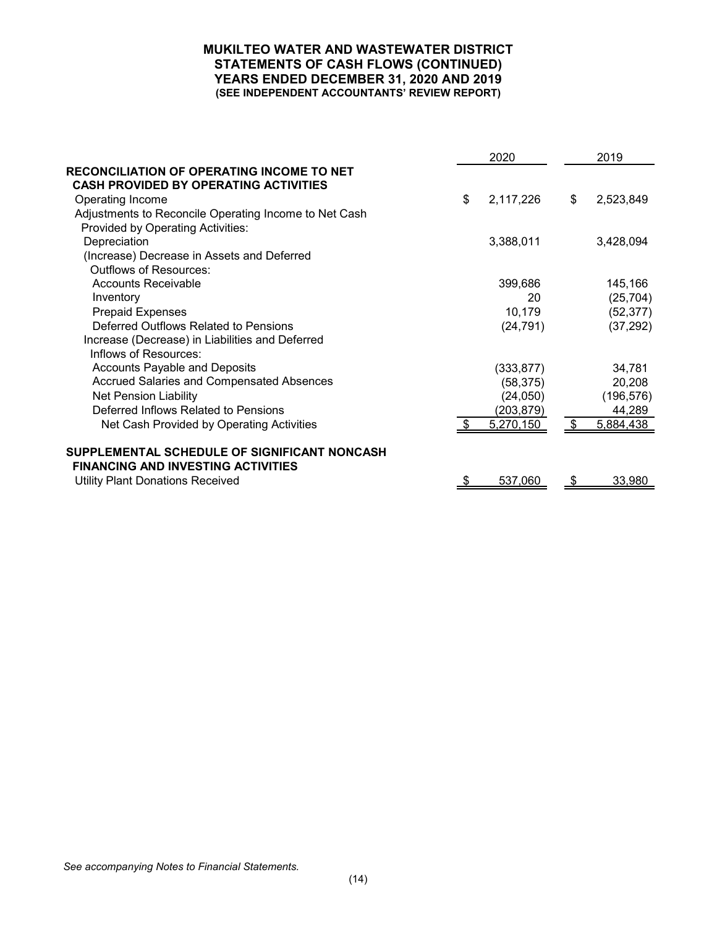### **MUKILTEO WATER AND WASTEWATER DISTRICT STATEMENTS OF CASH FLOWS (CONTINUED) YEARS ENDED DECEMBER 31, 2020 AND 2019 (SEE INDEPENDENT ACCOUNTANTS' REVIEW REPORT)**

|                                                       | 2020            | 2019            |
|-------------------------------------------------------|-----------------|-----------------|
| RECONCILIATION OF OPERATING INCOME TO NET             |                 |                 |
| <b>CASH PROVIDED BY OPERATING ACTIVITIES</b>          |                 |                 |
| Operating Income                                      | \$<br>2,117,226 | \$<br>2,523,849 |
| Adjustments to Reconcile Operating Income to Net Cash |                 |                 |
| Provided by Operating Activities:                     |                 |                 |
| Depreciation                                          | 3,388,011       | 3,428,094       |
| (Increase) Decrease in Assets and Deferred            |                 |                 |
| <b>Outflows of Resources:</b>                         |                 |                 |
| Accounts Receivable                                   | 399,686         | 145,166         |
| Inventory                                             | 20              | (25, 704)       |
| <b>Prepaid Expenses</b>                               | 10,179          | (52, 377)       |
| Deferred Outflows Related to Pensions                 | (24, 791)       | (37, 292)       |
| Increase (Decrease) in Liabilities and Deferred       |                 |                 |
| Inflows of Resources:                                 |                 |                 |
| <b>Accounts Payable and Deposits</b>                  | (333, 877)      | 34,781          |
| <b>Accrued Salaries and Compensated Absences</b>      | (58, 375)       | 20,208          |
| <b>Net Pension Liability</b>                          | (24, 050)       | (196, 576)      |
| Deferred Inflows Related to Pensions                  | (203, 879)      | 44,289          |
| Net Cash Provided by Operating Activities             | 5,270,150       | \$<br>5,884,438 |
|                                                       |                 |                 |
| SUPPLEMENTAL SCHEDULE OF SIGNIFICANT NONCASH          |                 |                 |
| <b>FINANCING AND INVESTING ACTIVITIES</b>             |                 |                 |
| <b>Utility Plant Donations Received</b>               | 537,060         | \$<br>33,980    |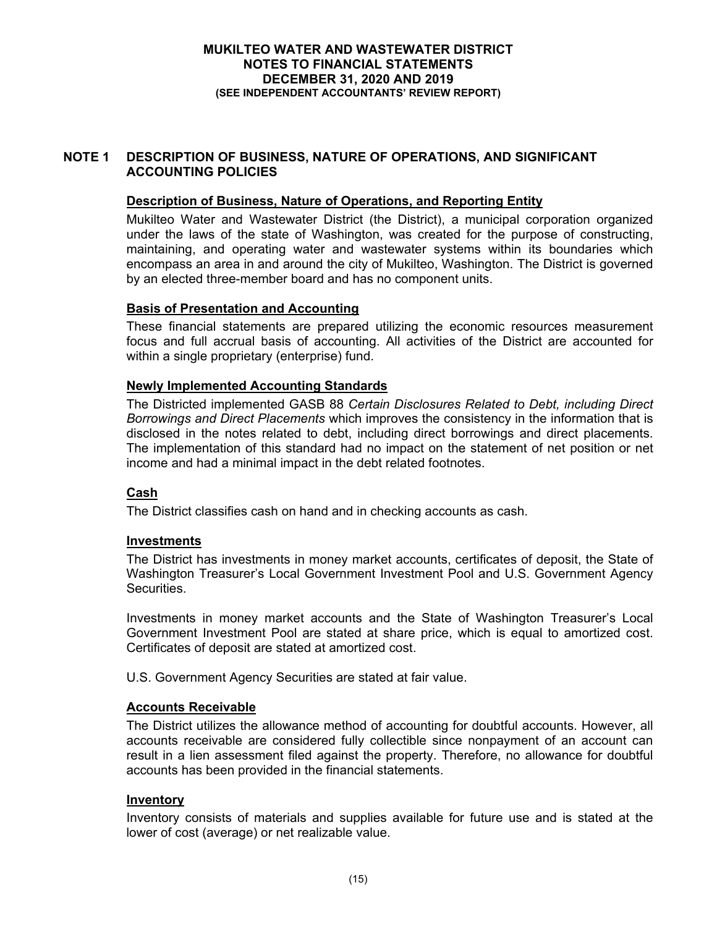# **NOTE 1 DESCRIPTION OF BUSINESS, NATURE OF OPERATIONS, AND SIGNIFICANT ACCOUNTING POLICIES**

# **Description of Business, Nature of Operations, and Reporting Entity**

Mukilteo Water and Wastewater District (the District), a municipal corporation organized under the laws of the state of Washington, was created for the purpose of constructing, maintaining, and operating water and wastewater systems within its boundaries which encompass an area in and around the city of Mukilteo, Washington. The District is governed by an elected three-member board and has no component units.

# **Basis of Presentation and Accounting**

These financial statements are prepared utilizing the economic resources measurement focus and full accrual basis of accounting. All activities of the District are accounted for within a single proprietary (enterprise) fund.

# **Newly Implemented Accounting Standards**

The Districted implemented GASB 88 *Certain Disclosures Related to Debt, including Direct Borrowings and Direct Placements* which improves the consistency in the information that is disclosed in the notes related to debt, including direct borrowings and direct placements. The implementation of this standard had no impact on the statement of net position or net income and had a minimal impact in the debt related footnotes.

# **Cash**

The District classifies cash on hand and in checking accounts as cash.

### **Investments**

The District has investments in money market accounts, certificates of deposit, the State of Washington Treasurer's Local Government Investment Pool and U.S. Government Agency **Securities** 

Investments in money market accounts and the State of Washington Treasurer's Local Government Investment Pool are stated at share price, which is equal to amortized cost. Certificates of deposit are stated at amortized cost.

U.S. Government Agency Securities are stated at fair value.

### **Accounts Receivable**

The District utilizes the allowance method of accounting for doubtful accounts. However, all accounts receivable are considered fully collectible since nonpayment of an account can result in a lien assessment filed against the property. Therefore, no allowance for doubtful accounts has been provided in the financial statements.

### **Inventory**

Inventory consists of materials and supplies available for future use and is stated at the lower of cost (average) or net realizable value.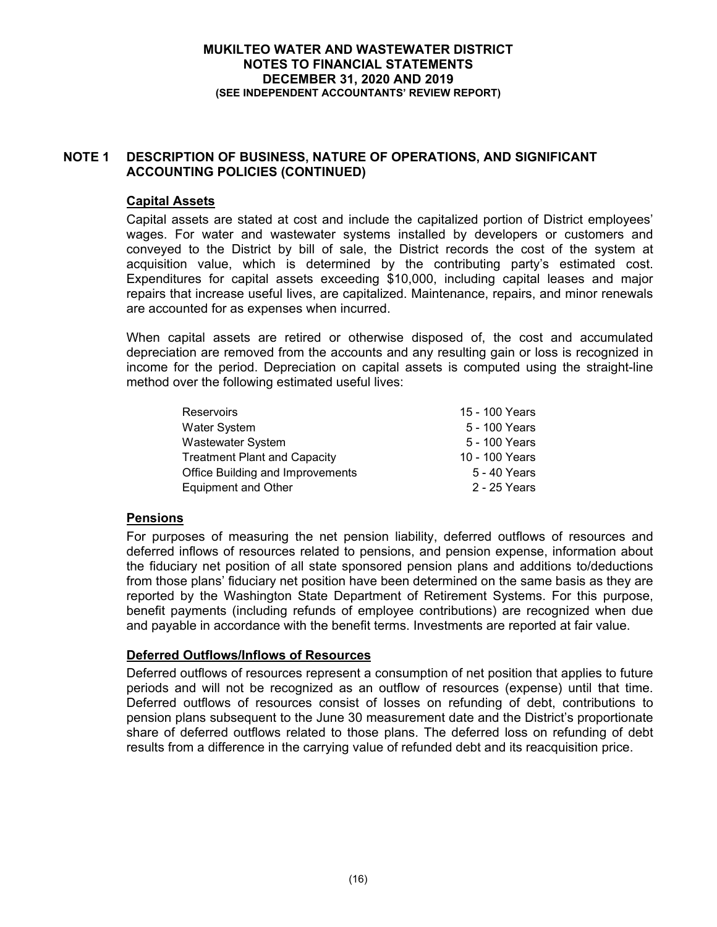# **NOTE 1 DESCRIPTION OF BUSINESS, NATURE OF OPERATIONS, AND SIGNIFICANT ACCOUNTING POLICIES (CONTINUED)**

# **Capital Assets**

Capital assets are stated at cost and include the capitalized portion of District employees' wages. For water and wastewater systems installed by developers or customers and conveyed to the District by bill of sale, the District records the cost of the system at acquisition value, which is determined by the contributing party's estimated cost. Expenditures for capital assets exceeding \$10,000, including capital leases and major repairs that increase useful lives, are capitalized. Maintenance, repairs, and minor renewals are accounted for as expenses when incurred.

When capital assets are retired or otherwise disposed of, the cost and accumulated depreciation are removed from the accounts and any resulting gain or loss is recognized in income for the period. Depreciation on capital assets is computed using the straight-line method over the following estimated useful lives:

| <b>Reservoirs</b>                   | 15 - 100 Years |
|-------------------------------------|----------------|
| <b>Water System</b>                 | 5 - 100 Years  |
| <b>Wastewater System</b>            | 5 - 100 Years  |
| <b>Treatment Plant and Capacity</b> | 10 - 100 Years |
| Office Building and Improvements    | 5 - 40 Years   |
| <b>Equipment and Other</b>          | 2 - 25 Years   |

# **Pensions**

For purposes of measuring the net pension liability, deferred outflows of resources and deferred inflows of resources related to pensions, and pension expense, information about the fiduciary net position of all state sponsored pension plans and additions to/deductions from those plans' fiduciary net position have been determined on the same basis as they are reported by the Washington State Department of Retirement Systems. For this purpose, benefit payments (including refunds of employee contributions) are recognized when due and payable in accordance with the benefit terms. Investments are reported at fair value.

# **Deferred Outflows/Inflows of Resources**

Deferred outflows of resources represent a consumption of net position that applies to future periods and will not be recognized as an outflow of resources (expense) until that time. Deferred outflows of resources consist of losses on refunding of debt, contributions to pension plans subsequent to the June 30 measurement date and the District's proportionate share of deferred outflows related to those plans. The deferred loss on refunding of debt results from a difference in the carrying value of refunded debt and its reacquisition price.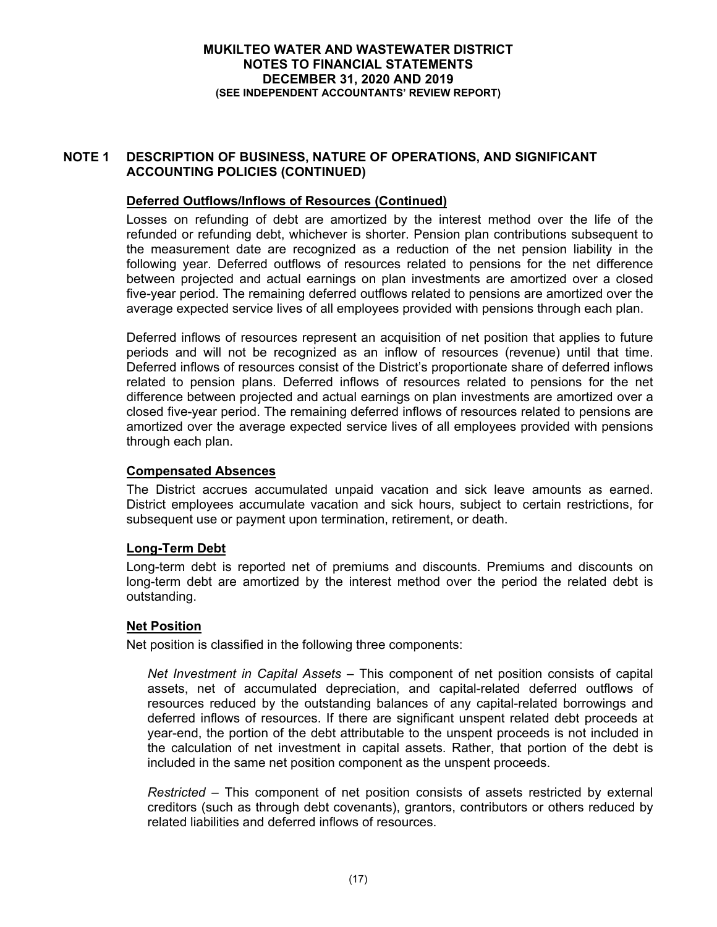# **NOTE 1 DESCRIPTION OF BUSINESS, NATURE OF OPERATIONS, AND SIGNIFICANT ACCOUNTING POLICIES (CONTINUED)**

# **Deferred Outflows/Inflows of Resources (Continued)**

Losses on refunding of debt are amortized by the interest method over the life of the refunded or refunding debt, whichever is shorter. Pension plan contributions subsequent to the measurement date are recognized as a reduction of the net pension liability in the following year. Deferred outflows of resources related to pensions for the net difference between projected and actual earnings on plan investments are amortized over a closed five-year period. The remaining deferred outflows related to pensions are amortized over the average expected service lives of all employees provided with pensions through each plan.

Deferred inflows of resources represent an acquisition of net position that applies to future periods and will not be recognized as an inflow of resources (revenue) until that time. Deferred inflows of resources consist of the District's proportionate share of deferred inflows related to pension plans. Deferred inflows of resources related to pensions for the net difference between projected and actual earnings on plan investments are amortized over a closed five-year period. The remaining deferred inflows of resources related to pensions are amortized over the average expected service lives of all employees provided with pensions through each plan.

# **Compensated Absences**

The District accrues accumulated unpaid vacation and sick leave amounts as earned. District employees accumulate vacation and sick hours, subject to certain restrictions, for subsequent use or payment upon termination, retirement, or death.

# **Long-Term Debt**

Long-term debt is reported net of premiums and discounts. Premiums and discounts on long-term debt are amortized by the interest method over the period the related debt is outstanding.

# **Net Position**

Net position is classified in the following three components:

*Net Investment in Capital Assets –* This component of net position consists of capital assets, net of accumulated depreciation, and capital-related deferred outflows of resources reduced by the outstanding balances of any capital-related borrowings and deferred inflows of resources. If there are significant unspent related debt proceeds at year-end, the portion of the debt attributable to the unspent proceeds is not included in the calculation of net investment in capital assets. Rather, that portion of the debt is included in the same net position component as the unspent proceeds.

*Restricted –* This component of net position consists of assets restricted by external creditors (such as through debt covenants), grantors, contributors or others reduced by related liabilities and deferred inflows of resources.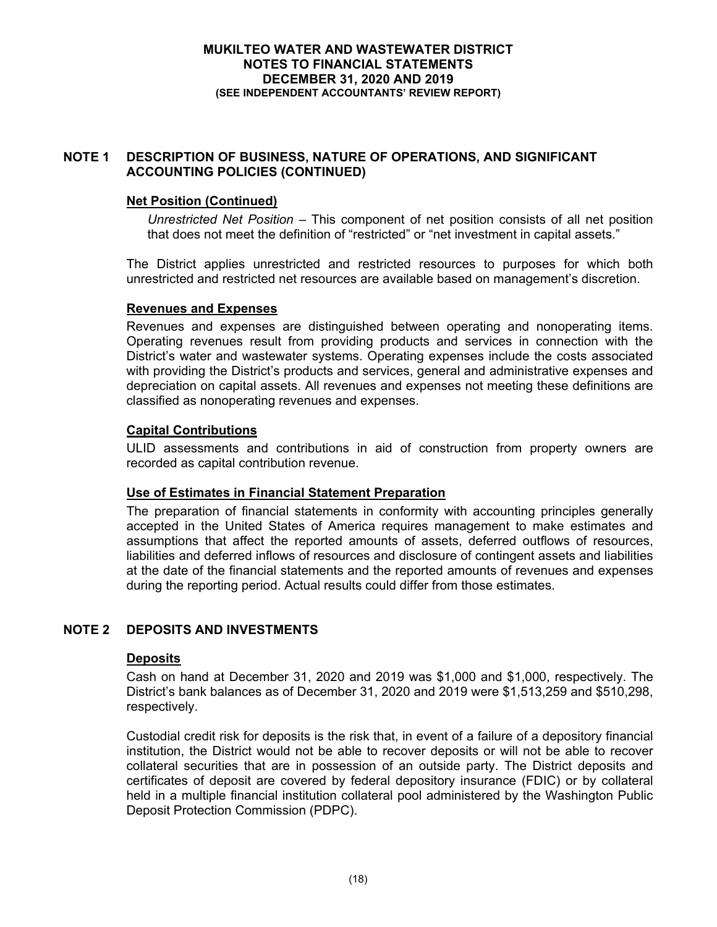# **NOTE 1 DESCRIPTION OF BUSINESS, NATURE OF OPERATIONS, AND SIGNIFICANT ACCOUNTING POLICIES (CONTINUED)**

# **Net Position (Continued)**

*Unrestricted Net Position –* This component of net position consists of all net position that does not meet the definition of "restricted" or "net investment in capital assets."

The District applies unrestricted and restricted resources to purposes for which both unrestricted and restricted net resources are available based on management's discretion.

### **Revenues and Expenses**

Revenues and expenses are distinguished between operating and nonoperating items. Operating revenues result from providing products and services in connection with the District's water and wastewater systems. Operating expenses include the costs associated with providing the District's products and services, general and administrative expenses and depreciation on capital assets. All revenues and expenses not meeting these definitions are classified as nonoperating revenues and expenses.

# **Capital Contributions**

ULID assessments and contributions in aid of construction from property owners are recorded as capital contribution revenue.

### **Use of Estimates in Financial Statement Preparation**

The preparation of financial statements in conformity with accounting principles generally accepted in the United States of America requires management to make estimates and assumptions that affect the reported amounts of assets, deferred outflows of resources, liabilities and deferred inflows of resources and disclosure of contingent assets and liabilities at the date of the financial statements and the reported amounts of revenues and expenses during the reporting period. Actual results could differ from those estimates.

# **NOTE 2 DEPOSITS AND INVESTMENTS**

### **Deposits**

Cash on hand at December 31, 2020 and 2019 was \$1,000 and \$1,000, respectively. The District's bank balances as of December 31, 2020 and 2019 were \$1,513,259 and \$510,298, respectively.

Custodial credit risk for deposits is the risk that, in event of a failure of a depository financial institution, the District would not be able to recover deposits or will not be able to recover collateral securities that are in possession of an outside party. The District deposits and certificates of deposit are covered by federal depository insurance (FDIC) or by collateral held in a multiple financial institution collateral pool administered by the Washington Public Deposit Protection Commission (PDPC).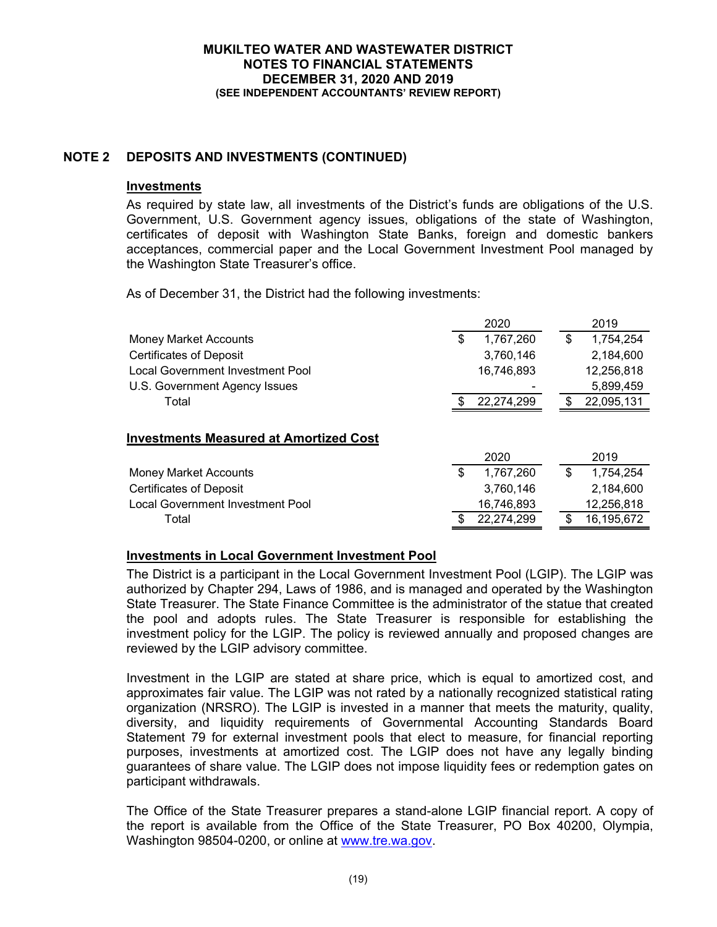# **NOTE 2 DEPOSITS AND INVESTMENTS (CONTINUED)**

### **Investments**

As required by state law, all investments of the District's funds are obligations of the U.S. Government, U.S. Government agency issues, obligations of the state of Washington, certificates of deposit with Washington State Banks, foreign and domestic bankers acceptances, commercial paper and the Local Government Investment Pool managed by the Washington State Treasurer's office.

As of December 31, the District had the following investments:

|                                               | 2020            |    | 2019       |
|-----------------------------------------------|-----------------|----|------------|
| <b>Money Market Accounts</b>                  | \$<br>1,767,260 | \$ | 1,754,254  |
| <b>Certificates of Deposit</b>                | 3,760,146       |    | 2,184,600  |
| <b>Local Government Investment Pool</b>       | 16,746,893      |    | 12,256,818 |
| U.S. Government Agency Issues                 |                 |    | 5,899,459  |
| Total                                         | 22,274,299      | S  | 22,095,131 |
| <b>Investments Measured at Amortized Cost</b> | 2020            |    | 2019       |
| <b>Money Market Accounts</b>                  | \$<br>1,767,260 | \$ | 1,754,254  |
| <b>Certificates of Deposit</b>                | 3,760,146       |    | 2,184,600  |
| <b>Local Government Investment Pool</b>       | 16,746,893      |    | 12,256,818 |
| Total                                         | 22,274,299      |    | 16,195,672 |

# **Investments in Local Government Investment Pool**

The District is a participant in the Local Government Investment Pool (LGIP). The LGIP was authorized by Chapter 294, Laws of 1986, and is managed and operated by the Washington State Treasurer. The State Finance Committee is the administrator of the statue that created the pool and adopts rules. The State Treasurer is responsible for establishing the investment policy for the LGIP. The policy is reviewed annually and proposed changes are reviewed by the LGIP advisory committee.

Investment in the LGIP are stated at share price, which is equal to amortized cost, and approximates fair value. The LGIP was not rated by a nationally recognized statistical rating organization (NRSRO). The LGIP is invested in a manner that meets the maturity, quality, diversity, and liquidity requirements of Governmental Accounting Standards Board Statement 79 for external investment pools that elect to measure, for financial reporting purposes, investments at amortized cost. The LGIP does not have any legally binding guarantees of share value. The LGIP does not impose liquidity fees or redemption gates on participant withdrawals.

The Office of the State Treasurer prepares a stand-alone LGIP financial report. A copy of the report is available from the Office of the State Treasurer, PO Box 40200, Olympia, Washington 98504-0200, or online at www.tre.wa.gov.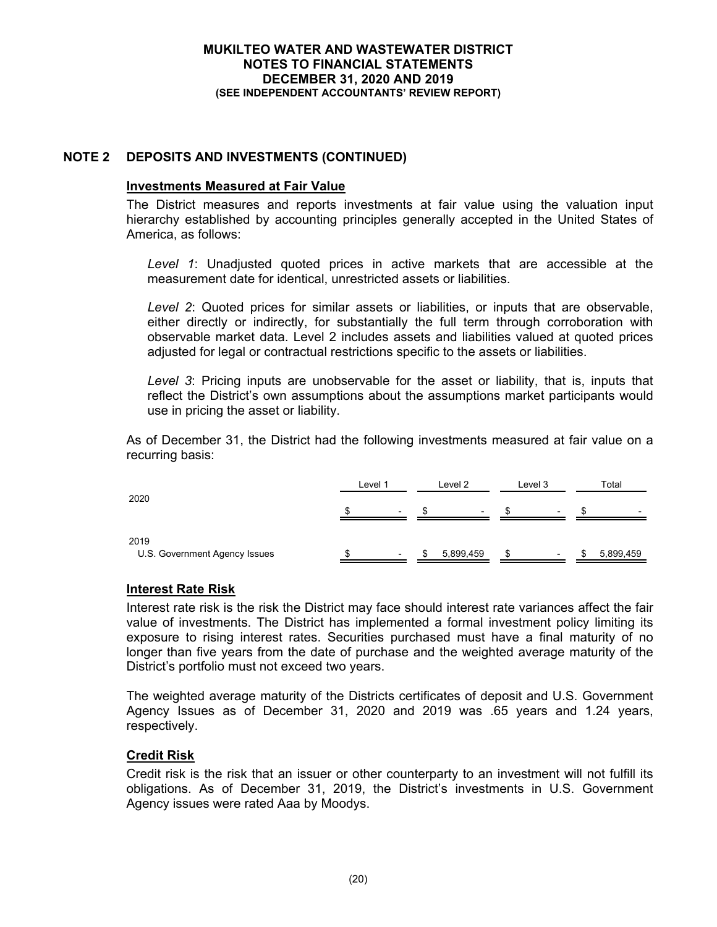# **NOTE 2 DEPOSITS AND INVESTMENTS (CONTINUED)**

### **Investments Measured at Fair Value**

The District measures and reports investments at fair value using the valuation input hierarchy established by accounting principles generally accepted in the United States of America, as follows:

*Level 1*: Unadjusted quoted prices in active markets that are accessible at the measurement date for identical, unrestricted assets or liabilities.

*Level 2*: Quoted prices for similar assets or liabilities, or inputs that are observable, either directly or indirectly, for substantially the full term through corroboration with observable market data. Level 2 includes assets and liabilities valued at quoted prices adjusted for legal or contractual restrictions specific to the assets or liabilities.

*Level 3*: Pricing inputs are unobservable for the asset or liability, that is, inputs that reflect the District's own assumptions about the assumptions market participants would use in pricing the asset or liability.

As of December 31, the District had the following investments measured at fair value on a recurring basis:

|                                       | Level 1                  | Level 2   | Level 3                  | Total                    |
|---------------------------------------|--------------------------|-----------|--------------------------|--------------------------|
| 2020                                  | $\overline{\phantom{0}}$ |           | $\overline{\phantom{0}}$ | $\overline{\phantom{0}}$ |
| 2019<br>U.S. Government Agency Issues | $\overline{\phantom{0}}$ | 5,899,459 | $\overline{\phantom{0}}$ | 5,899,459                |

# **Interest Rate Risk**

Interest rate risk is the risk the District may face should interest rate variances affect the fair value of investments. The District has implemented a formal investment policy limiting its exposure to rising interest rates. Securities purchased must have a final maturity of no longer than five years from the date of purchase and the weighted average maturity of the District's portfolio must not exceed two years.

The weighted average maturity of the Districts certificates of deposit and U.S. Government Agency Issues as of December 31, 2020 and 2019 was .65 years and 1.24 years, respectively.

### **Credit Risk**

Credit risk is the risk that an issuer or other counterparty to an investment will not fulfill its obligations. As of December 31, 2019, the District's investments in U.S. Government Agency issues were rated Aaa by Moodys.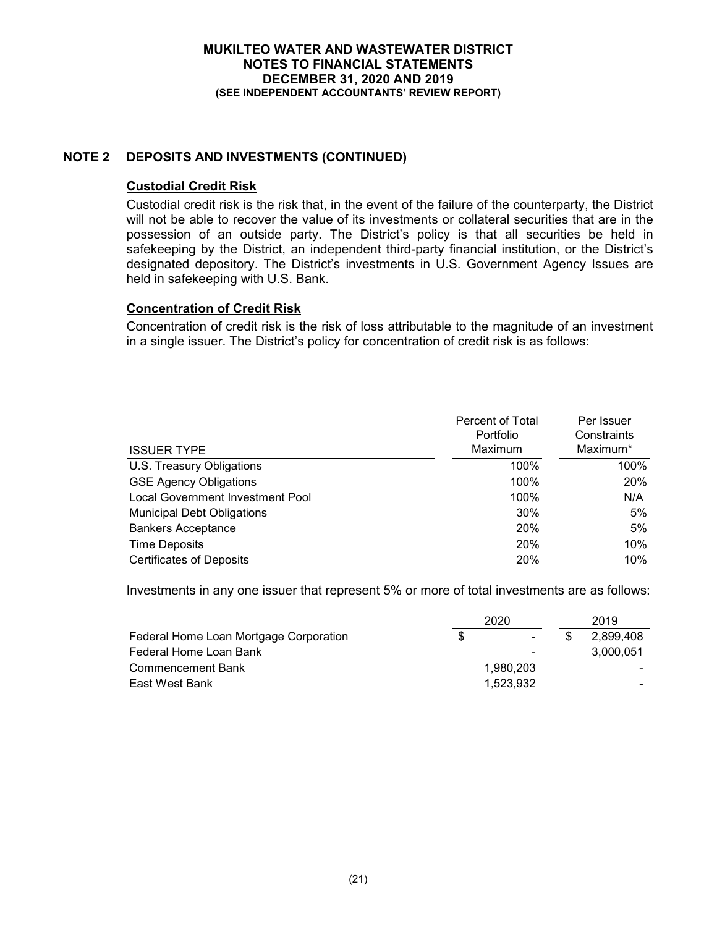# **NOTE 2 DEPOSITS AND INVESTMENTS (CONTINUED)**

# **Custodial Credit Risk**

Custodial credit risk is the risk that, in the event of the failure of the counterparty, the District will not be able to recover the value of its investments or collateral securities that are in the possession of an outside party. The District's policy is that all securities be held in safekeeping by the District, an independent third-party financial institution, or the District's designated depository. The District's investments in U.S. Government Agency Issues are held in safekeeping with U.S. Bank.

# **Concentration of Credit Risk**

Concentration of credit risk is the risk of loss attributable to the magnitude of an investment in a single issuer. The District's policy for concentration of credit risk is as follows:

|                                         | Percent of Total | Per Issuer  |
|-----------------------------------------|------------------|-------------|
|                                         | Portfolio        | Constraints |
| <b>ISSUER TYPE</b>                      | Maximum          | Maximum*    |
| U.S. Treasury Obligations               | 100%             | 100%        |
| <b>GSE Agency Obligations</b>           | 100%             | <b>20%</b>  |
| <b>Local Government Investment Pool</b> | 100%             | N/A         |
| <b>Municipal Debt Obligations</b>       | 30%              | 5%          |
| <b>Bankers Acceptance</b>               | 20%              | 5%          |
| <b>Time Deposits</b>                    | 20%              | 10%         |
| <b>Certificates of Deposits</b>         | 20%              | 10%         |

Investments in any one issuer that represent 5% or more of total investments are as follows:

|                                        |     | 2019           |           |
|----------------------------------------|-----|----------------|-----------|
| Federal Home Loan Mortgage Corporation | \$. | $\sim$         | 2.899.408 |
| Federal Home Loan Bank                 |     | $\blacksquare$ | 3.000.051 |
| <b>Commencement Bank</b>               |     | 1.980.203      |           |
| East West Bank                         |     | 1.523.932      |           |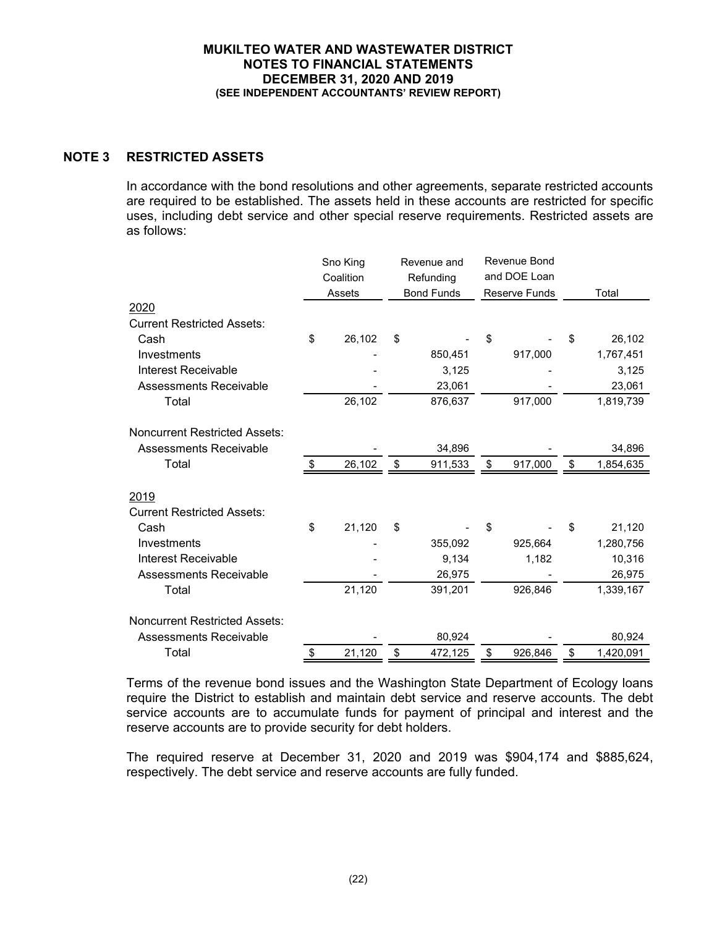# **NOTE 3 RESTRICTED ASSETS**

In accordance with the bond resolutions and other agreements, separate restricted accounts are required to be established. The assets held in these accounts are restricted for specific uses, including debt service and other special reserve requirements. Restricted assets are as follows:

|                                      | Sno King<br>Coalition |        | Revenue and<br>Refunding |                   | Revenue Bond<br>and DOE Loan |                      |                 |
|--------------------------------------|-----------------------|--------|--------------------------|-------------------|------------------------------|----------------------|-----------------|
|                                      |                       | Assets |                          | <b>Bond Funds</b> |                              | <b>Reserve Funds</b> | Total           |
| 2020                                 |                       |        |                          |                   |                              |                      |                 |
| <b>Current Restricted Assets:</b>    |                       |        |                          |                   |                              |                      |                 |
| Cash                                 | \$                    | 26,102 | \$                       |                   | \$                           |                      | \$<br>26,102    |
| Investments                          |                       |        |                          | 850,451           |                              | 917,000              | 1,767,451       |
| <b>Interest Receivable</b>           |                       |        |                          | 3,125             |                              |                      | 3,125           |
| <b>Assessments Receivable</b>        |                       |        |                          | 23,061            |                              |                      | 23,061          |
| Total                                |                       | 26,102 |                          | 876,637           |                              | 917,000              | 1,819,739       |
|                                      |                       |        |                          |                   |                              |                      |                 |
| <b>Noncurrent Restricted Assets:</b> |                       |        |                          |                   |                              |                      |                 |
| Assessments Receivable               |                       |        |                          | 34,896            |                              |                      | 34,896          |
| Total                                | \$                    | 26,102 | \$                       | 911,533           | \$                           | 917,000              | \$<br>1,854,635 |
|                                      |                       |        |                          |                   |                              |                      |                 |
| 2019                                 |                       |        |                          |                   |                              |                      |                 |
| <b>Current Restricted Assets:</b>    |                       |        |                          |                   |                              |                      |                 |
| Cash                                 | \$                    | 21,120 | \$                       |                   | \$                           |                      | \$<br>21,120    |
| Investments                          |                       |        |                          | 355,092           |                              | 925,664              | 1,280,756       |
| Interest Receivable                  |                       |        |                          | 9,134             |                              | 1,182                | 10,316          |
| <b>Assessments Receivable</b>        |                       |        |                          | 26,975            |                              |                      | 26,975          |
| Total                                |                       | 21,120 |                          | 391,201           |                              | 926,846              | 1,339,167       |
| <b>Noncurrent Restricted Assets:</b> |                       |        |                          |                   |                              |                      |                 |
|                                      |                       |        |                          |                   |                              |                      |                 |
| <b>Assessments Receivable</b>        |                       |        |                          | 80,924            |                              |                      | 80,924          |
| Total                                | S                     | 21,120 | \$                       | 472,125           | \$                           | 926,846              | \$<br>1,420,091 |

Terms of the revenue bond issues and the Washington State Department of Ecology loans require the District to establish and maintain debt service and reserve accounts. The debt service accounts are to accumulate funds for payment of principal and interest and the reserve accounts are to provide security for debt holders.

The required reserve at December 31, 2020 and 2019 was \$904,174 and \$885,624, respectively. The debt service and reserve accounts are fully funded.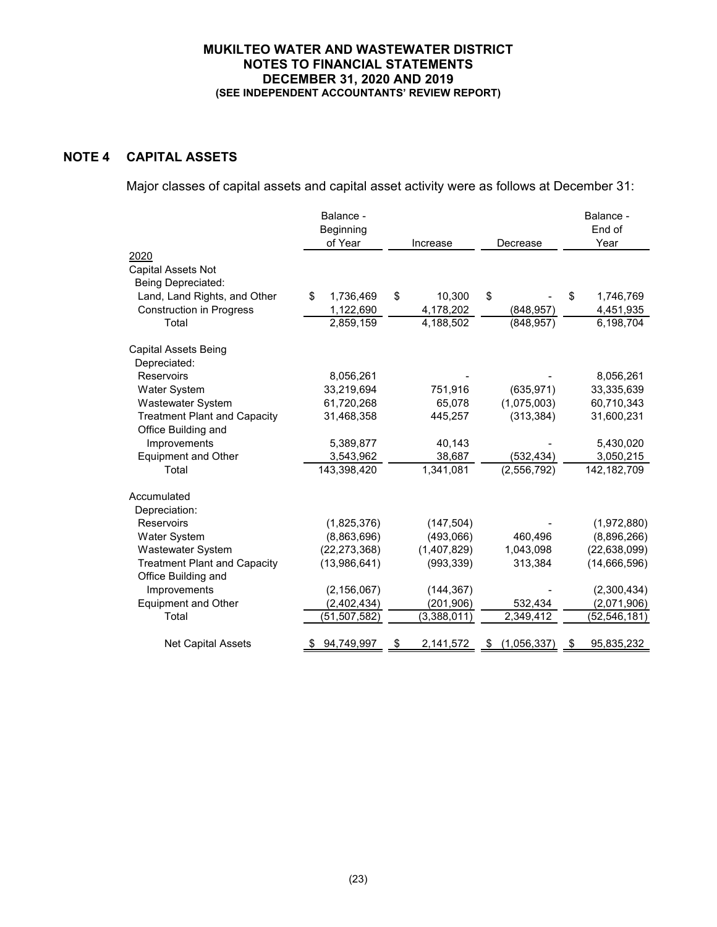# **NOTE 4 CAPITAL ASSETS**

Major classes of capital assets and capital asset activity were as follows at December 31:

|                                     | Balance -<br>Beginning<br>of Year | Increase        |    | Decrease      | Balance -<br>End of<br>Year |
|-------------------------------------|-----------------------------------|-----------------|----|---------------|-----------------------------|
| 2020                                |                                   |                 |    |               |                             |
| <b>Capital Assets Not</b>           |                                   |                 |    |               |                             |
| Being Depreciated:                  |                                   |                 |    |               |                             |
| Land, Land Rights, and Other        | 1,736,469<br>\$                   | \$<br>10,300    | \$ |               | \$<br>1,746,769             |
| <b>Construction in Progress</b>     | 1,122,690                         | 4,178,202       |    | (848, 957)    | 4,451,935                   |
| Total                               | 2,859,159                         | 4,188,502       |    | (848, 957)    | 6,198,704                   |
| <b>Capital Assets Being</b>         |                                   |                 |    |               |                             |
| Depreciated:                        |                                   |                 |    |               |                             |
| Reservoirs                          | 8,056,261                         |                 |    |               | 8,056,261                   |
| Water System                        | 33,219,694                        | 751,916         |    | (635, 971)    | 33,335,639                  |
| Wastewater System                   | 61,720,268                        | 65,078          |    | (1,075,003)   | 60,710,343                  |
| <b>Treatment Plant and Capacity</b> | 31,468,358                        | 445,257         |    | (313, 384)    | 31,600,231                  |
| Office Building and                 |                                   |                 |    |               |                             |
| Improvements                        | 5,389,877                         | 40,143          |    |               | 5,430,020                   |
| <b>Equipment and Other</b>          | 3,543,962                         | 38,687          |    | (532, 434)    | 3,050,215                   |
| Total                               | 143,398,420                       | 1,341,081       |    | (2, 556, 792) | 142, 182, 709               |
| Accumulated                         |                                   |                 |    |               |                             |
| Depreciation:                       |                                   |                 |    |               |                             |
| Reservoirs                          | (1,825,376)                       | (147, 504)      |    |               | (1,972,880)                 |
| Water System                        | (8,863,696)                       | (493,066)       |    | 460,496       | (8,896,266)                 |
| Wastewater System                   | (22, 273, 368)                    | (1,407,829)     |    | 1,043,098     | (22, 638, 099)              |
| <b>Treatment Plant and Capacity</b> | (13,986,641)                      | (993, 339)      |    | 313,384       | (14,666,596)                |
| Office Building and                 |                                   |                 |    |               |                             |
| Improvements                        | (2, 156, 067)                     | (144, 367)      |    |               | (2,300,434)                 |
| <b>Equipment and Other</b>          | (2,402,434)                       | (201, 906)      |    | 532,434       | (2,071,906)                 |
| Total                               | (51, 507, 582)                    | (3,388,011)     |    | 2,349,412     | (52, 546, 181)              |
| <b>Net Capital Assets</b>           | 94,749,997                        | \$<br>2,141,572 | P. | (1,056,337)   | 95,835,232                  |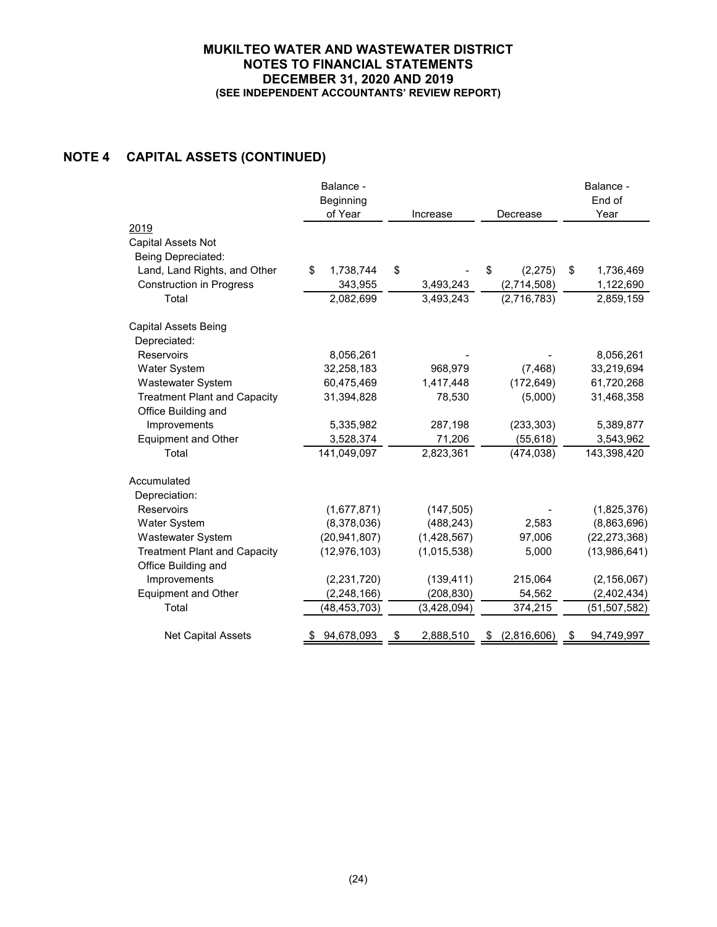# **NOTE 4 CAPITAL ASSETS (CONTINUED)**

|                                     | Balance -       |             |               | Balance -         |
|-------------------------------------|-----------------|-------------|---------------|-------------------|
|                                     | Beginning       |             |               | End of            |
|                                     | of Year         | Increase    | Decrease      | Year              |
| 2019                                |                 |             |               |                   |
| <b>Capital Assets Not</b>           |                 |             |               |                   |
| Being Depreciated:                  |                 |             |               |                   |
| Land, Land Rights, and Other        | \$<br>1,738,744 | \$          | \$<br>(2,275) | \$<br>1,736,469   |
| <b>Construction in Progress</b>     | 343,955         | 3,493,243   | (2,714,508)   | 1,122,690         |
| Total                               | 2,082,699       | 3,493,243   | (2,716,783)   | 2,859,159         |
| <b>Capital Assets Being</b>         |                 |             |               |                   |
| Depreciated:                        |                 |             |               |                   |
| Reservoirs                          | 8,056,261       |             |               | 8,056,261         |
| Water System                        | 32,258,183      | 968,979     | (7, 468)      | 33,219,694        |
| Wastewater System                   | 60,475,469      | 1,417,448   | (172, 649)    | 61,720,268        |
| <b>Treatment Plant and Capacity</b> | 31,394,828      | 78,530      | (5,000)       | 31,468,358        |
| Office Building and                 |                 |             |               |                   |
| Improvements                        | 5,335,982       | 287,198     | (233, 303)    | 5,389,877         |
| <b>Equipment and Other</b>          | 3,528,374       | 71,206      | (55, 618)     | 3,543,962         |
| Total                               | 141,049,097     | 2,823,361   | (474, 038)    | 143,398,420       |
| Accumulated                         |                 |             |               |                   |
| Depreciation:                       |                 |             |               |                   |
| Reservoirs                          | (1,677,871)     | (147, 505)  |               | (1,825,376)       |
| <b>Water System</b>                 | (8,378,036)     | (488, 243)  | 2,583         | (8,863,696)       |
| <b>Wastewater System</b>            | (20, 941, 807)  | (1,428,567) | 97,006        | (22, 273, 368)    |
| <b>Treatment Plant and Capacity</b> | (12, 976, 103)  | (1,015,538) | 5,000         | (13,986,641)      |
| Office Building and                 |                 |             |               |                   |
| Improvements                        | (2, 231, 720)   | (139, 411)  | 215,064       | (2, 156, 067)     |
| <b>Equipment and Other</b>          | (2, 248, 166)   | (208, 830)  | 54,562        | (2,402,434)       |
| Total                               | (48, 453, 703)  | (3,428,094) | 374,215       | (51,507,582)      |
| <b>Net Capital Assets</b>           | 94,678,093      | 2,888,510   | (2,816,606)   | <u>94,749,997</u> |
|                                     |                 |             |               |                   |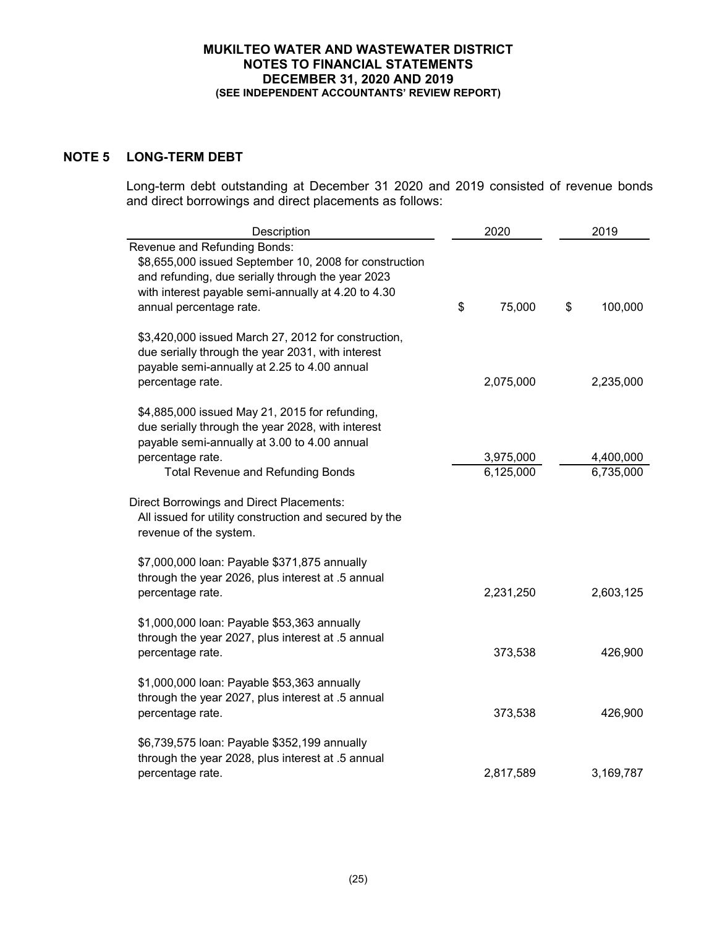# **NOTE 5 LONG-TERM DEBT**

Long-term debt outstanding at December 31 2020 and 2019 consisted of revenue bonds and direct borrowings and direct placements as follows:

| Description                                                                                                                                                                                                                   | 2020                   | 2019                   |
|-------------------------------------------------------------------------------------------------------------------------------------------------------------------------------------------------------------------------------|------------------------|------------------------|
| Revenue and Refunding Bonds:<br>\$8,655,000 issued September 10, 2008 for construction<br>and refunding, due serially through the year 2023<br>with interest payable semi-annually at 4.20 to 4.30<br>annual percentage rate. | \$<br>75,000           | \$<br>100,000          |
| \$3,420,000 issued March 27, 2012 for construction,<br>due serially through the year 2031, with interest<br>payable semi-annually at 2.25 to 4.00 annual<br>percentage rate.                                                  | 2,075,000              | 2,235,000              |
| \$4,885,000 issued May 21, 2015 for refunding,<br>due serially through the year 2028, with interest<br>payable semi-annually at 3.00 to 4.00 annual<br>percentage rate.<br><b>Total Revenue and Refunding Bonds</b>           | 3,975,000<br>6,125,000 | 4,400,000<br>6,735,000 |
| <b>Direct Borrowings and Direct Placements:</b><br>All issued for utility construction and secured by the<br>revenue of the system.                                                                                           |                        |                        |
| \$7,000,000 loan: Payable \$371,875 annually<br>through the year 2026, plus interest at .5 annual<br>percentage rate.                                                                                                         | 2,231,250              | 2,603,125              |
| \$1,000,000 loan: Payable \$53,363 annually<br>through the year 2027, plus interest at .5 annual<br>percentage rate.                                                                                                          | 373,538                | 426,900                |
| \$1,000,000 loan: Payable \$53,363 annually<br>through the year 2027, plus interest at .5 annual<br>percentage rate.                                                                                                          | 373,538                | 426,900                |
| \$6,739,575 loan: Payable \$352,199 annually<br>through the year 2028, plus interest at .5 annual<br>percentage rate.                                                                                                         | 2,817,589              | 3,169,787              |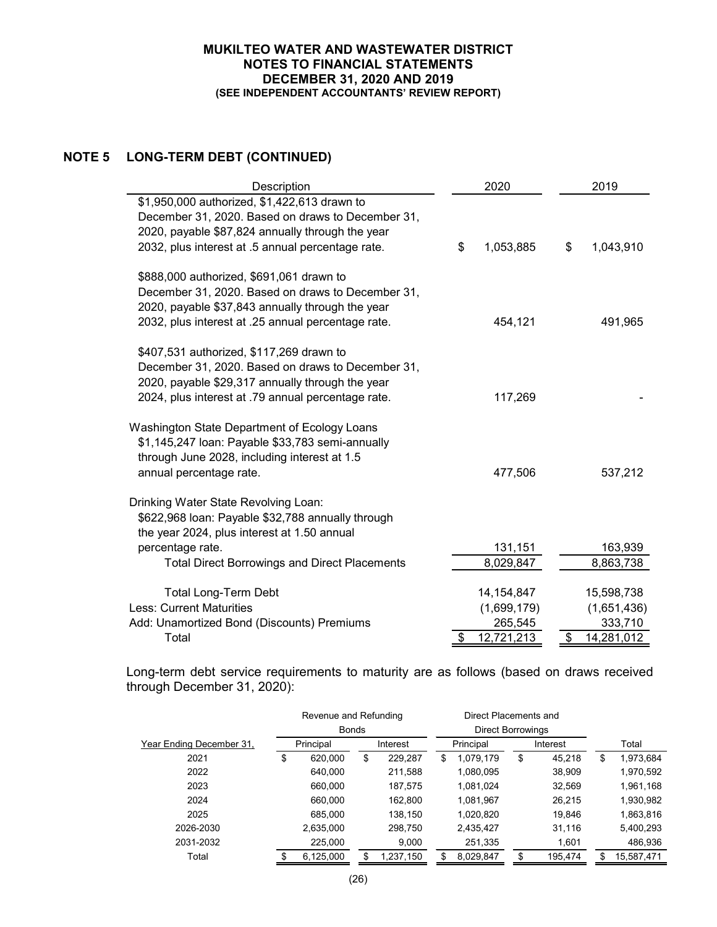# **NOTE 5 LONG-TERM DEBT (CONTINUED)**

| Description                                                                                                                                                                                                | 2020                                                       | 2019                                                     |
|------------------------------------------------------------------------------------------------------------------------------------------------------------------------------------------------------------|------------------------------------------------------------|----------------------------------------------------------|
| \$1,950,000 authorized, \$1,422,613 drawn to<br>December 31, 2020. Based on draws to December 31,<br>2020, payable \$87,824 annually through the year<br>2032, plus interest at .5 annual percentage rate. | \$<br>1,053,885                                            | \$<br>1,043,910                                          |
| \$888,000 authorized, \$691,061 drawn to<br>December 31, 2020. Based on draws to December 31,<br>2020, payable \$37,843 annually through the year<br>2032, plus interest at .25 annual percentage rate.    | 454,121                                                    | 491,965                                                  |
| \$407,531 authorized, \$117,269 drawn to<br>December 31, 2020. Based on draws to December 31,<br>2020, payable \$29,317 annually through the year<br>2024, plus interest at .79 annual percentage rate.    | 117,269                                                    |                                                          |
| Washington State Department of Ecology Loans<br>\$1,145,247 loan: Payable \$33,783 semi-annually<br>through June 2028, including interest at 1.5<br>annual percentage rate.                                | 477,506                                                    | 537,212                                                  |
| Drinking Water State Revolving Loan:<br>\$622,968 loan: Payable \$32,788 annually through<br>the year 2024, plus interest at 1.50 annual<br>percentage rate.                                               | 131,151                                                    | 163,939                                                  |
| <b>Total Direct Borrowings and Direct Placements</b>                                                                                                                                                       | 8,029,847                                                  | 8,863,738                                                |
| <b>Total Long-Term Debt</b><br><b>Less: Current Maturities</b><br>Add: Unamortized Bond (Discounts) Premiums<br>Total                                                                                      | 14, 154, 847<br>(1,699,179)<br>265,545<br>12,721,213<br>\$ | 15,598,738<br>(1,651,436)<br>333,710<br>\$<br>14,281,012 |

Long-term debt service requirements to maturity are as follows (based on draws received through December 31, 2020):

|                          | Revenue and Refunding |              | Direct Placements and |           |   |                          |    |         |    |            |  |           |  |          |  |       |
|--------------------------|-----------------------|--------------|-----------------------|-----------|---|--------------------------|----|---------|----|------------|--|-----------|--|----------|--|-------|
|                          |                       | <b>Bonds</b> |                       |           |   | <b>Direct Borrowings</b> |    |         |    |            |  |           |  |          |  |       |
| Year Ending December 31, |                       | Principal    |                       | Interest  |   |                          |    |         |    |            |  | Principal |  | Interest |  | Total |
| 2021                     | \$                    | 620,000      | \$                    | 229,287   | S | 1,079,179                | \$ | 45,218  | \$ | 1,973,684  |  |           |  |          |  |       |
| 2022                     |                       | 640.000      |                       | 211,588   |   | 1,080,095                |    | 38,909  |    | 1,970,592  |  |           |  |          |  |       |
| 2023                     |                       | 660,000      |                       | 187,575   |   | 1,081,024                |    | 32,569  |    | 1,961,168  |  |           |  |          |  |       |
| 2024                     |                       | 660,000      |                       | 162,800   |   | 1,081,967                |    | 26,215  |    | 1,930,982  |  |           |  |          |  |       |
| 2025                     |                       | 685.000      |                       | 138,150   |   | 1,020,820                |    | 19,846  |    | 1,863,816  |  |           |  |          |  |       |
| 2026-2030                |                       | 2,635,000    |                       | 298,750   |   | 2,435,427                |    | 31,116  |    | 5,400,293  |  |           |  |          |  |       |
| 2031-2032                |                       | 225,000      |                       | 9,000     |   | 251,335                  |    | 1,601   |    | 486,936    |  |           |  |          |  |       |
| Total                    |                       | 6,125,000    |                       | 1,237,150 |   | 8,029,847                |    | 195,474 |    | 15,587,471 |  |           |  |          |  |       |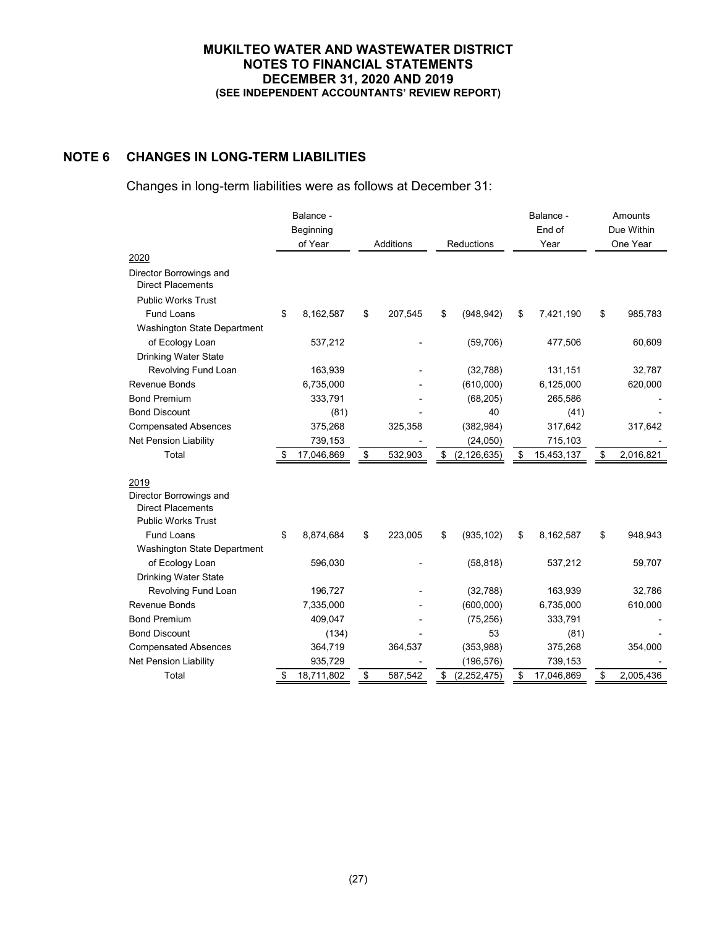# **NOTE 6 CHANGES IN LONG-TERM LIABILITIES**

Changes in long-term liabilities were as follows at December 31:

|                                                     | Balance -            |                         |         |                     |      | Balance -<br>End of | Amounts<br>Due Within |           |
|-----------------------------------------------------|----------------------|-------------------------|---------|---------------------|------|---------------------|-----------------------|-----------|
|                                                     | Beginning<br>of Year | Additions<br>Reductions |         |                     | Year |                     | One Year              |           |
| 2020                                                |                      |                         |         |                     |      |                     |                       |           |
| Director Borrowings and<br><b>Direct Placements</b> |                      |                         |         |                     |      |                     |                       |           |
| <b>Public Works Trust</b>                           |                      |                         |         |                     |      |                     |                       |           |
| <b>Fund Loans</b>                                   | \$<br>8,162,587      | \$                      | 207,545 | \$<br>(948, 942)    | \$   | 7,421,190           | \$                    | 985,783   |
| Washington State Department                         |                      |                         |         |                     |      |                     |                       |           |
| of Ecology Loan                                     | 537,212              |                         |         | (59,706)            |      | 477,506             |                       | 60,609    |
| <b>Drinking Water State</b>                         |                      |                         |         |                     |      |                     |                       |           |
| Revolving Fund Loan                                 | 163,939              |                         |         | (32, 788)           |      | 131,151             |                       | 32,787    |
| <b>Revenue Bonds</b>                                | 6,735,000            |                         |         | (610,000)           |      | 6,125,000           |                       | 620,000   |
| <b>Bond Premium</b>                                 | 333,791              |                         |         | (68, 205)           |      | 265,586             |                       |           |
| <b>Bond Discount</b>                                | (81)                 |                         |         | 40                  |      | (41)                |                       |           |
| <b>Compensated Absences</b>                         | 375,268              |                         | 325,358 | (382, 984)          |      | 317,642             |                       | 317,642   |
| <b>Net Pension Liability</b>                        | 739,153              |                         |         | (24, 050)           |      | 715,103             |                       |           |
| Total                                               | 17,046,869           | \$                      | 532,903 | \$<br>(2, 126, 635) | \$   | 15,453,137          | \$                    | 2,016,821 |
|                                                     |                      |                         |         |                     |      |                     |                       |           |
| 2019                                                |                      |                         |         |                     |      |                     |                       |           |
| Director Borrowings and                             |                      |                         |         |                     |      |                     |                       |           |
| <b>Direct Placements</b>                            |                      |                         |         |                     |      |                     |                       |           |
| <b>Public Works Trust</b>                           |                      |                         |         |                     |      |                     |                       |           |
| Fund Loans                                          | \$<br>8,874,684      | \$                      | 223,005 | \$<br>(935, 102)    | \$   | 8,162,587           | \$                    | 948,943   |
| Washington State Department                         |                      |                         |         |                     |      |                     |                       |           |
| of Ecology Loan                                     | 596,030              |                         |         | (58, 818)           |      | 537,212             |                       | 59,707    |
| <b>Drinking Water State</b>                         |                      |                         |         |                     |      |                     |                       |           |
| Revolving Fund Loan                                 | 196,727              |                         |         | (32, 788)           |      | 163,939             |                       | 32,786    |
| <b>Revenue Bonds</b>                                | 7,335,000            |                         |         | (600,000)           |      | 6,735,000           |                       | 610,000   |
| <b>Bond Premium</b>                                 | 409,047              |                         |         | (75, 256)           |      | 333,791             |                       |           |
| <b>Bond Discount</b>                                | (134)                |                         |         | 53                  |      | (81)                |                       |           |
| <b>Compensated Absences</b>                         | 364,719              |                         | 364,537 | (353,988)           |      | 375,268             |                       | 354,000   |
| Net Pension Liability                               | 935,729              |                         |         | (196, 576)          |      | 739,153             |                       |           |
| Total                                               | \$<br>18,711,802     | \$                      | 587,542 | \$<br>(2, 252, 475) | \$   | 17,046,869          | \$                    | 2,005,436 |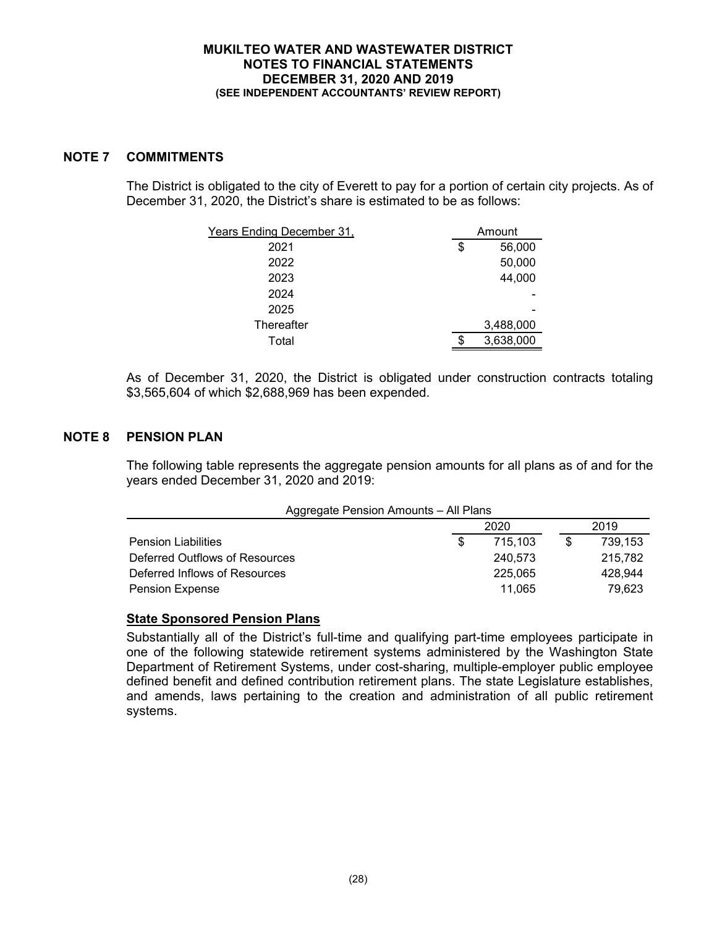# **NOTE 7 COMMITMENTS**

The District is obligated to the city of Everett to pay for a portion of certain city projects. As of December 31, 2020, the District's share is estimated to be as follows:

| Years Ending December 31, | Amount |           |
|---------------------------|--------|-----------|
| 2021                      | \$     | 56,000    |
| 2022                      |        | 50,000    |
| 2023                      |        | 44,000    |
| 2024                      |        |           |
| 2025                      |        |           |
| Thereafter                |        | 3,488,000 |
| Total                     | ß.     | 3,638,000 |

As of December 31, 2020, the District is obligated under construction contracts totaling \$3,565,604 of which \$2,688,969 has been expended.

# **NOTE 8 PENSION PLAN**

The following table represents the aggregate pension amounts for all plans as of and for the years ended December 31, 2020 and 2019:

| Aggregate Pension Amounts - All Plans |              |         |  |         |  |  |  |  |
|---------------------------------------|--------------|---------|--|---------|--|--|--|--|
|                                       | 2019<br>2020 |         |  |         |  |  |  |  |
| <b>Pension Liabilities</b>            | \$.          | 715.103 |  | 739.153 |  |  |  |  |
| Deferred Outflows of Resources        |              | 240.573 |  | 215,782 |  |  |  |  |
| Deferred Inflows of Resources         |              | 225.065 |  | 428.944 |  |  |  |  |
| <b>Pension Expense</b>                |              | 11.065  |  | 79.623  |  |  |  |  |

### **State Sponsored Pension Plans**

Substantially all of the District's full-time and qualifying part-time employees participate in one of the following statewide retirement systems administered by the Washington State Department of Retirement Systems, under cost-sharing, multiple-employer public employee defined benefit and defined contribution retirement plans. The state Legislature establishes, and amends, laws pertaining to the creation and administration of all public retirement systems.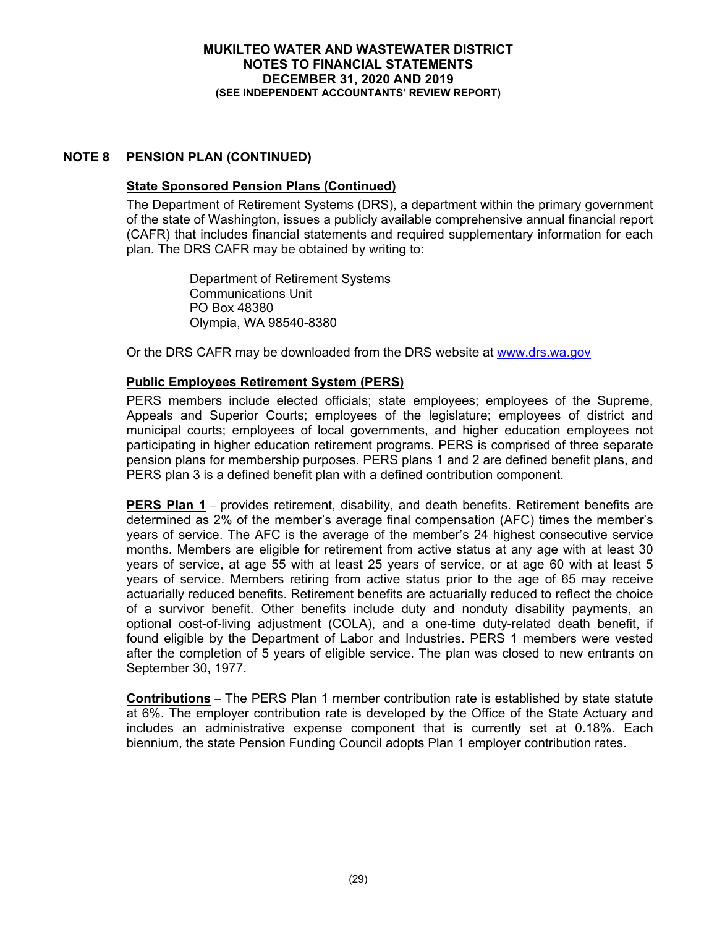# **NOTE 8 PENSION PLAN (CONTINUED)**

# **State Sponsored Pension Plans (Continued)**

The Department of Retirement Systems (DRS), a department within the primary government of the state of Washington, issues a publicly available comprehensive annual financial report (CAFR) that includes financial statements and required supplementary information for each plan. The DRS CAFR may be obtained by writing to:

> Department of Retirement Systems Communications Unit PO Box 48380 Olympia, WA 98540-8380

Or the DRS CAFR may be downloaded from the DRS website at www.drs.wa.gov

# **Public Employees Retirement System (PERS)**

PERS members include elected officials; state employees; employees of the Supreme, Appeals and Superior Courts; employees of the legislature; employees of district and municipal courts; employees of local governments, and higher education employees not participating in higher education retirement programs. PERS is comprised of three separate pension plans for membership purposes. PERS plans 1 and 2 are defined benefit plans, and PERS plan 3 is a defined benefit plan with a defined contribution component.

**PERS Plan 1** – provides retirement, disability, and death benefits. Retirement benefits are determined as 2% of the member's average final compensation (AFC) times the member's years of service. The AFC is the average of the member's 24 highest consecutive service months. Members are eligible for retirement from active status at any age with at least 30 years of service, at age 55 with at least 25 years of service, or at age 60 with at least 5 years of service. Members retiring from active status prior to the age of 65 may receive actuarially reduced benefits. Retirement benefits are actuarially reduced to reflect the choice of a survivor benefit. Other benefits include duty and nonduty disability payments, an optional cost-of-living adjustment (COLA), and a one-time duty-related death benefit, if found eligible by the Department of Labor and Industries. PERS 1 members were vested after the completion of 5 years of eligible service. The plan was closed to new entrants on September 30, 1977.

**Contributions** – The PERS Plan 1 member contribution rate is established by state statute at 6%. The employer contribution rate is developed by the Office of the State Actuary and includes an administrative expense component that is currently set at 0.18%. Each biennium, the state Pension Funding Council adopts Plan 1 employer contribution rates.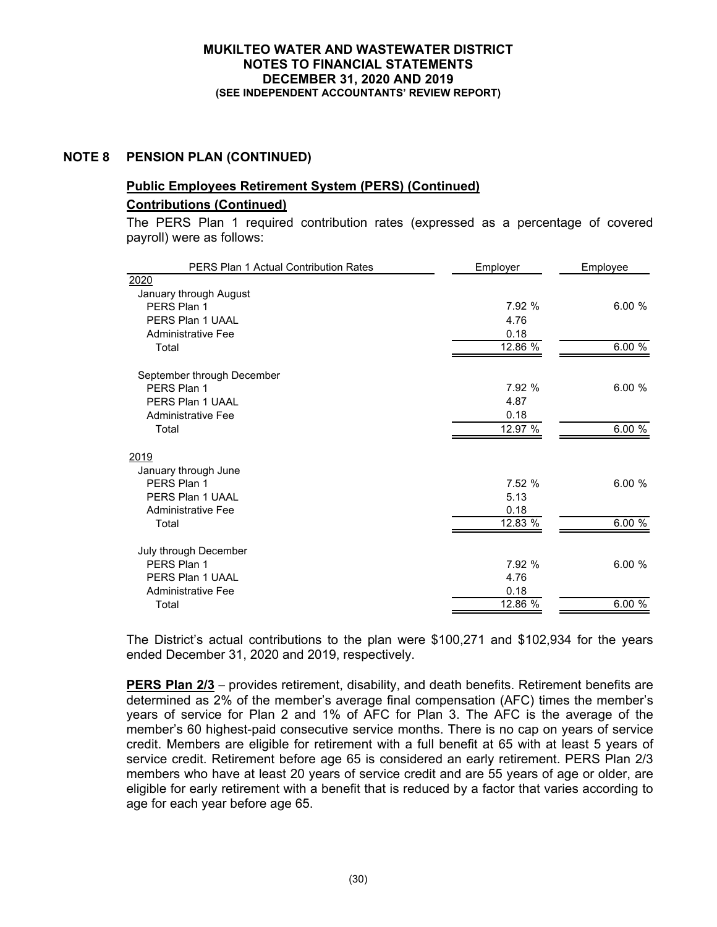# **NOTE 8 PENSION PLAN (CONTINUED)**

# **Public Employees Retirement System (PERS) (Continued)**

### **Contributions (Continued)**

The PERS Plan 1 required contribution rates (expressed as a percentage of covered payroll) were as follows:

| PERS Plan 1 Actual Contribution Rates | Employer | Employee |
|---------------------------------------|----------|----------|
| 2020                                  |          |          |
| January through August                |          |          |
| PFRS Plan 1                           | 7.92 %   | 6.00%    |
| PERS Plan 1 UAAL                      | 4.76     |          |
| <b>Administrative Fee</b>             | 0.18     |          |
| Total                                 | 12.86 %  | 6.00 %   |
| September through December            |          |          |
| PERS Plan 1                           | 7.92 %   | 6.00%    |
| PERS Plan 1 UAAL                      | 4.87     |          |
| <b>Administrative Fee</b>             | 0.18     |          |
| Total                                 | 12.97 %  | 6.00 %   |
| 2019                                  |          |          |
| January through June                  |          |          |
| PERS Plan 1                           | 7.52 %   | 6.00%    |
| PERS Plan 1 UAAL                      | 5.13     |          |
| <b>Administrative Fee</b>             | 0.18     |          |
| Total                                 | 12.83 %  | 6.00 %   |
| July through December                 |          |          |
| PFRS Plan 1                           | 7.92 %   | 6.00%    |
| PERS Plan 1 UAAL                      | 4.76     |          |
| <b>Administrative Fee</b>             | 0.18     |          |
| Total                                 | 12.86 %  | 6.00%    |

The District's actual contributions to the plan were \$100,271 and \$102,934 for the years ended December 31, 2020 and 2019, respectively.

**PERS Plan 2/3** – provides retirement, disability, and death benefits. Retirement benefits are determined as 2% of the member's average final compensation (AFC) times the member's years of service for Plan 2 and 1% of AFC for Plan 3. The AFC is the average of the member's 60 highest-paid consecutive service months. There is no cap on years of service credit. Members are eligible for retirement with a full benefit at 65 with at least 5 years of service credit. Retirement before age 65 is considered an early retirement. PERS Plan 2/3 members who have at least 20 years of service credit and are 55 years of age or older, are eligible for early retirement with a benefit that is reduced by a factor that varies according to age for each year before age 65.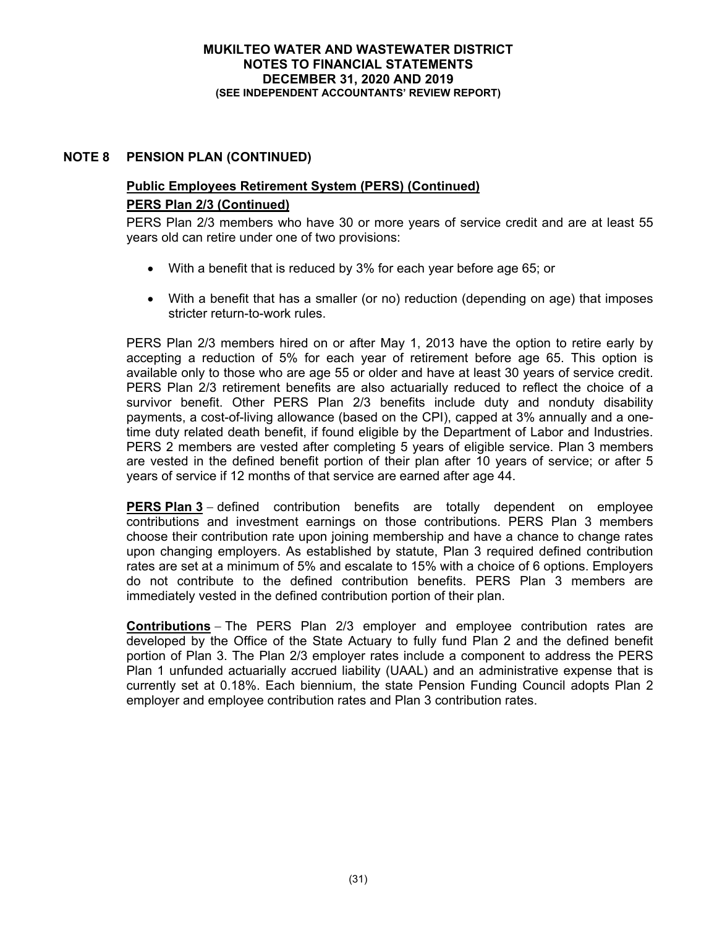# **NOTE 8 PENSION PLAN (CONTINUED)**

# **Public Employees Retirement System (PERS) (Continued) PERS Plan 2/3 (Continued)**

PERS Plan 2/3 members who have 30 or more years of service credit and are at least 55 years old can retire under one of two provisions:

- With a benefit that is reduced by 3% for each year before age 65; or
- With a benefit that has a smaller (or no) reduction (depending on age) that imposes stricter return-to-work rules.

PERS Plan 2/3 members hired on or after May 1, 2013 have the option to retire early by accepting a reduction of 5% for each year of retirement before age 65. This option is available only to those who are age 55 or older and have at least 30 years of service credit. PERS Plan 2/3 retirement benefits are also actuarially reduced to reflect the choice of a survivor benefit. Other PERS Plan 2/3 benefits include duty and nonduty disability payments, a cost-of-living allowance (based on the CPI), capped at 3% annually and a onetime duty related death benefit, if found eligible by the Department of Labor and Industries. PERS 2 members are vested after completing 5 years of eligible service. Plan 3 members are vested in the defined benefit portion of their plan after 10 years of service; or after 5 years of service if 12 months of that service are earned after age 44.

**PERS Plan 3** – defined contribution benefits are totally dependent on employee contributions and investment earnings on those contributions. PERS Plan 3 members choose their contribution rate upon joining membership and have a chance to change rates upon changing employers. As established by statute, Plan 3 required defined contribution rates are set at a minimum of 5% and escalate to 15% with a choice of 6 options. Employers do not contribute to the defined contribution benefits. PERS Plan 3 members are immediately vested in the defined contribution portion of their plan.

**Contributions** The PERS Plan 2/3 employer and employee contribution rates are developed by the Office of the State Actuary to fully fund Plan 2 and the defined benefit portion of Plan 3. The Plan 2/3 employer rates include a component to address the PERS Plan 1 unfunded actuarially accrued liability (UAAL) and an administrative expense that is currently set at 0.18%. Each biennium, the state Pension Funding Council adopts Plan 2 employer and employee contribution rates and Plan 3 contribution rates.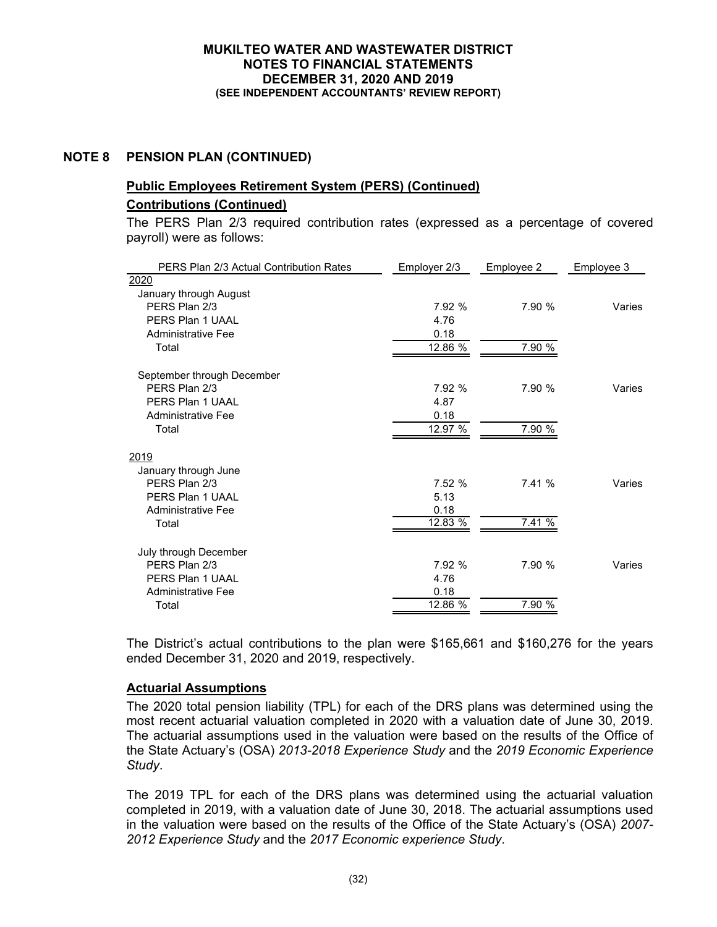# **NOTE 8 PENSION PLAN (CONTINUED)**

# **Public Employees Retirement System (PERS) (Continued) Contributions (Continued)**

# The PERS Plan 2/3 required contribution rates (expressed as a percentage of covered payroll) were as follows:

| PERS Plan 2/3 Actual Contribution Rates | Employer 2/3 | Employee 2 | Employee 3 |
|-----------------------------------------|--------------|------------|------------|
| 2020                                    |              |            |            |
| January through August                  |              |            |            |
| PERS Plan 2/3                           | 7.92 %       | 7.90 %     | Varies     |
| PERS Plan 1 UAAL                        | 4.76         |            |            |
| <b>Administrative Fee</b>               | 0.18         |            |            |
| Total                                   | 12.86 %      | 7.90 %     |            |
| September through December              |              |            |            |
| PFRS Plan 2/3                           | 7.92 %       | 7.90 %     | Varies     |
| PERS Plan 1 UAAL                        | 4.87         |            |            |
| <b>Administrative Fee</b>               | 0.18         |            |            |
| Total                                   | 12.97 %      | 7.90 %     |            |
| 2019                                    |              |            |            |
| January through June                    |              |            |            |
| PERS Plan 2/3                           | 7.52 %       | 7.41 %     | Varies     |
| PERS Plan 1 UAAL                        | 5.13         |            |            |
| <b>Administrative Fee</b>               | 0.18         |            |            |
| Total                                   | 12.83 %      | 7.41 %     |            |
| July through December                   |              |            |            |
| PFRS Plan 2/3                           | 7.92 %       | 7.90 %     | Varies     |
| PFRS Plan 1 UAAL                        | 4.76         |            |            |
| <b>Administrative Fee</b>               | 0.18         |            |            |
| Total                                   | 12.86 %      | 7.90 %     |            |

The District's actual contributions to the plan were \$165,661 and \$160,276 for the years ended December 31, 2020 and 2019, respectively.

# **Actuarial Assumptions**

The 2020 total pension liability (TPL) for each of the DRS plans was determined using the most recent actuarial valuation completed in 2020 with a valuation date of June 30, 2019. The actuarial assumptions used in the valuation were based on the results of the Office of the State Actuary's (OSA) *2013-2018 Experience Study* and the *2019 Economic Experience Study*.

The 2019 TPL for each of the DRS plans was determined using the actuarial valuation completed in 2019, with a valuation date of June 30, 2018. The actuarial assumptions used in the valuation were based on the results of the Office of the State Actuary's (OSA) *2007- 2012 Experience Study* and the *2017 Economic experience Study*.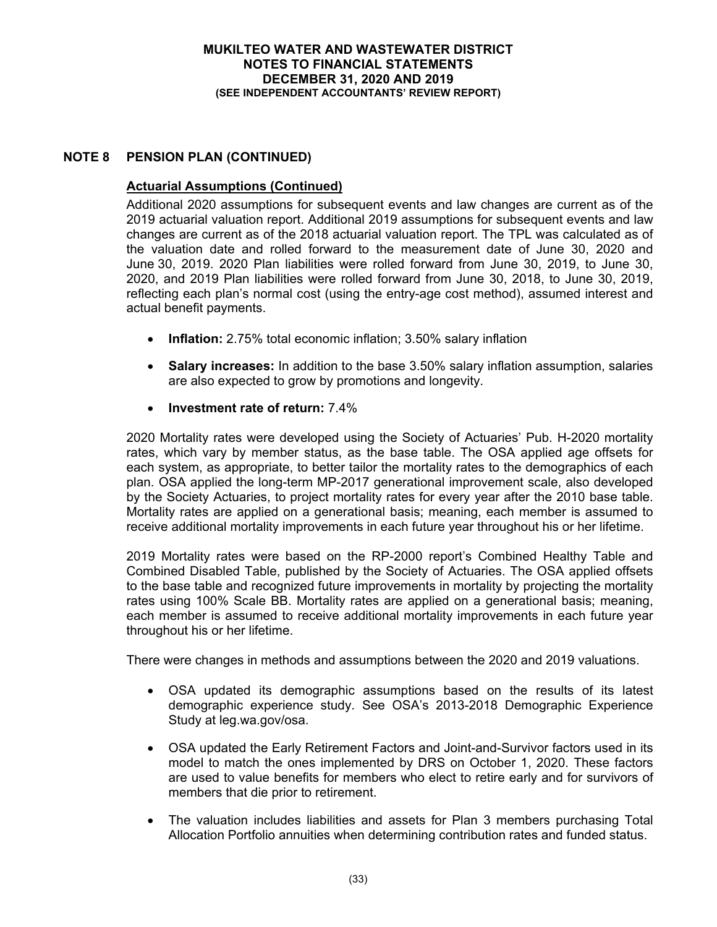# **NOTE 8 PENSION PLAN (CONTINUED)**

# **Actuarial Assumptions (Continued)**

Additional 2020 assumptions for subsequent events and law changes are current as of the 2019 actuarial valuation report. Additional 2019 assumptions for subsequent events and law changes are current as of the 2018 actuarial valuation report. The TPL was calculated as of the valuation date and rolled forward to the measurement date of June 30, 2020 and June 30, 2019. 2020 Plan liabilities were rolled forward from June 30, 2019, to June 30, 2020, and 2019 Plan liabilities were rolled forward from June 30, 2018, to June 30, 2019, reflecting each plan's normal cost (using the entry-age cost method), assumed interest and actual benefit payments.

- **Inflation:** 2.75% total economic inflation; 3.50% salary inflation
- **Salary increases:** In addition to the base 3.50% salary inflation assumption, salaries are also expected to grow by promotions and longevity.
- **Investment rate of return:** 7.4%

2020 Mortality rates were developed using the Society of Actuaries' Pub. H-2020 mortality rates, which vary by member status, as the base table. The OSA applied age offsets for each system, as appropriate, to better tailor the mortality rates to the demographics of each plan. OSA applied the long-term MP-2017 generational improvement scale, also developed by the Society Actuaries, to project mortality rates for every year after the 2010 base table. Mortality rates are applied on a generational basis; meaning, each member is assumed to receive additional mortality improvements in each future year throughout his or her lifetime.

2019 Mortality rates were based on the RP-2000 report's Combined Healthy Table and Combined Disabled Table, published by the Society of Actuaries. The OSA applied offsets to the base table and recognized future improvements in mortality by projecting the mortality rates using 100% Scale BB. Mortality rates are applied on a generational basis; meaning, each member is assumed to receive additional mortality improvements in each future year throughout his or her lifetime.

There were changes in methods and assumptions between the 2020 and 2019 valuations.

- OSA updated its demographic assumptions based on the results of its latest demographic experience study. See OSA's 2013-2018 Demographic Experience Study at leg.wa.gov/osa.
- OSA updated the Early Retirement Factors and Joint-and-Survivor factors used in its model to match the ones implemented by DRS on October 1, 2020. These factors are used to value benefits for members who elect to retire early and for survivors of members that die prior to retirement.
- The valuation includes liabilities and assets for Plan 3 members purchasing Total Allocation Portfolio annuities when determining contribution rates and funded status.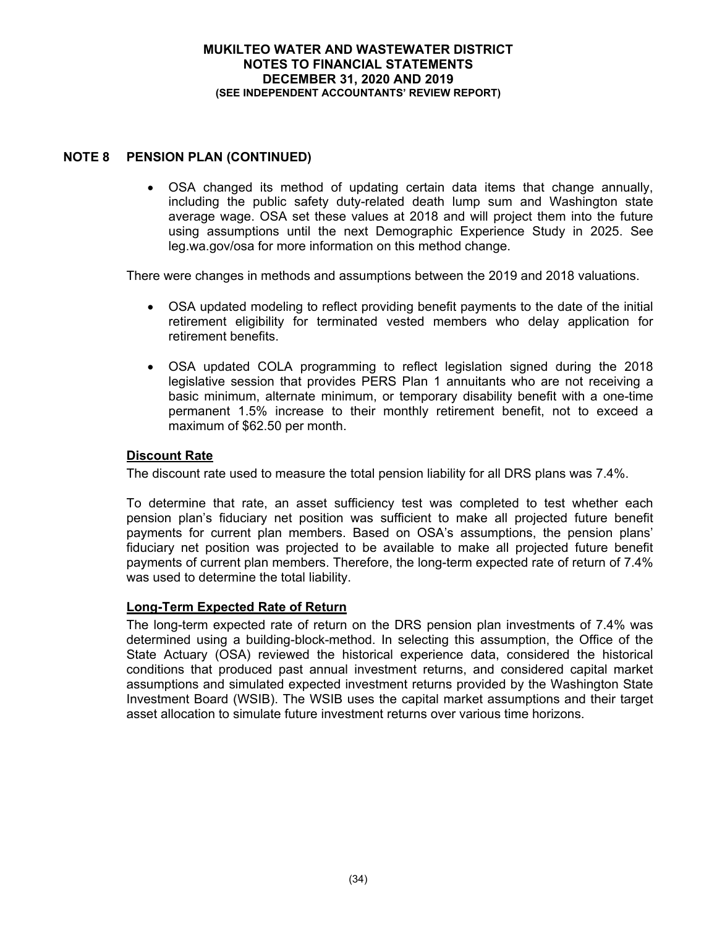# **NOTE 8 PENSION PLAN (CONTINUED)**

 OSA changed its method of updating certain data items that change annually, including the public safety duty-related death lump sum and Washington state average wage. OSA set these values at 2018 and will project them into the future using assumptions until the next Demographic Experience Study in 2025. See leg.wa.gov/osa for more information on this method change.

There were changes in methods and assumptions between the 2019 and 2018 valuations.

- OSA updated modeling to reflect providing benefit payments to the date of the initial retirement eligibility for terminated vested members who delay application for retirement benefits.
- OSA updated COLA programming to reflect legislation signed during the 2018 legislative session that provides PERS Plan 1 annuitants who are not receiving a basic minimum, alternate minimum, or temporary disability benefit with a one-time permanent 1.5% increase to their monthly retirement benefit, not to exceed a maximum of \$62.50 per month.

# **Discount Rate**

The discount rate used to measure the total pension liability for all DRS plans was 7.4%.

To determine that rate, an asset sufficiency test was completed to test whether each pension plan's fiduciary net position was sufficient to make all projected future benefit payments for current plan members. Based on OSA's assumptions, the pension plans' fiduciary net position was projected to be available to make all projected future benefit payments of current plan members. Therefore, the long-term expected rate of return of 7.4% was used to determine the total liability.

### **Long-Term Expected Rate of Return**

The long-term expected rate of return on the DRS pension plan investments of 7.4% was determined using a building-block-method. In selecting this assumption, the Office of the State Actuary (OSA) reviewed the historical experience data, considered the historical conditions that produced past annual investment returns, and considered capital market assumptions and simulated expected investment returns provided by the Washington State Investment Board (WSIB). The WSIB uses the capital market assumptions and their target asset allocation to simulate future investment returns over various time horizons.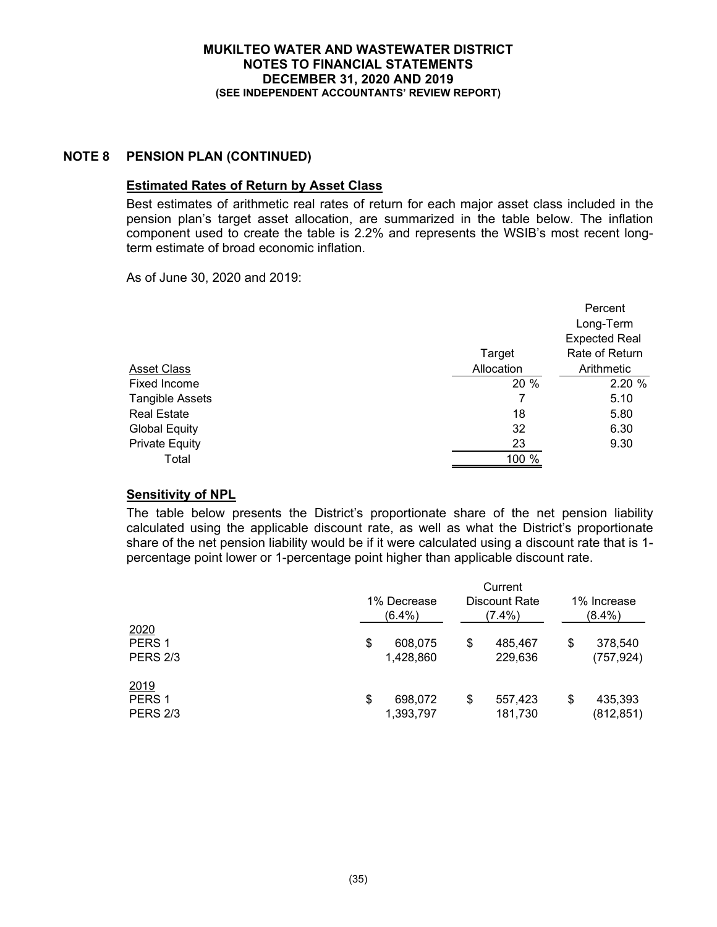# **NOTE 8 PENSION PLAN (CONTINUED)**

# **Estimated Rates of Return by Asset Class**

Best estimates of arithmetic real rates of return for each major asset class included in the pension plan's target asset allocation, are summarized in the table below. The inflation component used to create the table is 2.2% and represents the WSIB's most recent longterm estimate of broad economic inflation.

As of June 30, 2020 and 2019:

|                        |            | Percent              |
|------------------------|------------|----------------------|
|                        |            | Long-Term            |
|                        |            | <b>Expected Real</b> |
|                        | Target     | Rate of Return       |
| Asset Class            | Allocation | Arithmetic           |
| <b>Fixed Income</b>    | 20 %       | 2.20%                |
| <b>Tangible Assets</b> | 7          | 5.10                 |
| <b>Real Estate</b>     | 18         | 5.80                 |
| <b>Global Equity</b>   | 32         | 6.30                 |
| <b>Private Equity</b>  | 23         | 9.30                 |
| Total                  | 100 %      |                      |
|                        |            |                      |

# **Sensitivity of NPL**

The table below presents the District's proportionate share of the net pension liability calculated using the applicable discount rate, as well as what the District's proportionate share of the net pension liability would be if it were calculated using a discount rate that is 1 percentage point lower or 1-percentage point higher than applicable discount rate.

|                                              | Current<br>1% Decrease<br>Discount Rate<br>$(6.4\%)$<br>$(7.4\%)$ |                      |    | 1% Increase<br>$(8.4\%)$ |                             |
|----------------------------------------------|-------------------------------------------------------------------|----------------------|----|--------------------------|-----------------------------|
| 2020<br>PERS <sub>1</sub><br><b>PERS 2/3</b> | \$                                                                | 608,075<br>1,428,860 | \$ | 485,467<br>229,636       | \$<br>378,540<br>(757, 924) |
| 2019<br>PERS <sub>1</sub><br><b>PERS 2/3</b> | \$                                                                | 698,072<br>1,393,797 | \$ | 557,423<br>181,730       | \$<br>435,393<br>(812, 851) |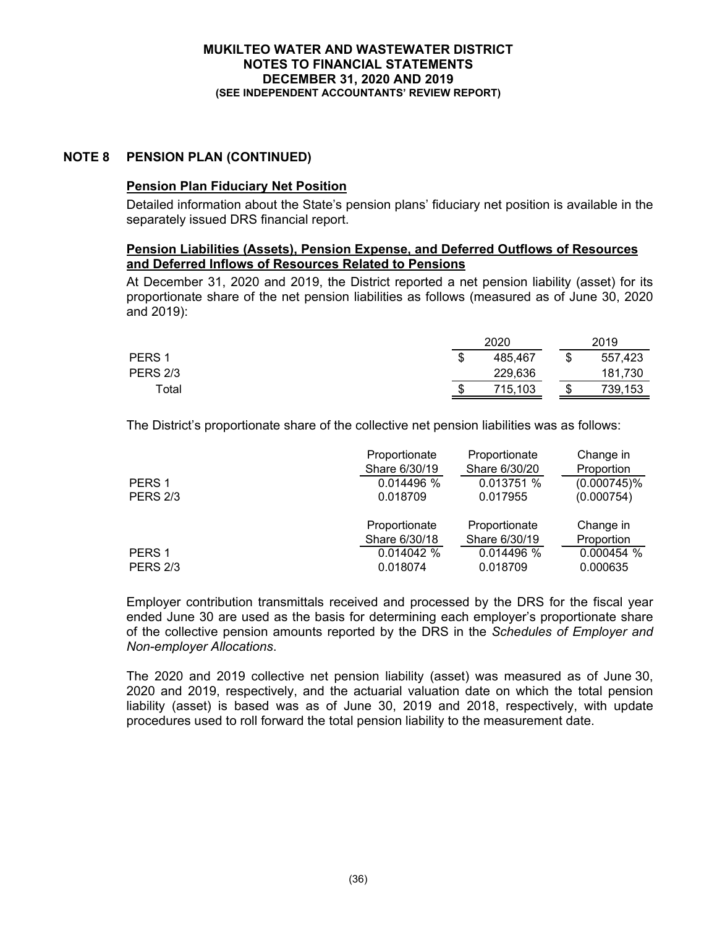# **NOTE 8 PENSION PLAN (CONTINUED)**

# **Pension Plan Fiduciary Net Position**

Detailed information about the State's pension plans' fiduciary net position is available in the separately issued DRS financial report.

### **Pension Liabilities (Assets), Pension Expense, and Deferred Outflows of Resources and Deferred Inflows of Resources Related to Pensions**

At December 31, 2020 and 2019, the District reported a net pension liability (asset) for its proportionate share of the net pension liabilities as follows (measured as of June 30, 2020 and 2019):

|                   |        | 2020    |    | 2019    |
|-------------------|--------|---------|----|---------|
| PERS <sub>1</sub> | ጦ<br>Œ | 485,467 |    | 557,423 |
| <b>PERS 2/3</b>   |        | 229,636 |    | 181,730 |
| Total             | œ<br>Œ | 715,103 | ۰D | 739,153 |

The District's proportionate share of the collective net pension liabilities was as follows:

|                   | Proportionate | Proportionate | Change in      |
|-------------------|---------------|---------------|----------------|
|                   | Share 6/30/19 | Share 6/30/20 | Proportion     |
| PERS <sub>1</sub> | 0.014496 %    | 0.013751 %    | $(0.000745)\%$ |
| <b>PERS 2/3</b>   | 0.018709      | 0.017955      | (0.000754)     |
|                   | Proportionate | Proportionate | Change in      |
|                   | Share 6/30/18 | Share 6/30/19 | Proportion     |
| PERS <sub>1</sub> | 0.014042 %    | 0.014496 %    | 0.000454%      |
| <b>PERS 2/3</b>   | 0.018074      | 0.018709      | 0.000635       |

Employer contribution transmittals received and processed by the DRS for the fiscal year ended June 30 are used as the basis for determining each employer's proportionate share of the collective pension amounts reported by the DRS in the *Schedules of Employer and Non-employer Allocations*.

The 2020 and 2019 collective net pension liability (asset) was measured as of June 30, 2020 and 2019, respectively, and the actuarial valuation date on which the total pension liability (asset) is based was as of June 30, 2019 and 2018, respectively, with update procedures used to roll forward the total pension liability to the measurement date.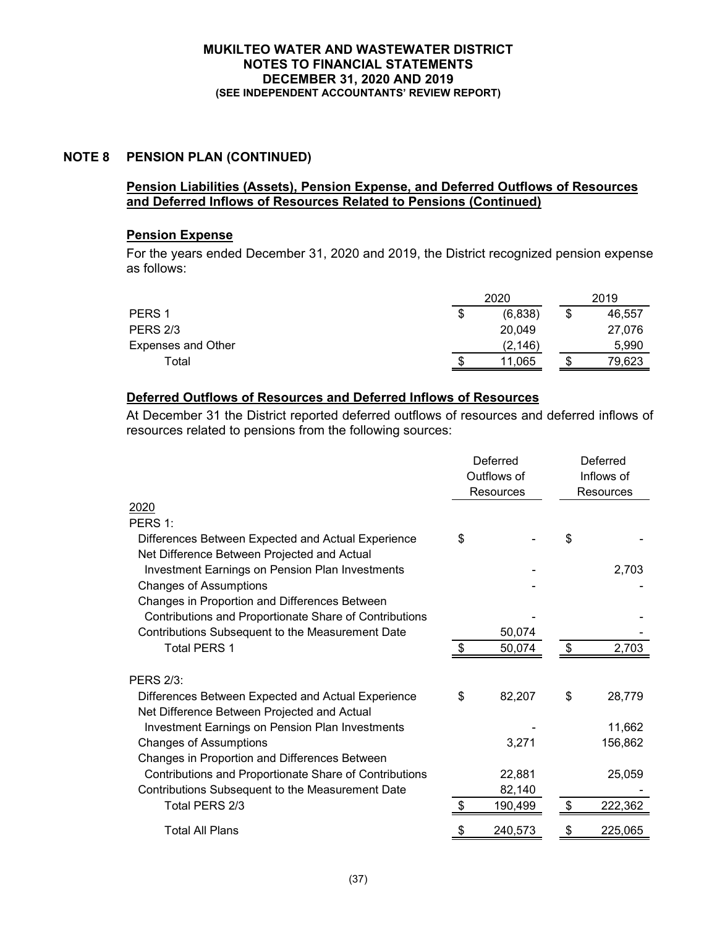# **NOTE 8 PENSION PLAN (CONTINUED)**

# **Pension Liabilities (Assets), Pension Expense, and Deferred Outflows of Resources and Deferred Inflows of Resources Related to Pensions (Continued)**

# **Pension Expense**

For the years ended December 31, 2020 and 2019, the District recognized pension expense as follows:

|                    |    | 2020     |    | 2019   |
|--------------------|----|----------|----|--------|
| PERS <sub>1</sub>  | \$ | (6,838)  | \$ | 46,557 |
| <b>PERS 2/3</b>    |    | 20.049   |    | 27,076 |
| Expenses and Other |    | (2, 146) |    | 5,990  |
| Total              | S  | 11,065   | Ф  | 79,623 |

# **Deferred Outflows of Resources and Deferred Inflows of Resources**

At December 31 the District reported deferred outflows of resources and deferred inflows of resources related to pensions from the following sources:

|                                                        | Deferred<br>Outflows of<br><b>Resources</b> |         |    | Deferred<br>Inflows of<br>Resources |  |
|--------------------------------------------------------|---------------------------------------------|---------|----|-------------------------------------|--|
|                                                        |                                             |         |    |                                     |  |
| 2020                                                   |                                             |         |    |                                     |  |
| PERS 1:                                                |                                             |         |    |                                     |  |
| Differences Between Expected and Actual Experience     | \$                                          |         | \$ |                                     |  |
| Net Difference Between Projected and Actual            |                                             |         |    |                                     |  |
| <b>Investment Earnings on Pension Plan Investments</b> |                                             |         |    | 2,703                               |  |
| <b>Changes of Assumptions</b>                          |                                             |         |    |                                     |  |
| Changes in Proportion and Differences Between          |                                             |         |    |                                     |  |
| Contributions and Proportionate Share of Contributions |                                             |         |    |                                     |  |
| Contributions Subsequent to the Measurement Date       |                                             | 50,074  |    |                                     |  |
| <b>Total PERS 1</b>                                    |                                             | 50,074  |    | 2,703                               |  |
|                                                        |                                             |         |    |                                     |  |
| <b>PERS 2/3:</b>                                       |                                             |         |    |                                     |  |
| Differences Between Expected and Actual Experience     | \$                                          | 82,207  | \$ | 28,779                              |  |
| Net Difference Between Projected and Actual            |                                             |         |    |                                     |  |
| Investment Earnings on Pension Plan Investments        |                                             |         |    | 11,662                              |  |
| <b>Changes of Assumptions</b>                          |                                             | 3,271   |    | 156,862                             |  |
| Changes in Proportion and Differences Between          |                                             |         |    |                                     |  |
| Contributions and Proportionate Share of Contributions |                                             | 22,881  |    | 25,059                              |  |
| Contributions Subsequent to the Measurement Date       |                                             | 82,140  |    |                                     |  |
| Total PERS 2/3                                         |                                             | 190,499 | \$ | 222,362                             |  |
| <b>Total All Plans</b>                                 |                                             | 240,573 |    | 225,065                             |  |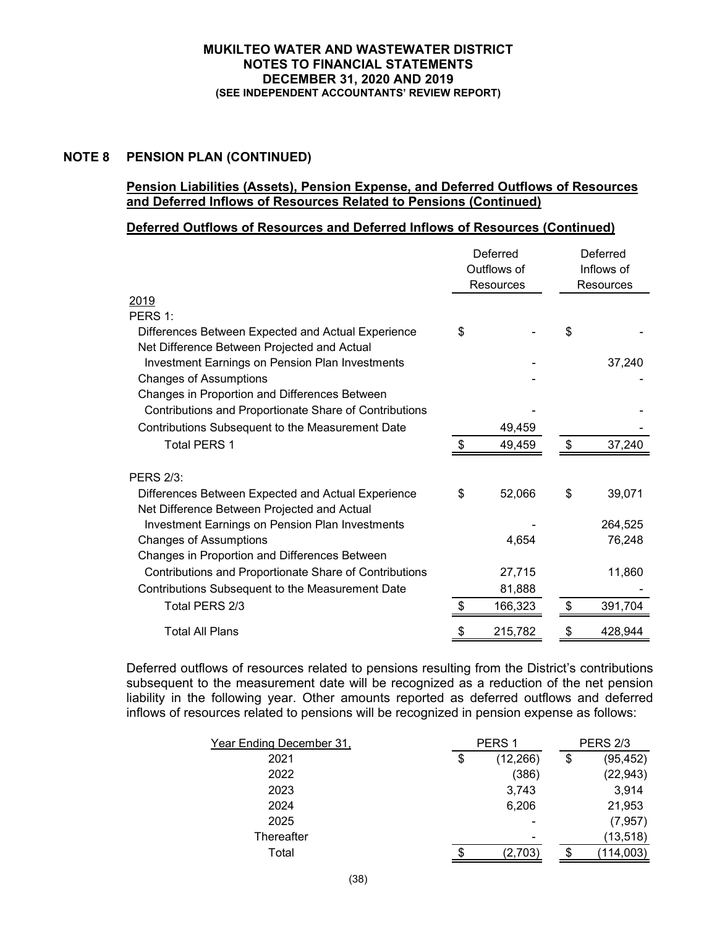# **NOTE 8 PENSION PLAN (CONTINUED)**

# **Pension Liabilities (Assets), Pension Expense, and Deferred Outflows of Resources and Deferred Inflows of Resources Related to Pensions (Continued)**

### **Deferred Outflows of Resources and Deferred Inflows of Resources (Continued)**

|                                                        | Deferred<br>Outflows of<br><b>Resources</b> |         | Deferred<br>Inflows of<br>Resources |  |
|--------------------------------------------------------|---------------------------------------------|---------|-------------------------------------|--|
| 2019                                                   |                                             |         |                                     |  |
| PERS 1:                                                |                                             |         |                                     |  |
| Differences Between Expected and Actual Experience     | \$                                          |         | \$                                  |  |
| Net Difference Between Projected and Actual            |                                             |         |                                     |  |
| <b>Investment Earnings on Pension Plan Investments</b> |                                             |         | 37,240                              |  |
| <b>Changes of Assumptions</b>                          |                                             |         |                                     |  |
| Changes in Proportion and Differences Between          |                                             |         |                                     |  |
| Contributions and Proportionate Share of Contributions |                                             |         |                                     |  |
| Contributions Subsequent to the Measurement Date       |                                             | 49,459  |                                     |  |
| <b>Total PERS 1</b>                                    | \$                                          | 49,459  | \$<br>37,240                        |  |
|                                                        |                                             |         |                                     |  |
| <b>PERS 2/3:</b>                                       |                                             |         |                                     |  |
| Differences Between Expected and Actual Experience     | \$                                          | 52,066  | \$<br>39,071                        |  |
| Net Difference Between Projected and Actual            |                                             |         |                                     |  |
| <b>Investment Earnings on Pension Plan Investments</b> |                                             |         | 264,525                             |  |
| <b>Changes of Assumptions</b>                          |                                             | 4,654   | 76,248                              |  |
| Changes in Proportion and Differences Between          |                                             |         |                                     |  |
| Contributions and Proportionate Share of Contributions |                                             | 27,715  | 11,860                              |  |
| Contributions Subsequent to the Measurement Date       |                                             | 81,888  |                                     |  |
| Total PERS 2/3                                         | \$                                          | 166,323 | \$<br>391,704                       |  |
| <b>Total All Plans</b>                                 | \$                                          | 215,782 | \$<br>428,944                       |  |

Deferred outflows of resources related to pensions resulting from the District's contributions subsequent to the measurement date will be recognized as a reduction of the net pension liability in the following year. Other amounts reported as deferred outflows and deferred inflows of resources related to pensions will be recognized in pension expense as follows:

| Year Ending December 31, | PERS <sub>1</sub> |    | <b>PERS 2/3</b> |
|--------------------------|-------------------|----|-----------------|
| 2021                     | \$<br>(12, 266)   | \$ | (95, 452)       |
| 2022                     | (386)             |    | (22, 943)       |
| 2023                     | 3,743             |    | 3,914           |
| 2024                     | 6,206             |    | 21,953          |
| 2025                     | ۰                 |    | (7, 957)        |
| Thereafter               | -                 |    | (13, 518)       |
| Total                    | (2,703)           | S. | (114,003)       |
|                          |                   |    |                 |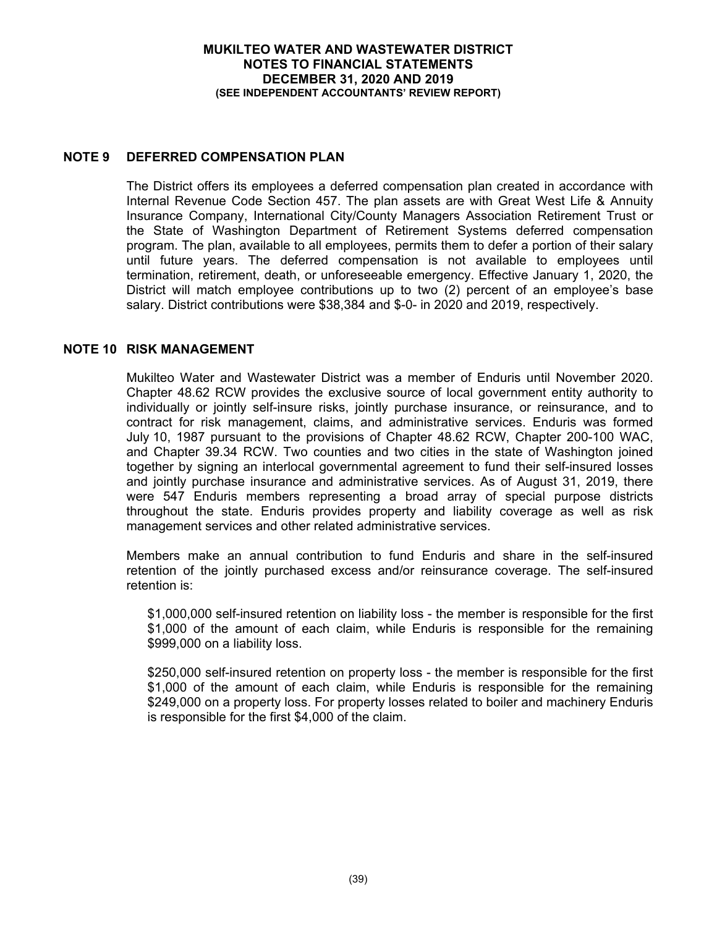# **NOTE 9 DEFERRED COMPENSATION PLAN**

The District offers its employees a deferred compensation plan created in accordance with Internal Revenue Code Section 457. The plan assets are with Great West Life & Annuity Insurance Company, International City/County Managers Association Retirement Trust or the State of Washington Department of Retirement Systems deferred compensation program. The plan, available to all employees, permits them to defer a portion of their salary until future years. The deferred compensation is not available to employees until termination, retirement, death, or unforeseeable emergency. Effective January 1, 2020, the District will match employee contributions up to two (2) percent of an employee's base salary. District contributions were \$38,384 and \$-0- in 2020 and 2019, respectively.

### **NOTE 10 RISK MANAGEMENT**

Mukilteo Water and Wastewater District was a member of Enduris until November 2020. Chapter 48.62 RCW provides the exclusive source of local government entity authority to individually or jointly self-insure risks, jointly purchase insurance, or reinsurance, and to contract for risk management, claims, and administrative services. Enduris was formed July 10, 1987 pursuant to the provisions of Chapter 48.62 RCW, Chapter 200-100 WAC, and Chapter 39.34 RCW. Two counties and two cities in the state of Washington joined together by signing an interlocal governmental agreement to fund their self-insured losses and jointly purchase insurance and administrative services. As of August 31, 2019, there were 547 Enduris members representing a broad array of special purpose districts throughout the state. Enduris provides property and liability coverage as well as risk management services and other related administrative services.

Members make an annual contribution to fund Enduris and share in the self-insured retention of the jointly purchased excess and/or reinsurance coverage. The self-insured retention is:

\$1,000,000 self-insured retention on liability loss - the member is responsible for the first \$1,000 of the amount of each claim, while Enduris is responsible for the remaining \$999,000 on a liability loss.

\$250,000 self-insured retention on property loss - the member is responsible for the first \$1,000 of the amount of each claim, while Enduris is responsible for the remaining \$249,000 on a property loss. For property losses related to boiler and machinery Enduris is responsible for the first \$4,000 of the claim.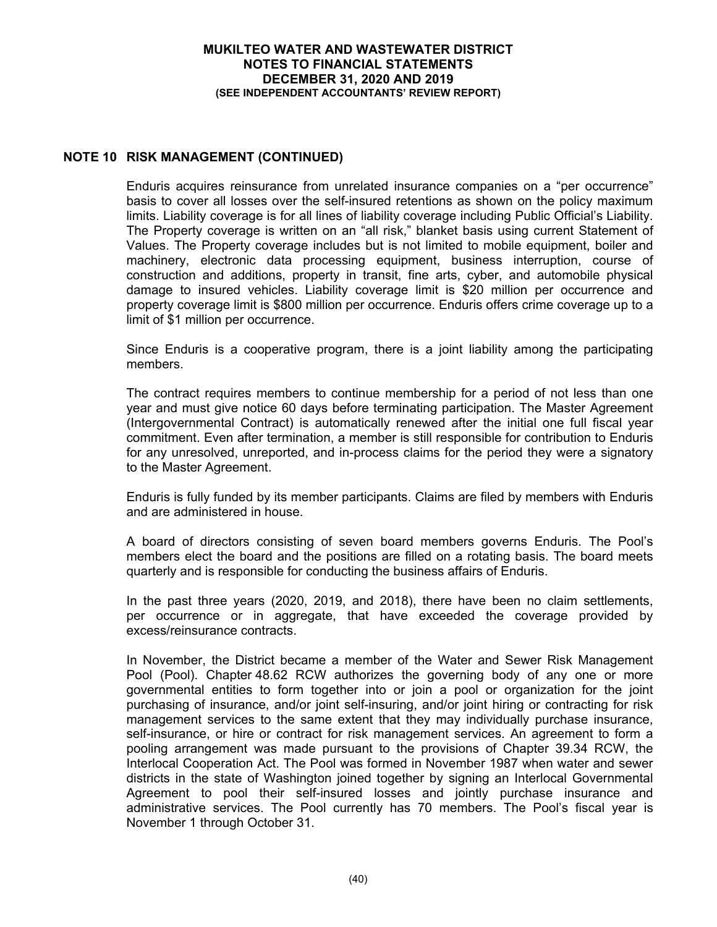# **NOTE 10 RISK MANAGEMENT (CONTINUED)**

Enduris acquires reinsurance from unrelated insurance companies on a "per occurrence" basis to cover all losses over the self-insured retentions as shown on the policy maximum limits. Liability coverage is for all lines of liability coverage including Public Official's Liability. The Property coverage is written on an "all risk," blanket basis using current Statement of Values. The Property coverage includes but is not limited to mobile equipment, boiler and machinery, electronic data processing equipment, business interruption, course of construction and additions, property in transit, fine arts, cyber, and automobile physical damage to insured vehicles. Liability coverage limit is \$20 million per occurrence and property coverage limit is \$800 million per occurrence. Enduris offers crime coverage up to a limit of \$1 million per occurrence.

Since Enduris is a cooperative program, there is a joint liability among the participating members.

The contract requires members to continue membership for a period of not less than one year and must give notice 60 days before terminating participation. The Master Agreement (Intergovernmental Contract) is automatically renewed after the initial one full fiscal year commitment. Even after termination, a member is still responsible for contribution to Enduris for any unresolved, unreported, and in-process claims for the period they were a signatory to the Master Agreement.

Enduris is fully funded by its member participants. Claims are filed by members with Enduris and are administered in house.

A board of directors consisting of seven board members governs Enduris. The Pool's members elect the board and the positions are filled on a rotating basis. The board meets quarterly and is responsible for conducting the business affairs of Enduris.

In the past three years (2020, 2019, and 2018), there have been no claim settlements, per occurrence or in aggregate, that have exceeded the coverage provided by excess/reinsurance contracts.

In November, the District became a member of the Water and Sewer Risk Management Pool (Pool). Chapter 48.62 RCW authorizes the governing body of any one or more governmental entities to form together into or join a pool or organization for the joint purchasing of insurance, and/or joint self-insuring, and/or joint hiring or contracting for risk management services to the same extent that they may individually purchase insurance, self-insurance, or hire or contract for risk management services. An agreement to form a pooling arrangement was made pursuant to the provisions of Chapter 39.34 RCW, the Interlocal Cooperation Act. The Pool was formed in November 1987 when water and sewer districts in the state of Washington joined together by signing an Interlocal Governmental Agreement to pool their self-insured losses and jointly purchase insurance and administrative services. The Pool currently has 70 members. The Pool's fiscal year is November 1 through October 31.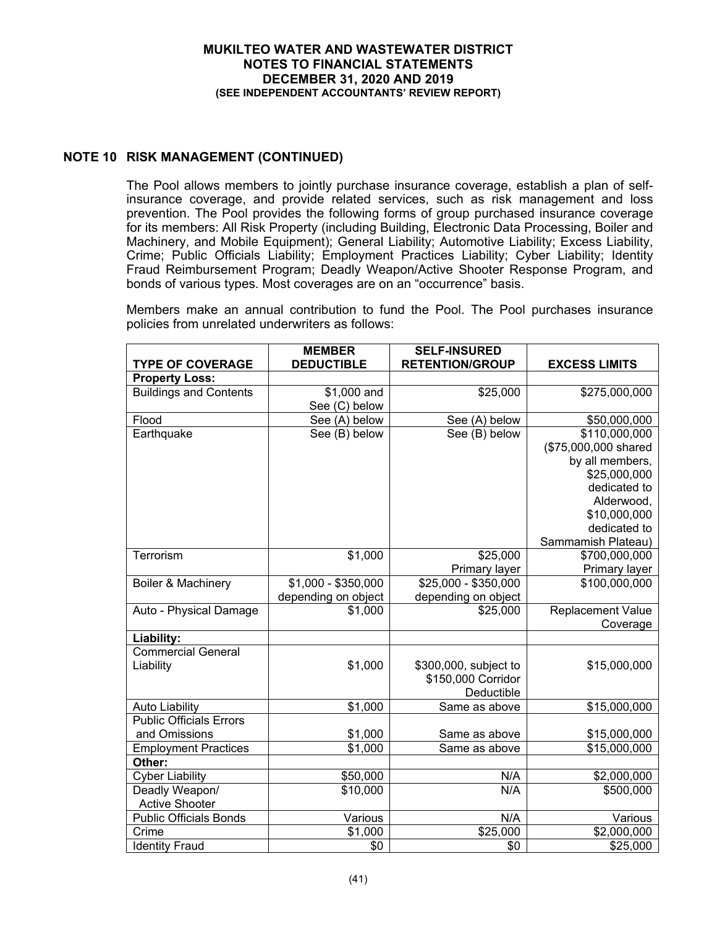# **NOTE 10 RISK MANAGEMENT (CONTINUED)**

The Pool allows members to jointly purchase insurance coverage, establish a plan of selfinsurance coverage, and provide related services, such as risk management and loss prevention. The Pool provides the following forms of group purchased insurance coverage for its members: All Risk Property (including Building, Electronic Data Processing, Boiler and Machinery, and Mobile Equipment); General Liability; Automotive Liability; Excess Liability, Crime; Public Officials Liability; Employment Practices Liability; Cyber Liability; Identity Fraud Reimbursement Program; Deadly Weapon/Active Shooter Response Program, and bonds of various types. Most coverages are on an "occurrence" basis.

Members make an annual contribution to fund the Pool. The Pool purchases insurance policies from unrelated underwriters as follows:

| <b>TYPE OF COVERAGE</b>        | <b>MEMBER</b><br><b>DEDUCTIBLE</b> | <b>SELF-INSURED</b><br><b>RETENTION/GROUP</b> | <b>EXCESS LIMITS</b> |
|--------------------------------|------------------------------------|-----------------------------------------------|----------------------|
| <b>Property Loss:</b>          |                                    |                                               |                      |
| <b>Buildings and Contents</b>  | \$1,000 and                        | \$25,000                                      | \$275,000,000        |
|                                | See (C) below                      |                                               |                      |
| Flood                          | See (A) below                      | See (A) below                                 | \$50,000,000         |
| Earthquake                     | See (B) below                      | See (B) below                                 | \$110,000,000        |
|                                |                                    |                                               | (\$75,000,000 shared |
|                                |                                    |                                               | by all members,      |
|                                |                                    |                                               | \$25,000,000         |
|                                |                                    |                                               | dedicated to         |
|                                |                                    |                                               | Alderwood,           |
|                                |                                    |                                               | \$10,000,000         |
|                                |                                    |                                               | dedicated to         |
|                                |                                    |                                               | Sammamish Plateau)   |
| Terrorism                      | \$1,000                            | \$25,000                                      | \$700,000,000        |
|                                |                                    | Primary layer                                 | Primary layer        |
| Boiler & Machinery             | $$1,000 - $350,000$                | $$25,000 - $350,000$                          | \$100,000,000        |
|                                | depending on object                | depending on object                           |                      |
| Auto - Physical Damage         | \$1,000                            | \$25,000                                      | Replacement Value    |
| Liability:                     |                                    |                                               | Coverage             |
| <b>Commercial General</b>      |                                    |                                               |                      |
| Liability                      | \$1,000                            | \$300,000, subject to                         | \$15,000,000         |
|                                |                                    | \$150,000 Corridor                            |                      |
|                                |                                    | Deductible                                    |                      |
| <b>Auto Liability</b>          | \$1,000                            | Same as above                                 | \$15,000,000         |
| <b>Public Officials Errors</b> |                                    |                                               |                      |
| and Omissions                  | \$1,000                            | Same as above                                 | \$15,000,000         |
| <b>Employment Practices</b>    | \$1,000                            | Same as above                                 | \$15,000,000         |
| Other:                         |                                    |                                               |                      |
| <b>Cyber Liability</b>         | \$50,000                           | N/A                                           | \$2,000,000          |
| Deadly Weapon/                 | \$10,000                           | N/A                                           | \$500,000            |
| <b>Active Shooter</b>          |                                    |                                               |                      |
| <b>Public Officials Bonds</b>  | Various                            | N/A                                           | Various              |
| Crime                          | \$1,000                            | $\overline{$}25,000$                          | \$2,000,000          |
| <b>Identity Fraud</b>          | \$0                                | \$0                                           | \$25,000             |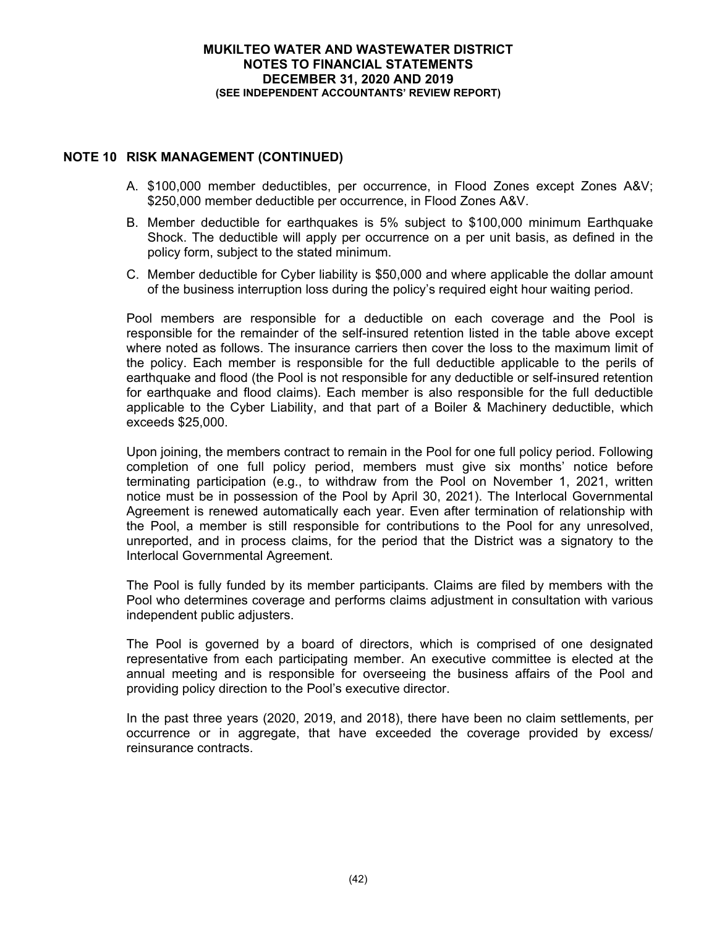# **NOTE 10 RISK MANAGEMENT (CONTINUED)**

- A. \$100,000 member deductibles, per occurrence, in Flood Zones except Zones A&V; \$250,000 member deductible per occurrence, in Flood Zones A&V.
- B. Member deductible for earthquakes is 5% subject to \$100,000 minimum Earthquake Shock. The deductible will apply per occurrence on a per unit basis, as defined in the policy form, subject to the stated minimum.
- C. Member deductible for Cyber liability is \$50,000 and where applicable the dollar amount of the business interruption loss during the policy's required eight hour waiting period.

Pool members are responsible for a deductible on each coverage and the Pool is responsible for the remainder of the self-insured retention listed in the table above except where noted as follows. The insurance carriers then cover the loss to the maximum limit of the policy. Each member is responsible for the full deductible applicable to the perils of earthquake and flood (the Pool is not responsible for any deductible or self-insured retention for earthquake and flood claims). Each member is also responsible for the full deductible applicable to the Cyber Liability, and that part of a Boiler & Machinery deductible, which exceeds \$25,000.

Upon joining, the members contract to remain in the Pool for one full policy period. Following completion of one full policy period, members must give six months' notice before terminating participation (e.g., to withdraw from the Pool on November 1, 2021, written notice must be in possession of the Pool by April 30, 2021). The Interlocal Governmental Agreement is renewed automatically each year. Even after termination of relationship with the Pool, a member is still responsible for contributions to the Pool for any unresolved, unreported, and in process claims, for the period that the District was a signatory to the Interlocal Governmental Agreement.

The Pool is fully funded by its member participants. Claims are filed by members with the Pool who determines coverage and performs claims adjustment in consultation with various independent public adjusters.

The Pool is governed by a board of directors, which is comprised of one designated representative from each participating member. An executive committee is elected at the annual meeting and is responsible for overseeing the business affairs of the Pool and providing policy direction to the Pool's executive director.

In the past three years (2020, 2019, and 2018), there have been no claim settlements, per occurrence or in aggregate, that have exceeded the coverage provided by excess/ reinsurance contracts.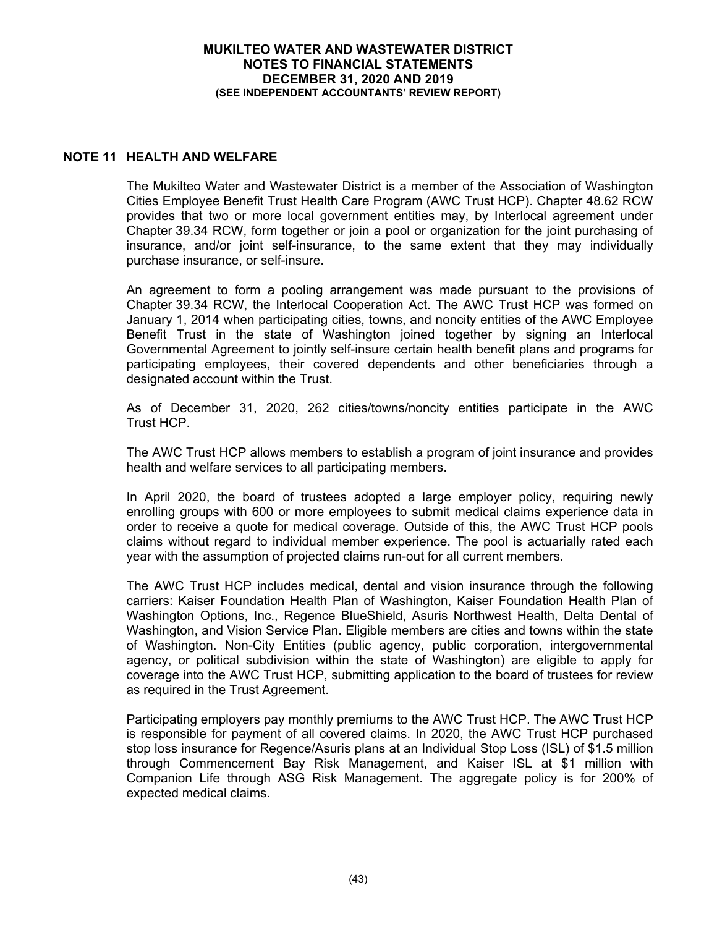# **NOTE 11 HEALTH AND WELFARE**

The Mukilteo Water and Wastewater District is a member of the Association of Washington Cities Employee Benefit Trust Health Care Program (AWC Trust HCP). Chapter 48.62 RCW provides that two or more local government entities may, by Interlocal agreement under Chapter 39.34 RCW, form together or join a pool or organization for the joint purchasing of insurance, and/or joint self-insurance, to the same extent that they may individually purchase insurance, or self-insure.

An agreement to form a pooling arrangement was made pursuant to the provisions of Chapter 39.34 RCW, the Interlocal Cooperation Act. The AWC Trust HCP was formed on January 1, 2014 when participating cities, towns, and noncity entities of the AWC Employee Benefit Trust in the state of Washington joined together by signing an Interlocal Governmental Agreement to jointly self-insure certain health benefit plans and programs for participating employees, their covered dependents and other beneficiaries through a designated account within the Trust.

As of December 31, 2020, 262 cities/towns/noncity entities participate in the AWC Trust HCP.

The AWC Trust HCP allows members to establish a program of joint insurance and provides health and welfare services to all participating members.

In April 2020, the board of trustees adopted a large employer policy, requiring newly enrolling groups with 600 or more employees to submit medical claims experience data in order to receive a quote for medical coverage. Outside of this, the AWC Trust HCP pools claims without regard to individual member experience. The pool is actuarially rated each year with the assumption of projected claims run-out for all current members.

The AWC Trust HCP includes medical, dental and vision insurance through the following carriers: Kaiser Foundation Health Plan of Washington, Kaiser Foundation Health Plan of Washington Options, Inc., Regence BlueShield, Asuris Northwest Health, Delta Dental of Washington, and Vision Service Plan. Eligible members are cities and towns within the state of Washington. Non-City Entities (public agency, public corporation, intergovernmental agency, or political subdivision within the state of Washington) are eligible to apply for coverage into the AWC Trust HCP, submitting application to the board of trustees for review as required in the Trust Agreement.

Participating employers pay monthly premiums to the AWC Trust HCP. The AWC Trust HCP is responsible for payment of all covered claims. In 2020, the AWC Trust HCP purchased stop loss insurance for Regence/Asuris plans at an Individual Stop Loss (ISL) of \$1.5 million through Commencement Bay Risk Management, and Kaiser ISL at \$1 million with Companion Life through ASG Risk Management. The aggregate policy is for 200% of expected medical claims.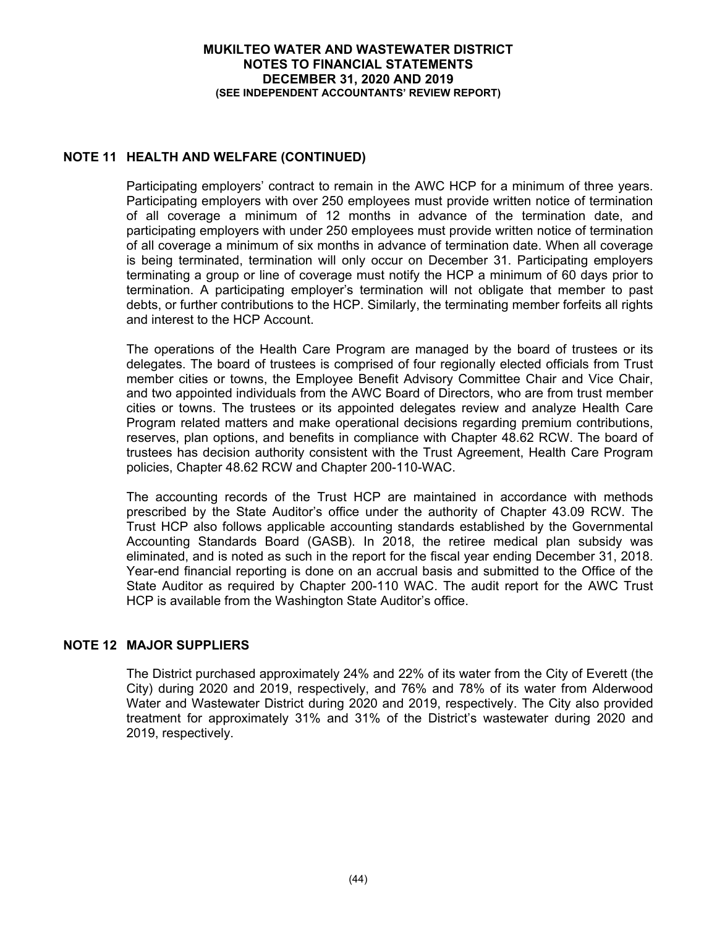# **NOTE 11 HEALTH AND WELFARE (CONTINUED)**

Participating employers' contract to remain in the AWC HCP for a minimum of three years. Participating employers with over 250 employees must provide written notice of termination of all coverage a minimum of 12 months in advance of the termination date, and participating employers with under 250 employees must provide written notice of termination of all coverage a minimum of six months in advance of termination date. When all coverage is being terminated, termination will only occur on December 31. Participating employers terminating a group or line of coverage must notify the HCP a minimum of 60 days prior to termination. A participating employer's termination will not obligate that member to past debts, or further contributions to the HCP. Similarly, the terminating member forfeits all rights and interest to the HCP Account.

The operations of the Health Care Program are managed by the board of trustees or its delegates. The board of trustees is comprised of four regionally elected officials from Trust member cities or towns, the Employee Benefit Advisory Committee Chair and Vice Chair, and two appointed individuals from the AWC Board of Directors, who are from trust member cities or towns. The trustees or its appointed delegates review and analyze Health Care Program related matters and make operational decisions regarding premium contributions, reserves, plan options, and benefits in compliance with Chapter 48.62 RCW. The board of trustees has decision authority consistent with the Trust Agreement, Health Care Program policies, Chapter 48.62 RCW and Chapter 200-110-WAC.

The accounting records of the Trust HCP are maintained in accordance with methods prescribed by the State Auditor's office under the authority of Chapter 43.09 RCW. The Trust HCP also follows applicable accounting standards established by the Governmental Accounting Standards Board (GASB). In 2018, the retiree medical plan subsidy was eliminated, and is noted as such in the report for the fiscal year ending December 31, 2018. Year-end financial reporting is done on an accrual basis and submitted to the Office of the State Auditor as required by Chapter 200-110 WAC. The audit report for the AWC Trust HCP is available from the Washington State Auditor's office.

# **NOTE 12 MAJOR SUPPLIERS**

The District purchased approximately 24% and 22% of its water from the City of Everett (the City) during 2020 and 2019, respectively, and 76% and 78% of its water from Alderwood Water and Wastewater District during 2020 and 2019, respectively. The City also provided treatment for approximately 31% and 31% of the District's wastewater during 2020 and 2019, respectively.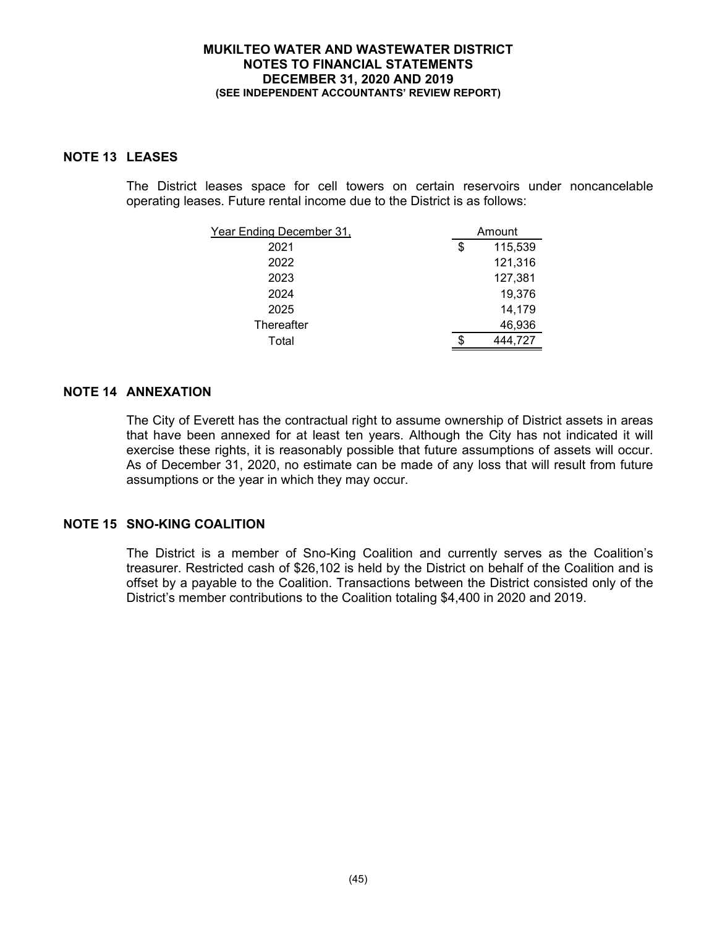# **NOTE 13 LEASES**

The District leases space for cell towers on certain reservoirs under noncancelable operating leases. Future rental income due to the District is as follows:

| Year Ending December 31, |    | Amount  |
|--------------------------|----|---------|
| 2021                     | \$ | 115,539 |
| 2022                     |    | 121,316 |
| 2023                     |    | 127,381 |
| 2024                     |    | 19,376  |
| 2025                     |    | 14,179  |
| Thereafter               |    | 46,936  |
| Total                    | S  | 444,727 |

# **NOTE 14 ANNEXATION**

The City of Everett has the contractual right to assume ownership of District assets in areas that have been annexed for at least ten years. Although the City has not indicated it will exercise these rights, it is reasonably possible that future assumptions of assets will occur. As of December 31, 2020, no estimate can be made of any loss that will result from future assumptions or the year in which they may occur.

# **NOTE 15 SNO-KING COALITION**

The District is a member of Sno-King Coalition and currently serves as the Coalition's treasurer. Restricted cash of \$26,102 is held by the District on behalf of the Coalition and is offset by a payable to the Coalition. Transactions between the District consisted only of the District's member contributions to the Coalition totaling \$4,400 in 2020 and 2019.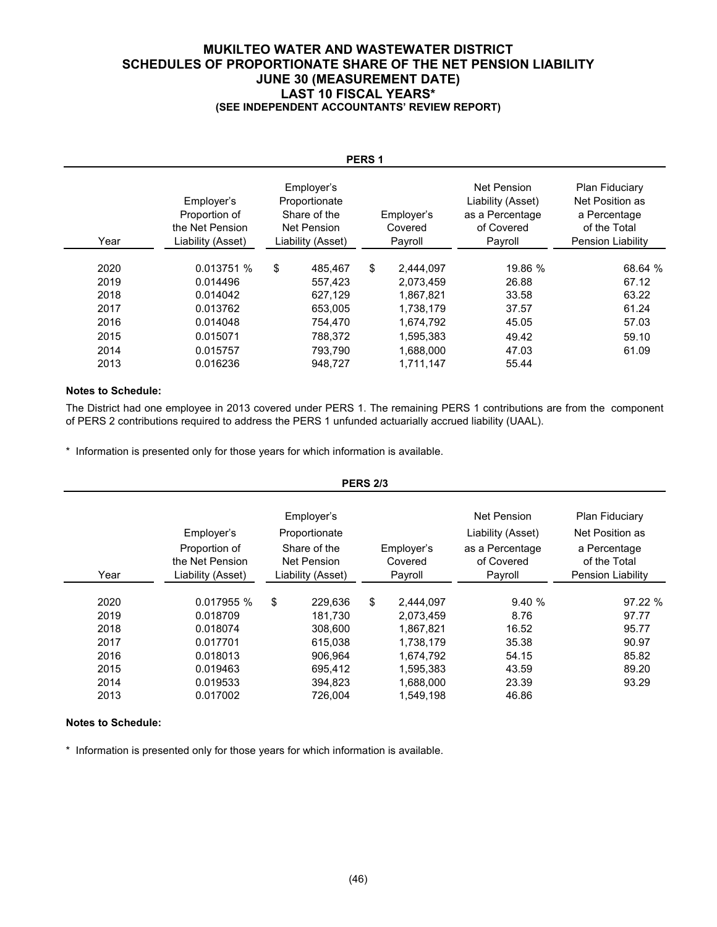### **MUKILTEO WATER AND WASTEWATER DISTRICT SCHEDULES OF PROPORTIONATE SHARE OF THE NET PENSION LIABILITY JUNE 30 (MEASUREMENT DATE) LAST 10 FISCAL YEARS\* (SEE INDEPENDENT ACCOUNTANTS' REVIEW REPORT)**

| PERS <sub>1</sub> |                                                                     |    |                                                                                        |    |                                  |                                                                              |                                                                                                      |  |
|-------------------|---------------------------------------------------------------------|----|----------------------------------------------------------------------------------------|----|----------------------------------|------------------------------------------------------------------------------|------------------------------------------------------------------------------------------------------|--|
| Year              | Employer's<br>Proportion of<br>the Net Pension<br>Liability (Asset) |    | Employer's<br>Proportionate<br>Share of the<br><b>Net Pension</b><br>Liability (Asset) |    | Employer's<br>Covered<br>Payroll | Net Pension<br>Liability (Asset)<br>as a Percentage<br>of Covered<br>Payroll | <b>Plan Fiduciary</b><br>Net Position as<br>a Percentage<br>of the Total<br><b>Pension Liability</b> |  |
| 2020              | 0.013751 %                                                          | \$ | 485.467                                                                                | \$ | 2,444,097                        | 19.86 %                                                                      | 68.64 %                                                                                              |  |
| 2019              | 0.014496                                                            |    | 557.423                                                                                |    | 2,073,459                        | 26.88                                                                        | 67.12                                                                                                |  |
| 2018              | 0.014042                                                            |    | 627,129                                                                                |    | 1,867,821                        | 33.58                                                                        | 63.22                                                                                                |  |
| 2017              | 0.013762                                                            |    | 653.005                                                                                |    | 1,738,179                        | 37.57                                                                        | 61.24                                                                                                |  |
| 2016              | 0.014048                                                            |    | 754,470                                                                                |    | 1,674,792                        | 45.05                                                                        | 57.03                                                                                                |  |
| 2015              | 0.015071                                                            |    | 788.372                                                                                |    | 1,595,383                        | 49.42                                                                        | 59.10                                                                                                |  |
| 2014              | 0.015757                                                            |    | 793.790                                                                                |    | 1,688,000                        | 47.03                                                                        | 61.09                                                                                                |  |
| 2013              | 0.016236                                                            |    | 948,727                                                                                |    | 1,711,147                        | 55.44                                                                        |                                                                                                      |  |

#### **Notes to Schedule:**

The District had one employee in 2013 covered under PERS 1. The remaining PERS 1 contributions are from the component of PERS 2 contributions required to address the PERS 1 unfunded actuarially accrued liability (UAAL).

\* Information is presented only for those years for which information is available.

|                      |                                                                                                                                                               |    |                               | <b>PERS 2/3</b> |                                     |                                                                              |                                                                                                      |  |
|----------------------|---------------------------------------------------------------------------------------------------------------------------------------------------------------|----|-------------------------------|-----------------|-------------------------------------|------------------------------------------------------------------------------|------------------------------------------------------------------------------------------------------|--|
| Year                 | Employer's<br>Employer's<br>Proportionate<br>Proportion of<br>Share of the<br>the Net Pension<br><b>Net Pension</b><br>Liability (Asset)<br>Liability (Asset) |    |                               |                 | Employer's<br>Covered<br>Payroll    | Net Pension<br>Liability (Asset)<br>as a Percentage<br>of Covered<br>Payroll | <b>Plan Fiduciary</b><br>Net Position as<br>a Percentage<br>of the Total<br><b>Pension Liability</b> |  |
| 2020<br>2019         | 0.017955 %<br>0.018709                                                                                                                                        | \$ | 229,636<br>181,730            | \$              | 2,444,097<br>2,073,459              | 9.40%<br>8.76                                                                | 97.22 %<br>97.77                                                                                     |  |
| 2018<br>2017<br>2016 | 0.018074<br>0.017701<br>0.018013                                                                                                                              |    | 308,600<br>615.038<br>906.964 |                 | 1,867,821<br>1,738,179<br>1,674,792 | 16.52<br>35.38<br>54.15                                                      | 95.77<br>90.97<br>85.82                                                                              |  |
| 2015<br>2014<br>2013 | 0.019463<br>0.019533<br>0.017002                                                                                                                              |    | 695.412<br>394,823<br>726,004 |                 | 1,595,383<br>1,688,000<br>1,549,198 | 43.59<br>23.39<br>46.86                                                      | 89.20<br>93.29                                                                                       |  |

#### **Notes to Schedule:**

\* Information is presented only for those years for which information is available.

# (46)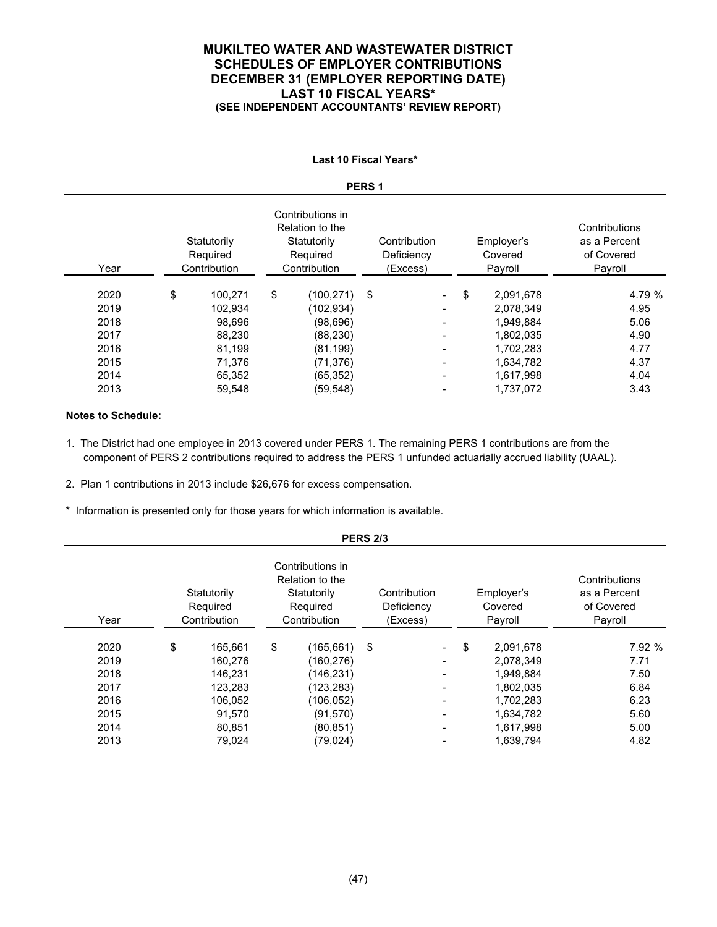### **MUKILTEO WATER AND WASTEWATER DISTRICT SCHEDULES OF EMPLOYER CONTRIBUTIONS DECEMBER 31 (EMPLOYER REPORTING DATE) LAST 10 FISCAL YEARS\* (SEE INDEPENDENT ACCOUNTANTS' REVIEW REPORT)**

#### **Last 10 Fiscal Years\***

#### **PERS 1**

| Year | Statutorily<br>Required<br>Contribution | Contributions in<br>Relation to the<br>Statutorily<br>Required<br>Contribution |            | Contribution<br>Deficiency<br>(Excess) |                          | Employer's<br>Covered<br>Payroll | Contributions<br>as a Percent<br>of Covered<br>Payroll |  |
|------|-----------------------------------------|--------------------------------------------------------------------------------|------------|----------------------------------------|--------------------------|----------------------------------|--------------------------------------------------------|--|
| 2020 | \$<br>100.271                           | \$                                                                             | (100, 271) | \$                                     | $\overline{\phantom{0}}$ | \$<br>2,091,678                  | 4.79 %                                                 |  |
| 2019 | 102,934                                 |                                                                                | (102,934)  |                                        | $\overline{\phantom{0}}$ | 2,078,349                        | 4.95                                                   |  |
| 2018 | 98.696                                  |                                                                                | (98, 696)  |                                        | $\overline{\phantom{0}}$ | 1,949,884                        | 5.06                                                   |  |
| 2017 | 88,230                                  |                                                                                | (88, 230)  |                                        |                          | 1.802.035                        | 4.90                                                   |  |
| 2016 | 81.199                                  |                                                                                | (81, 199)  |                                        |                          | 1,702,283                        | 4.77                                                   |  |
| 2015 | 71,376                                  |                                                                                | (71, 376)  |                                        |                          | 1,634,782                        | 4.37                                                   |  |
| 2014 | 65.352                                  |                                                                                | (65, 352)  |                                        | $\overline{\phantom{0}}$ | 1.617.998                        | 4.04                                                   |  |
| 2013 | 59,548                                  |                                                                                | (59, 548)  |                                        |                          | 1,737,072                        | 3.43                                                   |  |

#### **Notes to Schedule:**

- 1. The District had one employee in 2013 covered under PERS 1. The remaining PERS 1 contributions are from the component of PERS 2 contributions required to address the PERS 1 unfunded actuarially accrued liability (UAAL).
- 2. Plan 1 contributions in 2013 include \$26,676 for excess compensation.
- \* Information is presented only for those years for which information is available.

|      |                                                                                                                           |         |    |            | .  |                                        |                                  |                                                        |        |  |
|------|---------------------------------------------------------------------------------------------------------------------------|---------|----|------------|----|----------------------------------------|----------------------------------|--------------------------------------------------------|--------|--|
| Year | Contributions in<br>Relation to the<br>Statutorily<br>Statutorily<br>Required<br>Required<br>Contribution<br>Contribution |         |    |            |    | Contribution<br>Deficiency<br>(Excess) | Employer's<br>Covered<br>Payroll | Contributions<br>as a Percent<br>of Covered<br>Payroll |        |  |
| 2020 | \$                                                                                                                        | 165.661 | \$ | (165, 661) | \$ | $\overline{\phantom{0}}$               | \$<br>2,091,678                  |                                                        | 7.92 % |  |
| 2019 |                                                                                                                           | 160,276 |    | (160,276)  |    | $\overline{\phantom{0}}$               | 2,078,349                        |                                                        | 7.71   |  |
| 2018 |                                                                                                                           | 146.231 |    | (146,231)  |    |                                        | 1.949.884                        |                                                        | 7.50   |  |
| 2017 |                                                                                                                           | 123,283 |    | (123,283)  |    |                                        | 1,802,035                        |                                                        | 6.84   |  |
| 2016 |                                                                                                                           | 106,052 |    | (106,052)  |    |                                        | 1,702,283                        |                                                        | 6.23   |  |
| 2015 |                                                                                                                           | 91,570  |    | (91, 570)  |    | $\overline{\phantom{0}}$               | 1,634,782                        |                                                        | 5.60   |  |
| 2014 |                                                                                                                           | 80,851  |    | (80, 851)  |    |                                        | 1,617,998                        |                                                        | 5.00   |  |
| 2013 |                                                                                                                           | 79.024  |    | (79, 024)  |    |                                        | 1,639,794                        |                                                        | 4.82   |  |
|      |                                                                                                                           |         |    |            |    |                                        |                                  |                                                        |        |  |

**PERS 2/3**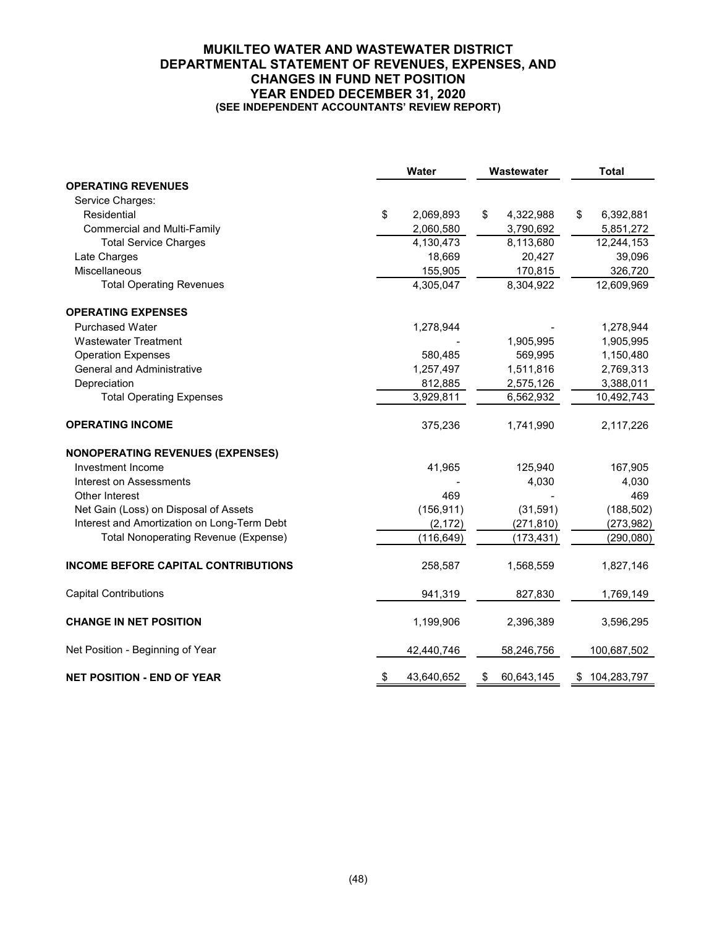### **MUKILTEO WATER AND WASTEWATER DISTRICT DEPARTMENTAL STATEMENT OF REVENUES, EXPENSES, AND CHANGES IN FUND NET POSITION YEAR ENDED DECEMBER 31, 2020 (SEE INDEPENDENT ACCOUNTANTS' REVIEW REPORT)**

|                                             | Water            | Wastewater       | <b>Total</b>      |
|---------------------------------------------|------------------|------------------|-------------------|
| <b>OPERATING REVENUES</b>                   |                  |                  |                   |
| Service Charges:                            |                  |                  |                   |
| Residential                                 | \$<br>2,069,893  | \$<br>4,322,988  | \$<br>6,392,881   |
| <b>Commercial and Multi-Family</b>          | 2,060,580        | 3,790,692        | 5,851,272         |
| <b>Total Service Charges</b>                | 4,130,473        | 8,113,680        | 12,244,153        |
| Late Charges                                | 18,669           | 20,427           | 39,096            |
| Miscellaneous                               | 155,905          | 170,815          | 326,720           |
| <b>Total Operating Revenues</b>             | 4,305,047        | 8,304,922        | 12,609,969        |
| <b>OPERATING EXPENSES</b>                   |                  |                  |                   |
| <b>Purchased Water</b>                      | 1,278,944        |                  | 1,278,944         |
| <b>Wastewater Treatment</b>                 |                  | 1,905,995        | 1,905,995         |
| <b>Operation Expenses</b>                   | 580,485          | 569,995          | 1,150,480         |
| <b>General and Administrative</b>           | 1,257,497        | 1,511,816        | 2,769,313         |
| Depreciation                                | 812,885          | 2,575,126        | 3,388,011         |
| <b>Total Operating Expenses</b>             | 3,929,811        | 6,562,932        | 10,492,743        |
| <b>OPERATING INCOME</b>                     | 375,236          | 1,741,990        | 2,117,226         |
| <b>NONOPERATING REVENUES (EXPENSES)</b>     |                  |                  |                   |
| Investment Income                           | 41,965           | 125,940          | 167,905           |
| <b>Interest on Assessments</b>              |                  | 4,030            | 4,030             |
| Other Interest                              | 469              |                  | 469               |
| Net Gain (Loss) on Disposal of Assets       | (156, 911)       | (31, 591)        | (188, 502)        |
| Interest and Amortization on Long-Term Debt | (2, 172)         | (271, 810)       | (273, 982)        |
| <b>Total Nonoperating Revenue (Expense)</b> | (116, 649)       | (173, 431)       | (290, 080)        |
| <b>INCOME BEFORE CAPITAL CONTRIBUTIONS</b>  | 258,587          | 1,568,559        | 1,827,146         |
| <b>Capital Contributions</b>                | 941,319          | 827,830          | 1,769,149         |
| <b>CHANGE IN NET POSITION</b>               | 1,199,906        | 2,396,389        | 3,596,295         |
| Net Position - Beginning of Year            | 42,440,746       | 58,246,756       | 100,687,502       |
| <b>NET POSITION - END OF YEAR</b>           | \$<br>43,640,652 | \$<br>60,643,145 | \$<br>104,283,797 |